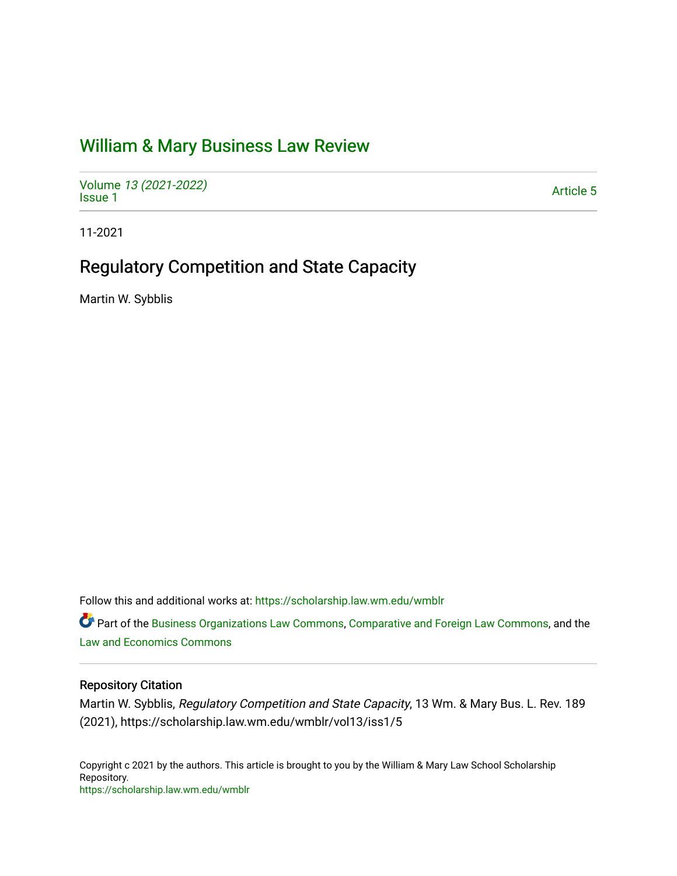# [William & Mary Business Law Review](https://scholarship.law.wm.edu/wmblr)

Volume [13 \(2021-2022\)](https://scholarship.law.wm.edu/wmblr/vol13)  volume 15 (2021-2022)<br>[Issue 1](https://scholarship.law.wm.edu/wmblr/vol13/iss1)

11-2021

# Regulatory Competition and State Capacity

Martin W. Sybblis

Follow this and additional works at: [https://scholarship.law.wm.edu/wmblr](https://scholarship.law.wm.edu/wmblr?utm_source=scholarship.law.wm.edu%2Fwmblr%2Fvol13%2Fiss1%2F5&utm_medium=PDF&utm_campaign=PDFCoverPages) 

Part of the [Business Organizations Law Commons](http://network.bepress.com/hgg/discipline/900?utm_source=scholarship.law.wm.edu%2Fwmblr%2Fvol13%2Fiss1%2F5&utm_medium=PDF&utm_campaign=PDFCoverPages), [Comparative and Foreign Law Commons](http://network.bepress.com/hgg/discipline/836?utm_source=scholarship.law.wm.edu%2Fwmblr%2Fvol13%2Fiss1%2F5&utm_medium=PDF&utm_campaign=PDFCoverPages), and the [Law and Economics Commons](http://network.bepress.com/hgg/discipline/612?utm_source=scholarship.law.wm.edu%2Fwmblr%2Fvol13%2Fiss1%2F5&utm_medium=PDF&utm_campaign=PDFCoverPages) 

# Repository Citation

Martin W. Sybblis, Regulatory Competition and State Capacity, 13 Wm. & Mary Bus. L. Rev. 189 (2021), https://scholarship.law.wm.edu/wmblr/vol13/iss1/5

Copyright c 2021 by the authors. This article is brought to you by the William & Mary Law School Scholarship Repository. <https://scholarship.law.wm.edu/wmblr>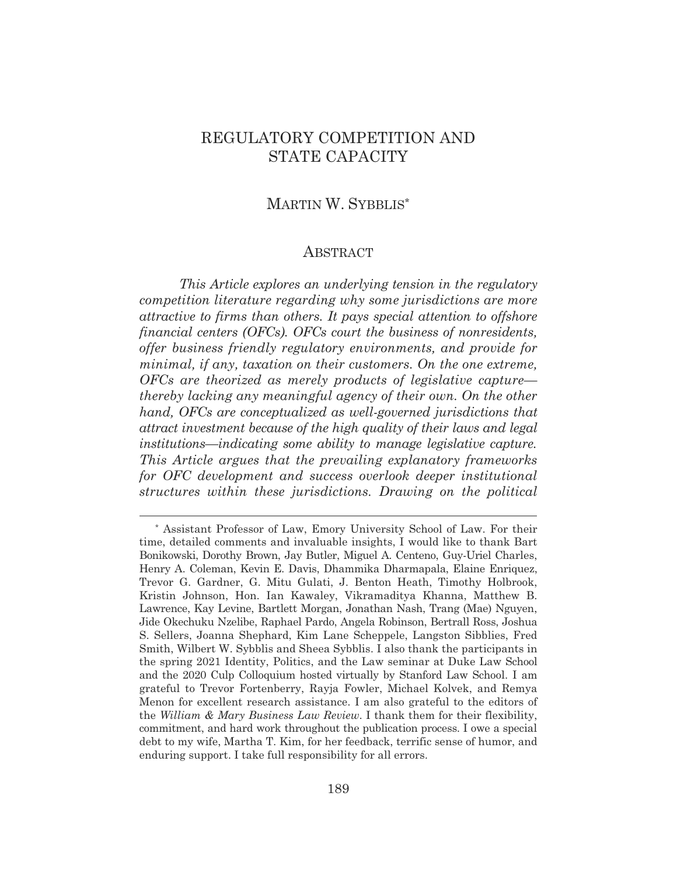# REGULATORY COMPETITION AND STATE CAPACITY

# MARTIN W. SYBBLIS\*

# ABSTRACT

*This Article explores an underlying tension in the regulatory competition literature regarding why some jurisdictions are more attractive to firms than others. It pays special attention to offshore financial centers (OFCs). OFCs court the business of nonresidents, offer business friendly regulatory environments, and provide for minimal, if any, taxation on their customers. On the one extreme, OFCs are theorized as merely products of legislative capture thereby lacking any meaningful agency of their own. On the other hand, OFCs are conceptualized as well-governed jurisdictions that attract investment because of the high quality of their laws and legal institutions—indicating some ability to manage legislative capture. This Article argues that the prevailing explanatory frameworks for OFC development and success overlook deeper institutional structures within these jurisdictions. Drawing on the political* 

<sup>\*</sup> Assistant Professor of Law, Emory University School of Law. For their time, detailed comments and invaluable insights, I would like to thank Bart Bonikowski, Dorothy Brown, Jay Butler, Miguel A. Centeno, Guy-Uriel Charles, Henry A. Coleman, Kevin E. Davis, Dhammika Dharmapala, Elaine Enriquez, Trevor G. Gardner, G. Mitu Gulati, J. Benton Heath, Timothy Holbrook, Kristin Johnson, Hon. Ian Kawaley, Vikramaditya Khanna, Matthew B. Lawrence, Kay Levine, Bartlett Morgan, Jonathan Nash, Trang (Mae) Nguyen, Jide Okechuku Nzelibe, Raphael Pardo, Angela Robinson, Bertrall Ross, Joshua S. Sellers, Joanna Shephard, Kim Lane Scheppele, Langston Sibblies, Fred Smith, Wilbert W. Sybblis and Sheea Sybblis. I also thank the participants in the spring 2021 Identity, Politics, and the Law seminar at Duke Law School and the 2020 Culp Colloquium hosted virtually by Stanford Law School. I am grateful to Trevor Fortenberry, Rayja Fowler, Michael Kolvek, and Remya Menon for excellent research assistance. I am also grateful to the editors of the *William & Mary Business Law Review*. I thank them for their flexibility, commitment, and hard work throughout the publication process. I owe a special debt to my wife, Martha T. Kim, for her feedback, terrific sense of humor, and enduring support. I take full responsibility for all errors.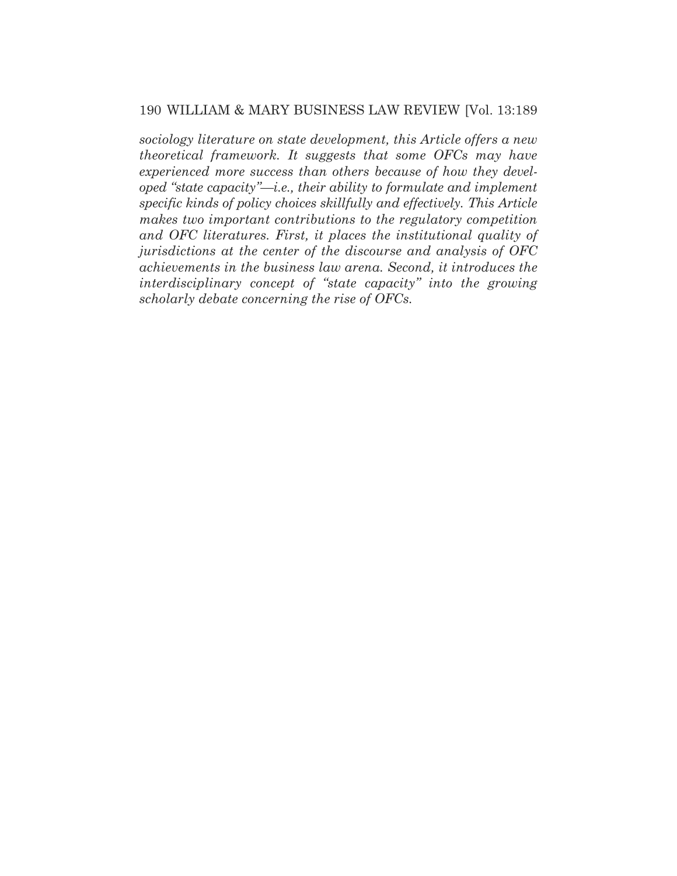# 190 WILLIAM & MARY BUSINESS LAW REVIEW [Vol. 13:189

*sociology literature on state development, this Article offers a new theoretical framework. It suggests that some OFCs may have experienced more success than others because of how they developed "state capacity"—i.e., their ability to formulate and implement specific kinds of policy choices skillfully and effectively. This Article makes two important contributions to the regulatory competition and OFC literatures. First, it places the institutional quality of jurisdictions at the center of the discourse and analysis of OFC achievements in the business law arena. Second, it introduces the interdisciplinary concept of "state capacity" into the growing scholarly debate concerning the rise of OFCs.*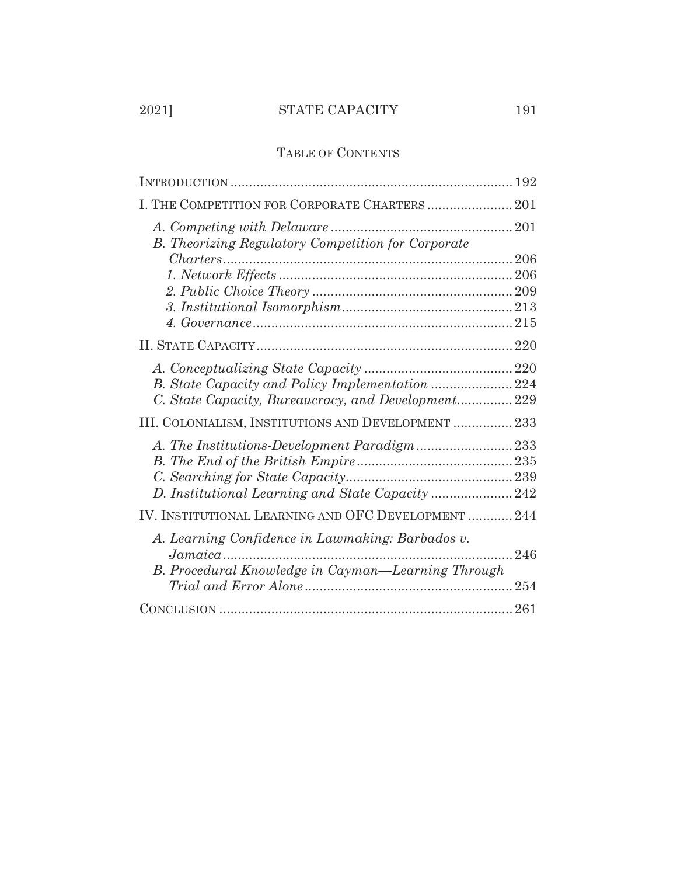# 2021] STATE CAPACITY 191

# TABLE OF CONTENTS

| I. THE COMPETITION FOR CORPORATE CHARTERS 201             |
|-----------------------------------------------------------|
| <b>B.</b> Theorizing Regulatory Competition for Corporate |
|                                                           |
|                                                           |
|                                                           |
|                                                           |
|                                                           |
|                                                           |
|                                                           |
|                                                           |
| C. State Capacity, Bureaucracy, and Development 229       |
| III. COLONIALISM, INSTITUTIONS AND DEVELOPMENT  233       |
|                                                           |
|                                                           |
|                                                           |
| D. Institutional Learning and State Capacity 242          |
| IV. INSTITUTIONAL LEARNING AND OFC DEVELOPMENT  244       |
| A. Learning Confidence in Lawmaking: Barbados v.<br>246   |
| B. Procedural Knowledge in Cayman-Learning Through        |
|                                                           |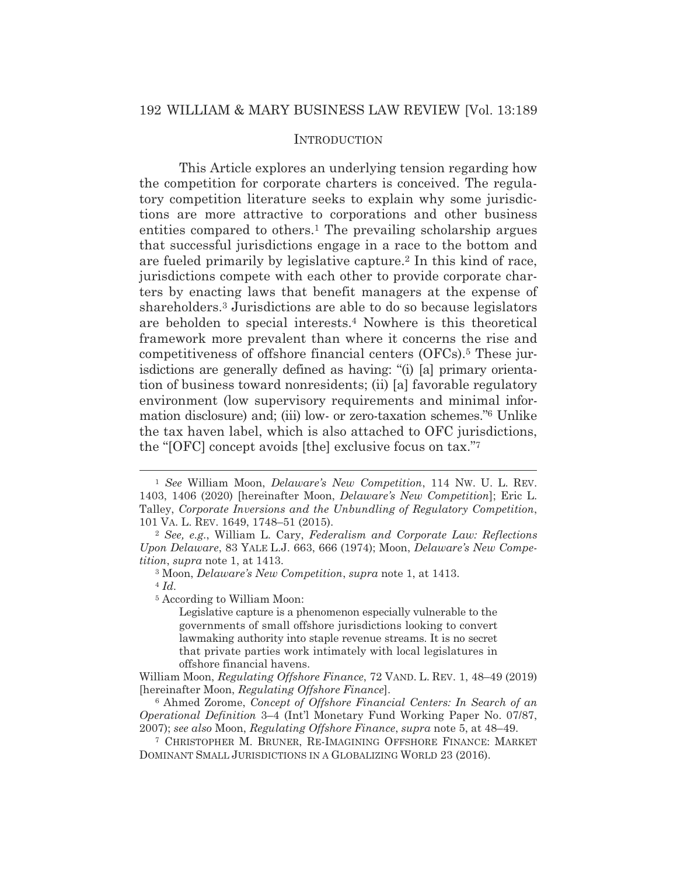## **INTRODUCTION**

This Article explores an underlying tension regarding how the competition for corporate charters is conceived. The regulatory competition literature seeks to explain why some jurisdictions are more attractive to corporations and other business entities compared to others.<sup>1</sup> The prevailing scholarship argues that successful jurisdictions engage in a race to the bottom and are fueled primarily by legislative capture.2 In this kind of race, jurisdictions compete with each other to provide corporate charters by enacting laws that benefit managers at the expense of shareholders.3 Jurisdictions are able to do so because legislators are beholden to special interests.4 Nowhere is this theoretical framework more prevalent than where it concerns the rise and competitiveness of offshore financial centers (OFCs).5 These jurisdictions are generally defined as having: "(i) [a] primary orientation of business toward nonresidents; (ii) [a] favorable regulatory environment (low supervisory requirements and minimal information disclosure) and; (iii) low- or zero-taxation schemes."6 Unlike the tax haven label, which is also attached to OFC jurisdictions, the "[OFC] concept avoids [the] exclusive focus on tax."7

<sup>1</sup> *See* William Moon, *Delaware's New Competition*, 114 NW. U. L. REV. 1403, 1406 (2020) [hereinafter Moon, *Delaware's New Competition*]; Eric L. Talley, *Corporate Inversions and the Unbundling of Regulatory Competition*, 101 VA. L. REV. 1649, 1748–51 (2015). 2 *See, e.g.*, William L. Cary, *Federalism and Corporate Law: Reflections* 

*Upon Delaware*, 83 YALE L.J. 663, 666 (1974); Moon, *Delaware's New Competition*, *supra* note 1, at 1413.

<sup>3</sup> Moon, *Delaware's New Competition*, *supra* note 1, at 1413. 4 *Id.*

<sup>5</sup> According to William Moon:

Legislative capture is a phenomenon especially vulnerable to the governments of small offshore jurisdictions looking to convert lawmaking authority into staple revenue streams. It is no secret that private parties work intimately with local legislatures in offshore financial havens.

William Moon, *Regulating Offshore Finance*, 72 VAND. L. REV. 1, 48–49 (2019) [hereinafter Moon, *Regulating Offshore Finance*].

<sup>6</sup> Ahmed Zorome, *Concept of Offshore Financial Centers: In Search of an Operational Definition* 3–4 (Int'l Monetary Fund Working Paper No. 07/87, 2007); *see also* Moon, *Regulating Offshore Finance*, *supra* note 5, at 48–49.

<sup>7</sup> CHRISTOPHER M. BRUNER, RE-IMAGINING OFFSHORE FINANCE: MARKET DOMINANT SMALL JURISDICTIONS IN A GLOBALIZING WORLD 23 (2016).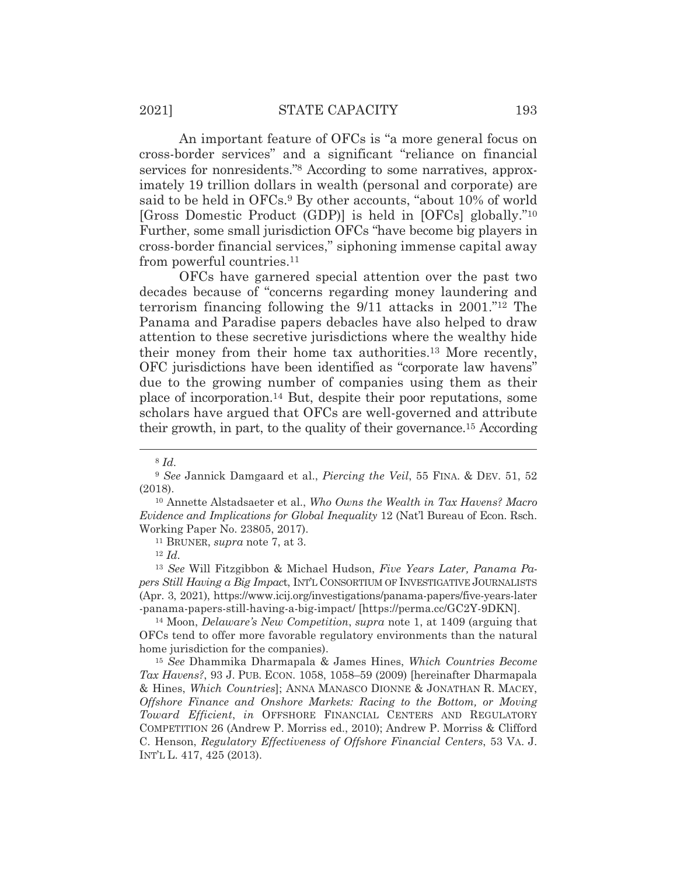An important feature of OFCs is "a more general focus on cross-border services" and a significant "reliance on financial services for nonresidents."8 According to some narratives, approximately 19 trillion dollars in wealth (personal and corporate) are said to be held in OFCs.<sup>9</sup> By other accounts, "about 10% of world [Gross Domestic Product (GDP)] is held in [OFCs] globally."10 Further, some small jurisdiction OFCs "have become big players in cross-border financial services," siphoning immense capital away from powerful countries.11

 OFCs have garnered special attention over the past two decades because of "concerns regarding money laundering and terrorism financing following the 9/11 attacks in 2001."12 The Panama and Paradise papers debacles have also helped to draw attention to these secretive jurisdictions where the wealthy hide their money from their home tax authorities.13 More recently, OFC jurisdictions have been identified as "corporate law havens" due to the growing number of companies using them as their place of incorporation.14 But, despite their poor reputations, some scholars have argued that OFCs are well-governed and attribute their growth, in part, to the quality of their governance.15 According

<sup>13</sup> *See* Will Fitzgibbon & Michael Hudson, *Five Years Later, Panama Papers Still Having a Big Impac*t, INT'L CONSORTIUM OF INVESTIGATIVE JOURNALISTS (Apr. 3, 2021), https://www.icij.org/investigations/panama-papers/five-years-later -panama-papers-still-having-a-big-impact/ [https://perma.cc/GC2Y-9DKN]. 14 Moon, *Delaware's New Competition*, *supra* note 1, at 1409 (arguing that

OFCs tend to offer more favorable regulatory environments than the natural home jurisdiction for the companies).

<sup>15</sup> *See* Dhammika Dharmapala & James Hines, *Which Countries Become Tax Havens?*, 93 J. PUB. ECON. 1058, 1058–59 (2009) [hereinafter Dharmapala & Hines, *Which Countries*]; ANNA MANASCO DIONNE & JONATHAN R. MACEY, *Offshore Finance and Onshore Markets: Racing to the Bottom, or Moving Toward Efficient*, *in* OFFSHORE FINANCIAL CENTERS AND REGULATORY COMPETITION 26 (Andrew P. Morriss ed., 2010); Andrew P. Morriss & Clifford C. Henson, *Regulatory Effectiveness of Offshore Financial Centers*, 53 VA. J. INT'L L. 417, 425 (2013).

<sup>8</sup> *Id.*

<sup>&</sup>lt;sup>9</sup> See Jannick Damgaard et al., *Piercing the Veil*, 55 FINA. & DEV. 51, 52 (2018).

<sup>10</sup> Annette Alstadsaeter et al., *Who Owns the Wealth in Tax Havens? Macro Evidence and Implications for Global Inequality* 12 (Nat'l Bureau of Econ. Rsch. Working Paper No. 23805, 2017). 11 BRUNER, *supra* note 7, at 3. 12 *Id.*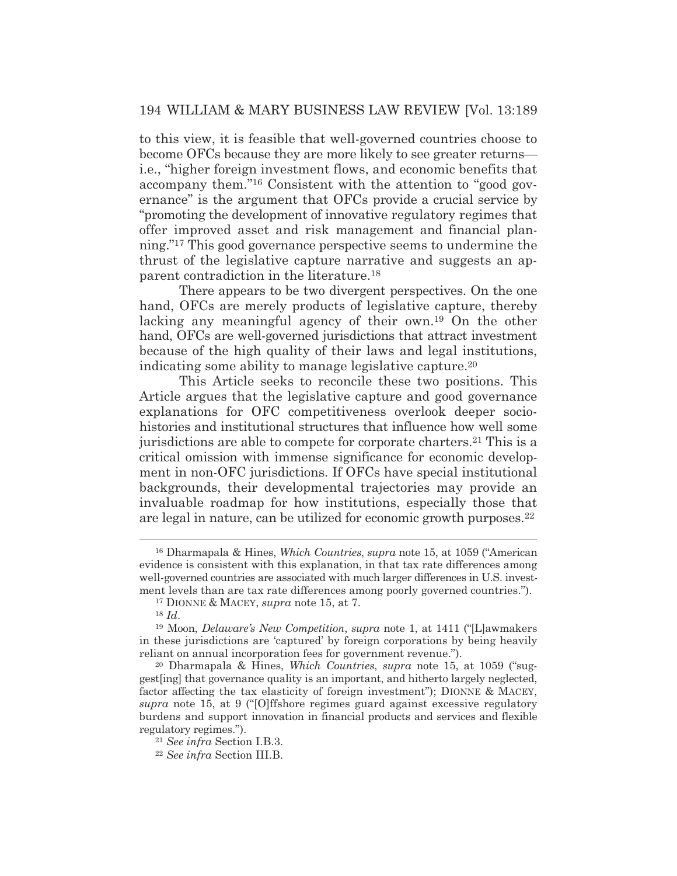# 194 WILLIAM & MARY BUSINESS LAW REVIEW [Vol. 13:189

to this view, it is feasible that well-governed countries choose to become OFCs because they are more likely to see greater returns i.e., "higher foreign investment flows, and economic benefits that accompany them."16 Consistent with the attention to "good governance" is the argument that OFCs provide a crucial service by "promoting the development of innovative regulatory regimes that offer improved asset and risk management and financial planning."17 This good governance perspective seems to undermine the thrust of the legislative capture narrative and suggests an apparent contradiction in the literature.18

 There appears to be two divergent perspectives. On the one hand, OFCs are merely products of legislative capture, thereby lacking any meaningful agency of their own.19 On the other hand, OFCs are well-governed jurisdictions that attract investment because of the high quality of their laws and legal institutions, indicating some ability to manage legislative capture.20

 This Article seeks to reconcile these two positions. This Article argues that the legislative capture and good governance explanations for OFC competitiveness overlook deeper sociohistories and institutional structures that influence how well some jurisdictions are able to compete for corporate charters.<sup>21</sup> This is a critical omission with immense significance for economic development in non-OFC jurisdictions. If OFCs have special institutional backgrounds, their developmental trajectories may provide an invaluable roadmap for how institutions, especially those that are legal in nature, can be utilized for economic growth purposes.<sup>22</sup>

<sup>16</sup> Dharmapala & Hines, *Which Countries*, *supra* note 15, at 1059 ("American evidence is consistent with this explanation, in that tax rate differences among well-governed countries are associated with much larger differences in U.S. investment levels than are tax rate differences among poorly governed countries.").

<sup>17</sup> DIONNE & MACEY, *supra* note 15, at 7.

<sup>18</sup> *Id*.

<sup>19</sup> Moon, *Delaware's New Competition*, *supra* note 1, at 1411 ("[L]awmakers in these jurisdictions are 'captured' by foreign corporations by being heavily reliant on annual incorporation fees for government revenue.").

<sup>20</sup> Dharmapala & Hines, *Which Countries*, *supra* note 15, at 1059 ("suggest[ing] that governance quality is an important, and hitherto largely neglected, factor affecting the tax elasticity of foreign investment"); DIONNE & MACEY, *supra* note 15, at 9 ("[O]ffshore regimes guard against excessive regulatory burdens and support innovation in financial products and services and flexible regulatory regimes."). 21 *See infra* Section I.B.3. 22 *See infra* Section III.B.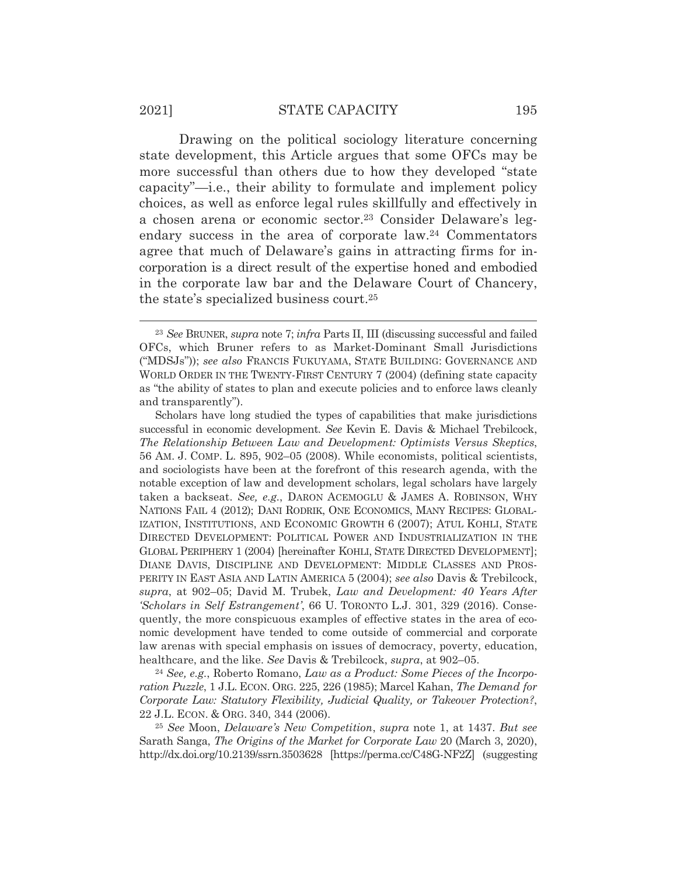# 2021] STATE CAPACITY 195

 Drawing on the political sociology literature concerning state development, this Article argues that some OFCs may be more successful than others due to how they developed "state capacity"—i.e., their ability to formulate and implement policy choices, as well as enforce legal rules skillfully and effectively in a chosen arena or economic sector.23 Consider Delaware's legendary success in the area of corporate law.24 Commentators agree that much of Delaware's gains in attracting firms for incorporation is a direct result of the expertise honed and embodied in the corporate law bar and the Delaware Court of Chancery, the state's specialized business court.25

healthcare, and the like. *See* Davis & Trebilcock, *supra*, at 902–05. 24 *See, e.g.*, Roberto Romano, *Law as a Product: Some Pieces of the Incorporation Puzzle*, 1 J.L. ECON. ORG. 225, 226 (1985); Marcel Kahan, *The Demand for Corporate Law: Statutory Flexibility, Judicial Quality, or Takeover Protection?*, 22 J.L. ECON.&ORG. 340, 344 (2006).

<sup>25</sup> *See* Moon, *Delaware's New Competition*, *supra* note 1, at 1437. *But see* Sarath Sanga, *The Origins of the Market for Corporate Law* 20 (March 3, 2020), http://dx.doi.org/10.2139/ssrn.3503628 [https://perma.cc/C48G-NF2Z] (suggesting

<sup>23</sup> *See* BRUNER, *supra* note 7; *infra* Parts II, III (discussing successful and failed OFCs, which Bruner refers to as Market-Dominant Small Jurisdictions ("MDSJs")); *see also* FRANCIS FUKUYAMA, STATE BUILDING: GOVERNANCE AND WORLD ORDER IN THE TWENTY-FIRST CENTURY 7 (2004) (defining state capacity as "the ability of states to plan and execute policies and to enforce laws cleanly and transparently").

Scholars have long studied the types of capabilities that make jurisdictions successful in economic development*. See* Kevin E. Davis & Michael Trebilcock, *The Relationship Between Law and Development: Optimists Versus Skeptics*, 56 AM. J. COMP. L. 895, 902–05 (2008). While economists, political scientists, and sociologists have been at the forefront of this research agenda, with the notable exception of law and development scholars, legal scholars have largely taken a backseat. *See, e.g.*, DARON ACEMOGLU & JAMES A. ROBINSON, WHY NATIONS FAIL 4 (2012); DANI RODRIK, ONE ECONOMICS, MANY RECIPES: GLOBAL-IZATION, INSTITUTIONS, AND ECONOMIC GROWTH 6 (2007); ATUL KOHLI, STATE DIRECTED DEVELOPMENT: POLITICAL POWER AND INDUSTRIALIZATION IN THE GLOBAL PERIPHERY 1 (2004) [hereinafter KOHLI, STATE DIRECTED DEVELOPMENT]; DIANE DAVIS, DISCIPLINE AND DEVELOPMENT: MIDDLE CLASSES AND PROS-PERITY IN EAST ASIA AND LATIN AMERICA 5 (2004); *see also* Davis & Trebilcock, *supra*, at 902–05; David M. Trubek, *Law and Development: 40 Years After 'Scholars in Self Estrangement'*, 66 U. TORONTO L.J. 301, 329 (2016). Consequently, the more conspicuous examples of effective states in the area of economic development have tended to come outside of commercial and corporate law arenas with special emphasis on issues of democracy, poverty, education,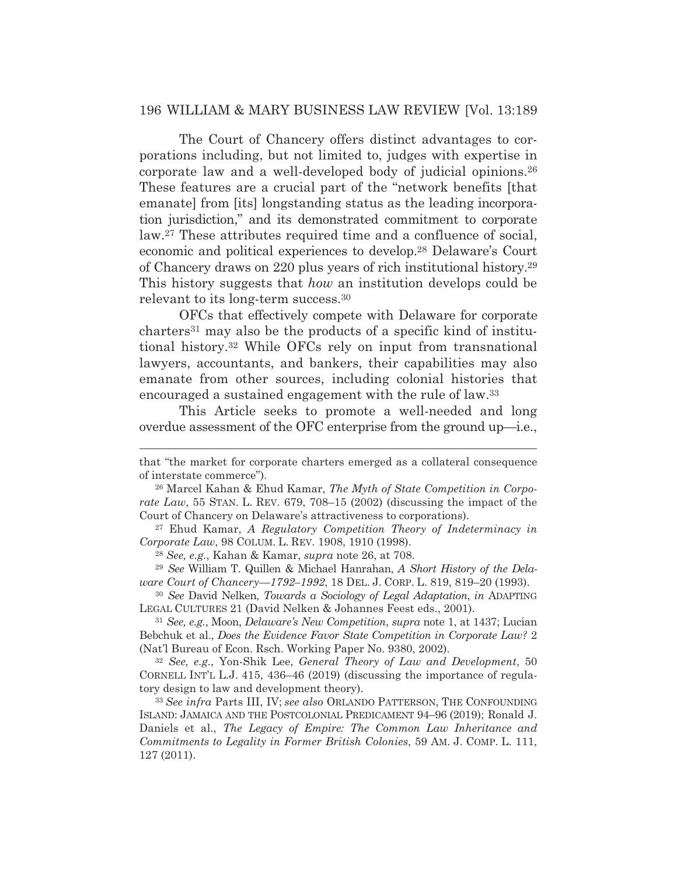### 196 WILLIAM & MARY BUSINESS LAW REVIEW [Vol. 13:189

 The Court of Chancery offers distinct advantages to corporations including, but not limited to, judges with expertise in corporate law and a well-developed body of judicial opinions.26 These features are a crucial part of the "network benefits [that emanate] from [its] longstanding status as the leading incorporation jurisdiction," and its demonstrated commitment to corporate law.27 These attributes required time and a confluence of social, economic and political experiences to develop.28 Delaware's Court of Chancery draws on 220 plus years of rich institutional history.29 This history suggests that *how* an institution develops could be relevant to its long-term success.30

 OFCs that effectively compete with Delaware for corporate charters31 may also be the products of a specific kind of institutional history.32 While OFCs rely on input from transnational lawyers, accountants, and bankers, their capabilities may also emanate from other sources, including colonial histories that encouraged a sustained engagement with the rule of law.33

This Article seeks to promote a well-needed and long overdue assessment of the OFC enterprise from the ground up—i.e.,

that "the market for corporate charters emerged as a collateral consequence of interstate commerce").

<sup>26</sup> Marcel Kahan & Ehud Kamar, *The Myth of State Competition in Corporate Law*, 55 STAN. L. REV. 679, 708–15 (2002) (discussing the impact of the Court of Chancery on Delaware's attractiveness to corporations).

<sup>27</sup> Ehud Kamar, *A Regulatory Competition Theory of Indeterminacy in Corporate Law*, 98 COLUM. L. REV. 1908, 1910 (1998).

<sup>28</sup> *See, e.g.*, Kahan & Kamar, *supra* note 26, at 708.

<sup>29</sup> *See* William T. Quillen & Michael Hanrahan, *A Short History of the Delaware Court of Chancery—1792–1992*, 18 DEL. J. CORP. L. 819, 819–20 (1993).

<sup>30</sup> *See* David Nelken, *Towards a Sociology of Legal Adaptation*, *in* ADAPTING LEGAL CULTURES 21 (David Nelken & Johannes Feest eds., 2001).

<sup>31</sup> *See, e.g.*, Moon, *Delaware's New Competition*, *supra* note 1, at 1437; Lucian Bebchuk et al., *Does the Evidence Favor State Competition in Corporate Law?* 2 (Nat'l Bureau of Econ. Rsch. Working Paper No. 9380, 2002).

<sup>32</sup> *See, e.g.*, Yon-Shik Lee, *General Theory of Law and Development*, 50 CORNELL INT'L L.J. 415, 436–46 (2019) (discussing the importance of regulatory design to law and development theory).

<sup>33</sup> *See infra* Parts III, IV; *see also* ORLANDO PATTERSON, THE CONFOUNDING ISLAND: JAMAICA AND THE POSTCOLONIAL PREDICAMENT 94–96 (2019); Ronald J. Daniels et al., *The Legacy of Empire: The Common Law Inheritance and Commitments to Legality in Former British Colonies*, 59 AM. J. COMP. L. 111, 127 (2011).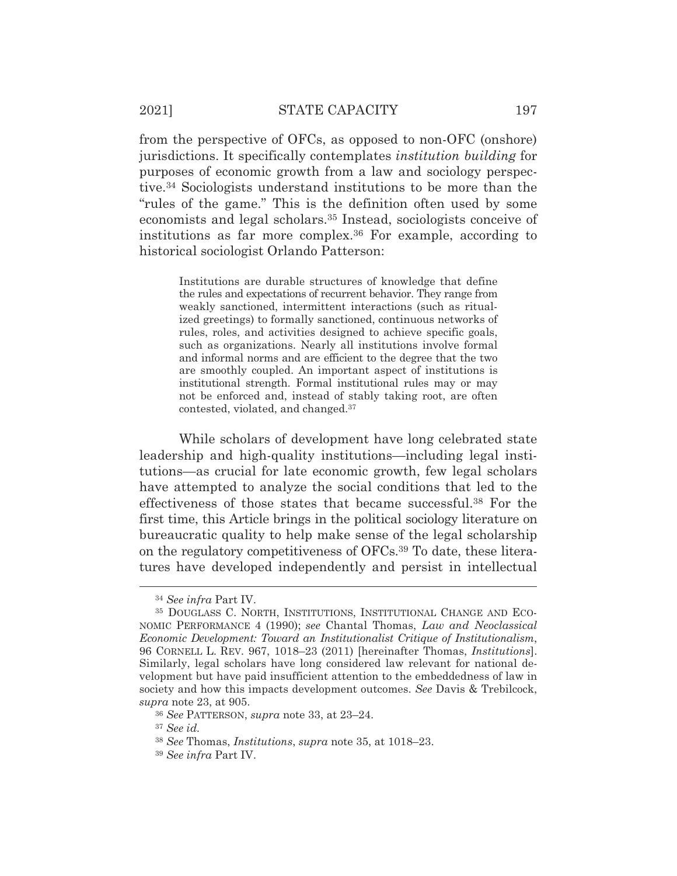from the perspective of OFCs, as opposed to non-OFC (onshore) jurisdictions. It specifically contemplates *institution building* for purposes of economic growth from a law and sociology perspective.34 Sociologists understand institutions to be more than the "rules of the game." This is the definition often used by some economists and legal scholars.35 Instead, sociologists conceive of institutions as far more complex.36 For example, according to historical sociologist Orlando Patterson:

> Institutions are durable structures of knowledge that define the rules and expectations of recurrent behavior. They range from weakly sanctioned, intermittent interactions (such as ritualized greetings) to formally sanctioned, continuous networks of rules, roles, and activities designed to achieve specific goals, such as organizations. Nearly all institutions involve formal and informal norms and are efficient to the degree that the two are smoothly coupled. An important aspect of institutions is institutional strength. Formal institutional rules may or may not be enforced and, instead of stably taking root, are often contested, violated, and changed.37

While scholars of development have long celebrated state leadership and high-quality institutions—including legal institutions—as crucial for late economic growth, few legal scholars have attempted to analyze the social conditions that led to the effectiveness of those states that became successful.38 For the first time, this Article brings in the political sociology literature on bureaucratic quality to help make sense of the legal scholarship on the regulatory competitiveness of OFCs.39 To date, these literatures have developed independently and persist in intellectual

<sup>34</sup> *See infra* Part IV.

<sup>35</sup> DOUGLASS C. NORTH, INSTITUTIONS, INSTITUTIONAL CHANGE AND ECO-NOMIC PERFORMANCE 4 (1990); *see* Chantal Thomas, *Law and Neoclassical Economic Development: Toward an Institutionalist Critique of Institutionalism*, 96 CORNELL L. REV. 967, 1018–23 (2011) [hereinafter Thomas, *Institutions*]. Similarly, legal scholars have long considered law relevant for national development but have paid insufficient attention to the embeddedness of law in society and how this impacts development outcomes. *See* Davis & Trebilcock, *supra* note 23, at 905.

<sup>36</sup> *See* PATTERSON, *supra* note 33, at 23–24.

<sup>37</sup> *See id.*

<sup>38</sup> *See* Thomas, *Institutions*, *supra* note 35, at 1018–23.

<sup>39</sup> *See infra* Part IV.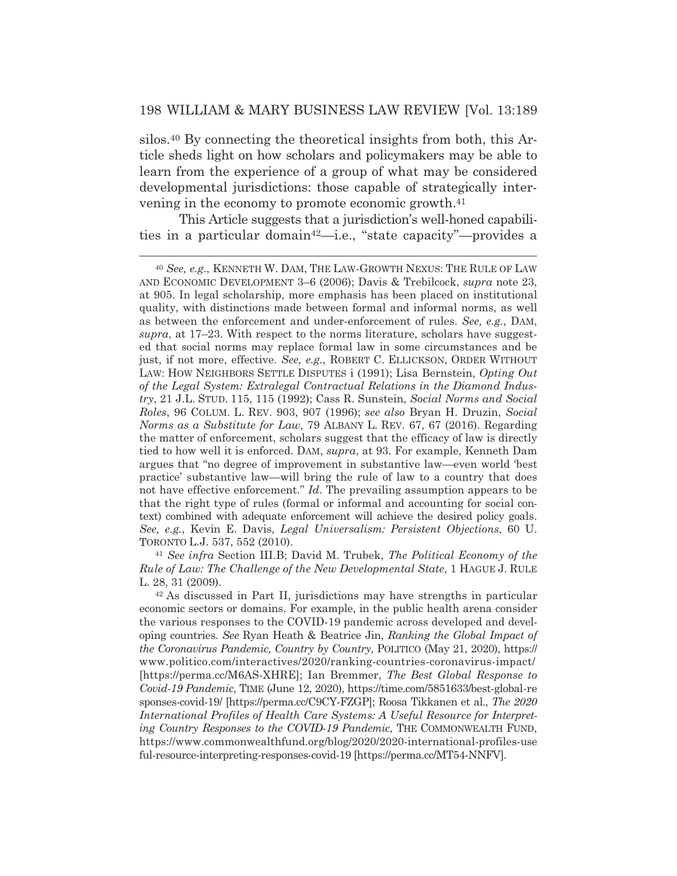silos.40 By connecting the theoretical insights from both, this Article sheds light on how scholars and policymakers may be able to learn from the experience of a group of what may be considered developmental jurisdictions: those capable of strategically intervening in the economy to promote economic growth.41

 This Article suggests that a jurisdiction's well-honed capabilities in a particular domain42—i.e., "state capacity"—provides a

*Rule of Law: The Challenge of the New Developmental State*, 1 HAGUE J. RULE L. 28, 31 (2009).<br><sup>42</sup> As discussed in Part II, jurisdictions may have strengths in particular

<sup>40</sup> *See, e.g.*, KENNETH W. DAM, THE LAW-GROWTH NEXUS: THE RULE OF LAW AND ECONOMIC DEVELOPMENT 3–6 (2006); Davis & Trebilcock, *supra* note 23, at 905. In legal scholarship, more emphasis has been placed on institutional quality, with distinctions made between formal and informal norms, as well as between the enforcement and under-enforcement of rules. *See, e.g.*, DAM, *supra*, at 17–23. With respect to the norms literature, scholars have suggested that social norms may replace formal law in some circumstances and be just, if not more, effective. *See, e.g.*, ROBERT C. ELLICKSON, ORDER WITHOUT LAW: HOW NEIGHBORS SETTLE DISPUTES i (1991); Lisa Bernstein, *Opting Out of the Legal System: Extralegal Contractual Relations in the Diamond Industry*, 21 J.L. STUD. 115, 115 (1992); Cass R. Sunstein, *Social Norms and Social Roles*, 96 COLUM. L. REV. 903, 907 (1996); *see also* Bryan H. Druzin, *Social Norms as a Substitute for Law*, 79 ALBANY L. REV. 67, 67 (2016). Regarding the matter of enforcement, scholars suggest that the efficacy of law is directly tied to how well it is enforced. DAM, *supra*, at 93. For example, Kenneth Dam argues that "no degree of improvement in substantive law—even world 'best practice' substantive law—will bring the rule of law to a country that does not have effective enforcement." *Id*. The prevailing assumption appears to be that the right type of rules (formal or informal and accounting for social context) combined with adequate enforcement will achieve the desired policy goals. *See, e.g.*, Kevin E. Davis, *Legal Universalism: Persistent Objections*, 60 U. TORONTO L.J. 537, 552 (2010). 41 *See infra* Section III.B; David M. Trubek, *The Political Economy of the* 

economic sectors or domains. For example, in the public health arena consider the various responses to the COVID-19 pandemic across developed and developing countries. *See* Ryan Heath & Beatrice Jin, *Ranking the Global Impact of the Coronavirus Pandemic, Country by Country*, POLITICO (May 21, 2020), https:// www.politico.com/interactives/2020/ranking-countries-coronavirus-impact/ [https://perma.cc/M6AS-XHRE]; Ian Bremmer, *The Best Global Response to Covid-19 Pandemic*, TIME (June 12, 2020), https://time.com/5851633/best-global-re sponses-covid-19/ [https://perma.cc/C9CY-FZGP]; Roosa Tikkanen et al., *The 2020 International Profiles of Health Care Systems: A Useful Resource for Interpreting Country Responses to the COVID-19 Pandemic*, THE COMMONWEALTH FUND, https://www.commonwealthfund.org/blog/2020/2020-international-profiles-use ful-resource-interpreting-responses-covid-19 [https://perma.cc/MT54-NNFV].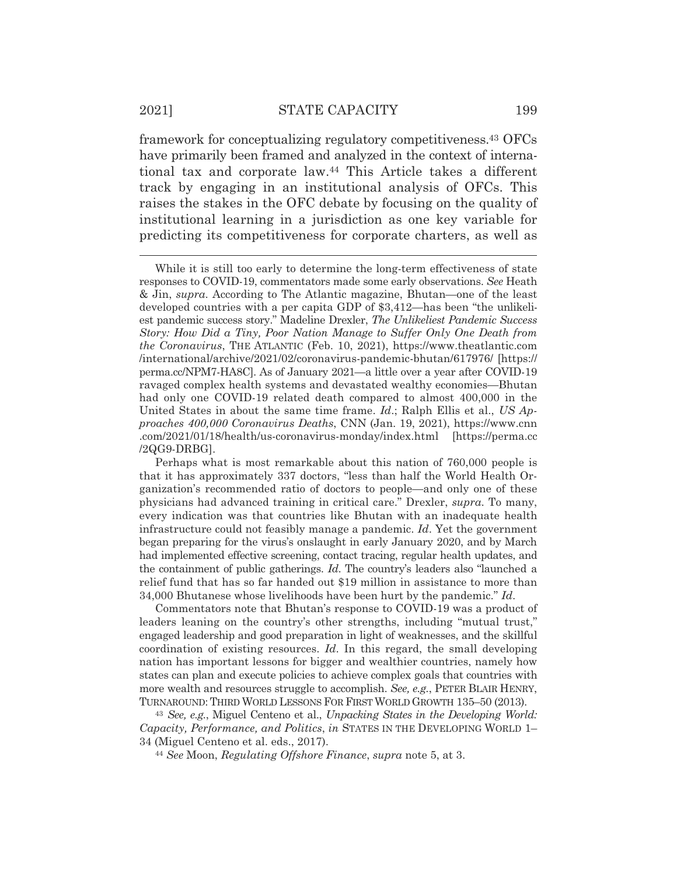framework for conceptualizing regulatory competitiveness.43 OFCs have primarily been framed and analyzed in the context of international tax and corporate law.44 This Article takes a different track by engaging in an institutional analysis of OFCs. This raises the stakes in the OFC debate by focusing on the quality of institutional learning in a jurisdiction as one key variable for predicting its competitiveness for corporate charters, as well as

Commentators note that Bhutan's response to COVID-19 was a product of leaders leaning on the country's other strengths, including "mutual trust," engaged leadership and good preparation in light of weaknesses, and the skillful coordination of existing resources. *Id*. In this regard, the small developing nation has important lessons for bigger and wealthier countries, namely how states can plan and execute policies to achieve complex goals that countries with more wealth and resources struggle to accomplish. *See, e.g.*, PETER BLAIR HENRY, TURNAROUND: THIRD WORLD LESSONS FOR FIRSTWORLD GROWTH 135–50 (2013).

<sup>43</sup> *See, e.g.*, Miguel Centeno et al., *Unpacking States in the Developing World: Capacity, Performance, and Politics*, *in* STATES IN THE DEVELOPING WORLD 1– 34 (Miguel Centeno et al. eds., 2017). 44 *See* Moon, *Regulating Offshore Finance*, *supra* note 5, at 3.

While it is still too early to determine the long-term effectiveness of state responses to COVID-19, commentators made some early observations. *See* Heath & Jin, *supra*. According to The Atlantic magazine, Bhutan—one of the least developed countries with a per capita GDP of \$3,412—has been "the unlikeliest pandemic success story." Madeline Drexler, *The Unlikeliest Pandemic Success Story: How Did a Tiny, Poor Nation Manage to Suffer Only One Death from the Coronavirus*, THE ATLANTIC (Feb. 10, 2021), https://www.theatlantic.com /international/archive/2021/02/coronavirus-pandemic-bhutan/617976/ [https:// perma.cc/NPM7-HA8C]. As of January 2021—a little over a year after COVID-19 ravaged complex health systems and devastated wealthy economies—Bhutan had only one COVID-19 related death compared to almost 400,000 in the United States in about the same time frame. *Id*.; Ralph Ellis et al., *US Approaches 400,000 Coronavirus Deaths*, CNN (Jan. 19, 2021), https://www.cnn .com/2021/01/18/health/us-coronavirus-monday/index.html [https://perma.cc /2QG9-DRBG].

Perhaps what is most remarkable about this nation of 760,000 people is that it has approximately 337 doctors, "less than half the World Health Organization's recommended ratio of doctors to people—and only one of these physicians had advanced training in critical care." Drexler, *supra*. To many, every indication was that countries like Bhutan with an inadequate health infrastructure could not feasibly manage a pandemic. *Id*. Yet the government began preparing for the virus's onslaught in early January 2020, and by March had implemented effective screening, contact tracing, regular health updates, and the containment of public gatherings. *Id*. The country's leaders also "launched a relief fund that has so far handed out \$19 million in assistance to more than 34,000 Bhutanese whose livelihoods have been hurt by the pandemic." *Id*.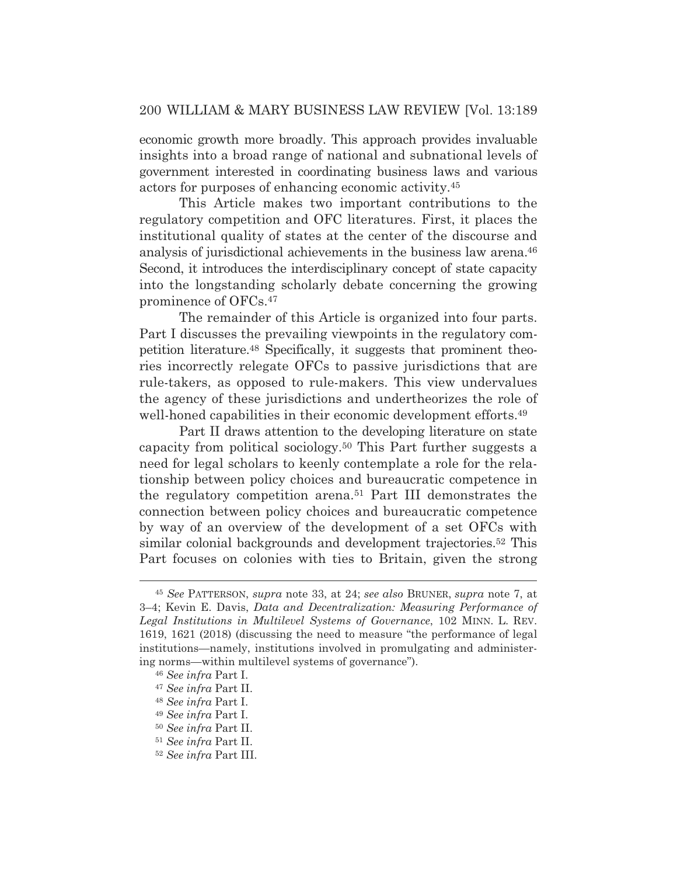economic growth more broadly. This approach provides invaluable insights into a broad range of national and subnational levels of government interested in coordinating business laws and various actors for purposes of enhancing economic activity.45

 This Article makes two important contributions to the regulatory competition and OFC literatures. First, it places the institutional quality of states at the center of the discourse and analysis of jurisdictional achievements in the business law arena.46 Second, it introduces the interdisciplinary concept of state capacity into the longstanding scholarly debate concerning the growing prominence of OFCs.47

 The remainder of this Article is organized into four parts. Part I discusses the prevailing viewpoints in the regulatory competition literature.48 Specifically, it suggests that prominent theories incorrectly relegate OFCs to passive jurisdictions that are rule-takers, as opposed to rule-makers. This view undervalues the agency of these jurisdictions and undertheorizes the role of well-honed capabilities in their economic development efforts.<sup>49</sup>

Part II draws attention to the developing literature on state capacity from political sociology.50 This Part further suggests a need for legal scholars to keenly contemplate a role for the relationship between policy choices and bureaucratic competence in the regulatory competition arena.51 Part III demonstrates the connection between policy choices and bureaucratic competence by way of an overview of the development of a set OFCs with similar colonial backgrounds and development trajectories.52 This Part focuses on colonies with ties to Britain, given the strong

<sup>45</sup> *See* PATTERSON, *supra* note 33, at 24; *see also* BRUNER, *supra* note 7, at 3–4; Kevin E. Davis, *Data and Decentralization: Measuring Performance of Legal Institutions in Multilevel Systems of Governance*, 102 MINN. L. REV. 1619, 1621 (2018) (discussing the need to measure "the performance of legal institutions—namely, institutions involved in promulgating and administering norms—within multilevel systems of governance").

<sup>46</sup> *See infra* Part I.

<sup>47</sup> *See infra* Part II.

<sup>48</sup> *See infra* Part I.

<sup>49</sup> *See infra* Part I.

<sup>50</sup> *See infra* Part II.

<sup>51</sup> *See infra* Part II.

<sup>52</sup> *See infra* Part III.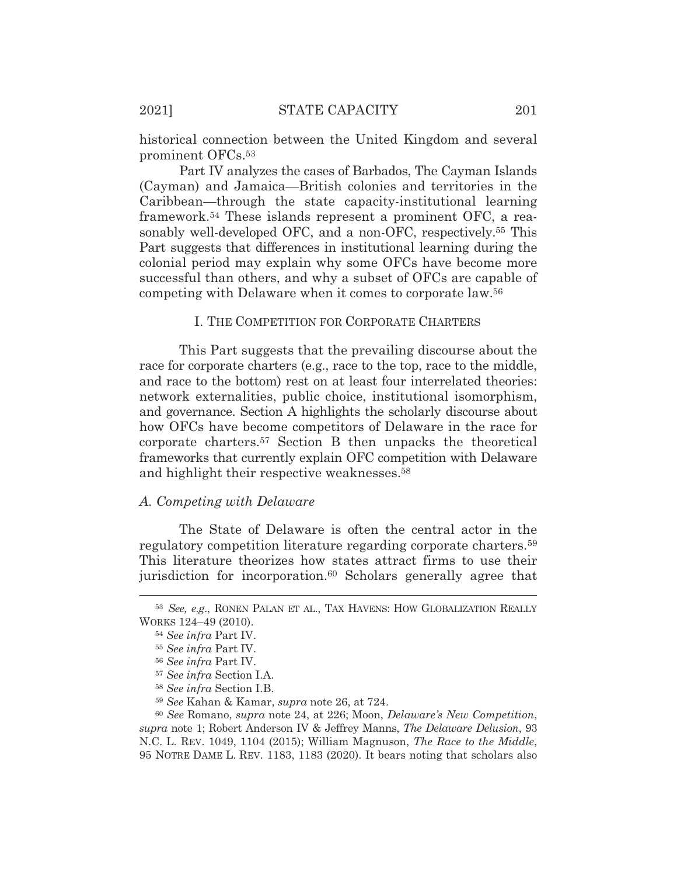historical connection between the United Kingdom and several prominent OFCs.53

Part IV analyzes the cases of Barbados, The Cayman Islands (Cayman) and Jamaica—British colonies and territories in the Caribbean—through the state capacity-institutional learning framework.54 These islands represent a prominent OFC, a reasonably well-developed OFC, and a non-OFC, respectively.<sup>55</sup> This Part suggests that differences in institutional learning during the colonial period may explain why some OFCs have become more successful than others, and why a subset of OFCs are capable of competing with Delaware when it comes to corporate law.56

#### I. THE COMPETITION FOR CORPORATE CHARTERS

This Part suggests that the prevailing discourse about the race for corporate charters (e.g., race to the top, race to the middle, and race to the bottom) rest on at least four interrelated theories: network externalities, public choice, institutional isomorphism, and governance. Section A highlights the scholarly discourse about how OFCs have become competitors of Delaware in the race for corporate charters.57 Section B then unpacks the theoretical frameworks that currently explain OFC competition with Delaware and highlight their respective weaknesses.58

#### *A. Competing with Delaware*

The State of Delaware is often the central actor in the regulatory competition literature regarding corporate charters.59 This literature theorizes how states attract firms to use their jurisdiction for incorporation.<sup>60</sup> Scholars generally agree that

<sup>53</sup> *See, e.g*., RONEN PALAN ET AL., TAX HAVENS: HOW GLOBALIZATION REALLY WORKS 124–49 (2010).

<sup>54</sup> *See infra* Part IV.

<sup>55</sup> *See infra* Part IV.

<sup>56</sup> *See infra* Part IV.

<sup>57</sup> *See infra* Section I.A.

<sup>58</sup> *See infra* Section I.B.

<sup>59</sup> *See* Kahan & Kamar, *supra* note 26, at 724.

<sup>60</sup> *See* Romano, *supra* note 24, at 226; Moon, *Delaware's New Competition*, *supra* note 1; Robert Anderson IV & Jeffrey Manns, *The Delaware Delusion*, 93 N.C. L. REV. 1049, 1104 (2015); William Magnuson, *The Race to the Middle*, 95 NOTRE DAME L. REV. 1183, 1183 (2020). It bears noting that scholars also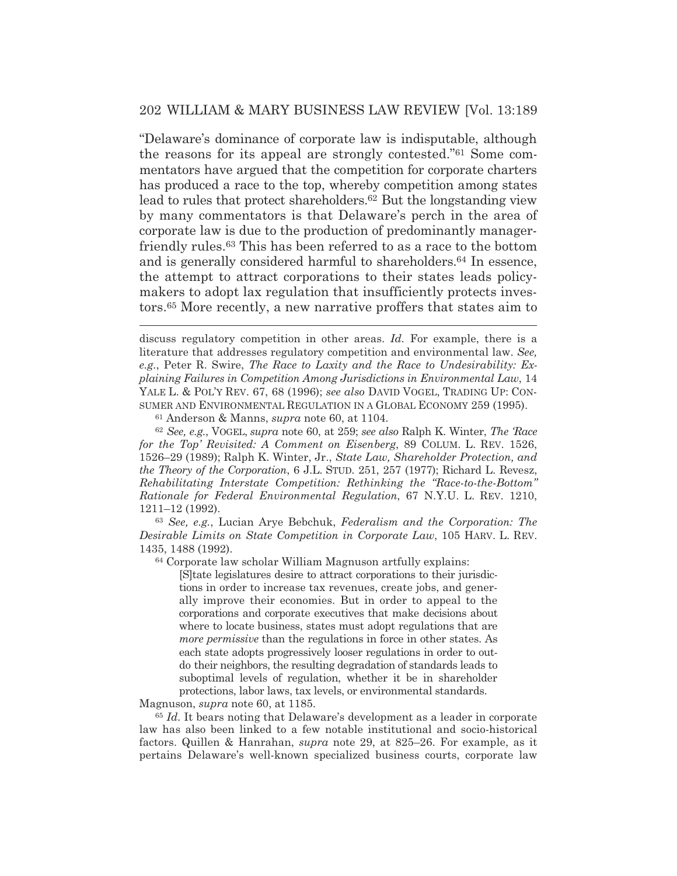"Delaware's dominance of corporate law is indisputable, although the reasons for its appeal are strongly contested."61 Some commentators have argued that the competition for corporate charters has produced a race to the top, whereby competition among states lead to rules that protect shareholders.62 But the longstanding view by many commentators is that Delaware's perch in the area of corporate law is due to the production of predominantly managerfriendly rules.63 This has been referred to as a race to the bottom and is generally considered harmful to shareholders.64 In essence, the attempt to attract corporations to their states leads policymakers to adopt lax regulation that insufficiently protects investors.65 More recently, a new narrative proffers that states aim to

discuss regulatory competition in other areas. *Id.* For example, there is a literature that addresses regulatory competition and environmental law. *See, e.g.*, Peter R. Swire, *The Race to Laxity and the Race to Undesirability: Explaining Failures in Competition Among Jurisdictions in Environmental Law*, 14 YALE L. & POL'Y REV. 67, 68 (1996); *see also* DAVID VOGEL, TRADING UP: CON-SUMER AND ENVIRONMENTAL REGULATION IN A GLOBAL ECONOMY 259 (1995).

61 Anderson & Manns, *supra* note 60, at 1104*.*

<sup>62</sup> *See, e.g.*, VOGEL, *supra* note 60, at 259; *see also* Ralph K. Winter, *The 'Race for the Top' Revisited: A Comment on Eisenberg*, 89 COLUM. L. REV. 1526, 1526–29 (1989); Ralph K. Winter, Jr., *State Law, Shareholder Protection, and the Theory of the Corporation*, 6 J.L. STUD. 251, 257 (1977); Richard L. Revesz, *Rehabilitating Interstate Competition: Rethinking the "Race-to-the-Bottom" Rationale for Federal Environmental Regulation*, 67 N.Y.U. L. REV. 1210, 1211–12 (1992).

<sup>63</sup> *See, e.g.*, Lucian Arye Bebchuk, *Federalism and the Corporation: The Desirable Limits on State Competition in Corporate Law*, 105 HARV. L. REV. 1435, 1488 (1992).

64 Corporate law scholar William Magnuson artfully explains:

[S]tate legislatures desire to attract corporations to their jurisdictions in order to increase tax revenues, create jobs, and generally improve their economies. But in order to appeal to the corporations and corporate executives that make decisions about where to locate business, states must adopt regulations that are *more permissive* than the regulations in force in other states. As each state adopts progressively looser regulations in order to outdo their neighbors, the resulting degradation of standards leads to suboptimal levels of regulation, whether it be in shareholder protections, labor laws, tax levels, or environmental standards.

Magnuson, *supra* note 60, at 1185.

<sup>65</sup> *Id.* It bears noting that Delaware's development as a leader in corporate law has also been linked to a few notable institutional and socio-historical factors. Quillen & Hanrahan, *supra* note 29, at 825–26. For example, as it pertains Delaware's well-known specialized business courts, corporate law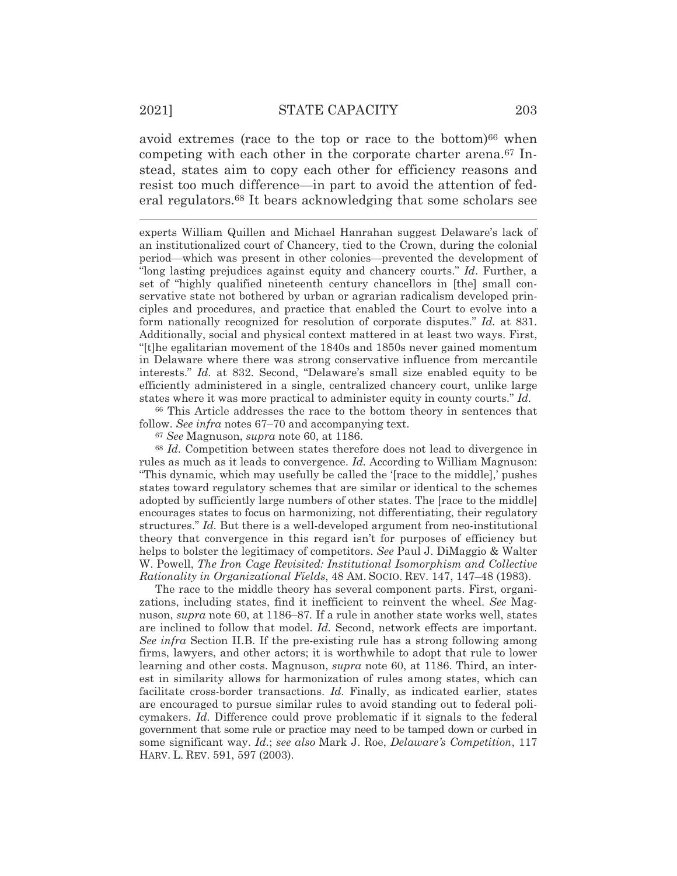avoid extremes (race to the top or race to the bottom)<sup>66</sup> when competing with each other in the corporate charter arena.<sup>67</sup> Instead, states aim to copy each other for efficiency reasons and resist too much difference—in part to avoid the attention of federal regulators.68 It bears acknowledging that some scholars see

experts William Quillen and Michael Hanrahan suggest Delaware's lack of an institutionalized court of Chancery, tied to the Crown, during the colonial period—which was present in other colonies—prevented the development of "long lasting prejudices against equity and chancery courts." *Id*. Further, a set of "highly qualified nineteenth century chancellors in [the] small conservative state not bothered by urban or agrarian radicalism developed principles and procedures, and practice that enabled the Court to evolve into a form nationally recognized for resolution of corporate disputes." *Id.* at 831. Additionally, social and physical context mattered in at least two ways. First, "[t]he egalitarian movement of the 1840s and 1850s never gained momentum in Delaware where there was strong conservative influence from mercantile interests." *Id.* at 832. Second, "Delaware's small size enabled equity to be efficiently administered in a single, centralized chancery court, unlike large states where it was more practical to administer equity in county courts." *Id.* 

66 This Article addresses the race to the bottom theory in sentences that follow. *See infra* notes 67–70 and accompanying text.

<sup>67</sup> *See* Magnuson, *supra* note 60, at 1186.

<sup>68</sup> *Id.* Competition between states therefore does not lead to divergence in rules as much as it leads to convergence. *Id.* According to William Magnuson: "This dynamic, which may usefully be called the '[race to the middle],' pushes states toward regulatory schemes that are similar or identical to the schemes adopted by sufficiently large numbers of other states. The [race to the middle] encourages states to focus on harmonizing, not differentiating, their regulatory structures." *Id.* But there is a well-developed argument from neo-institutional theory that convergence in this regard isn't for purposes of efficiency but helps to bolster the legitimacy of competitors. *See* Paul J. DiMaggio & Walter W. Powell, *The Iron Cage Revisited: Institutional Isomorphism and Collective Rationality in Organizational Fields*, 48 AM. SOCIO. REV. 147, 147–48 (1983).

The race to the middle theory has several component parts. First, organizations, including states, find it inefficient to reinvent the wheel. *See* Magnuson, *supra* note 60, at 1186–87*.* If a rule in another state works well, states are inclined to follow that model. *Id.* Second, network effects are important. *See infra* Section II.B. If the pre-existing rule has a strong following among firms, lawyers, and other actors; it is worthwhile to adopt that rule to lower learning and other costs. Magnuson, *supra* note 60, at 1186. Third, an interest in similarity allows for harmonization of rules among states, which can facilitate cross-border transactions. *Id.* Finally, as indicated earlier, states are encouraged to pursue similar rules to avoid standing out to federal policymakers. *Id.* Difference could prove problematic if it signals to the federal government that some rule or practice may need to be tamped down or curbed in some significant way. *Id.*; *see also* Mark J. Roe, *Delaware's Competition*, 117 HARV. L. REV. 591, 597 (2003).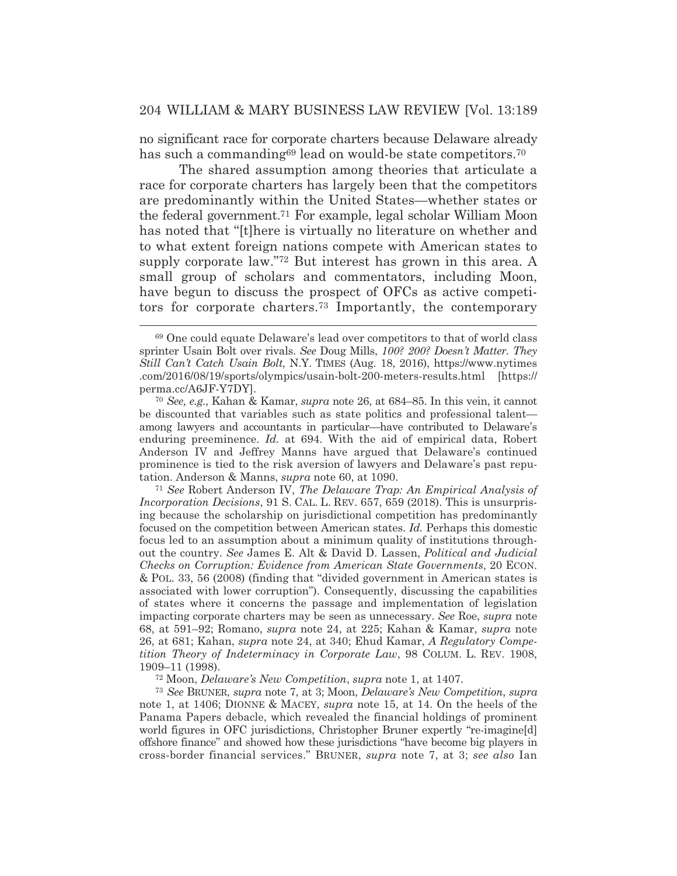no significant race for corporate charters because Delaware already has such a commanding<sup>69</sup> lead on would-be state competitors.<sup>70</sup>

 The shared assumption among theories that articulate a race for corporate charters has largely been that the competitors are predominantly within the United States—whether states or the federal government.71 For example, legal scholar William Moon has noted that "[t]here is virtually no literature on whether and to what extent foreign nations compete with American states to supply corporate law."<sup>72</sup> But interest has grown in this area. A small group of scholars and commentators, including Moon, have begun to discuss the prospect of OFCs as active competitors for corporate charters.73 Importantly, the contemporary

<sup>71</sup> *See* Robert Anderson IV, *The Delaware Trap: An Empirical Analysis of Incorporation Decisions*, 91 S. CAL. L. REV. 657, 659 (2018). This is unsurprising because the scholarship on jurisdictional competition has predominantly focused on the competition between American states. *Id.* Perhaps this domestic focus led to an assumption about a minimum quality of institutions throughout the country. *See* James E. Alt & David D. Lassen, *Political and Judicial Checks on Corruption: Evidence from American State Governments*, 20 ECON. & POL. 33, 56 (2008) (finding that "divided government in American states is associated with lower corruption"). Consequently, discussing the capabilities of states where it concerns the passage and implementation of legislation impacting corporate charters may be seen as unnecessary. *See* Roe, *supra* note 68, at 591–92; Romano, *supra* note 24, at 225; Kahan & Kamar, *supra* note 26, at 681; Kahan, *supra* note 24, at 340; Ehud Kamar, *A Regulatory Competition Theory of Indeterminacy in Corporate Law*, 98 COLUM. L. REV. 1908, 1909–11 (1998).

72 Moon, *Delaware's New Competition*, *supra* note 1, at 1407.

<sup>73</sup> *See* BRUNER, *supra* note 7, at 3; Moon, *Delaware's New Competition*, *supra* note 1, at 1406; DIONNE & MACEY, *supra* note 15, at 14. On the heels of the Panama Papers debacle, which revealed the financial holdings of prominent world figures in OFC jurisdictions, Christopher Bruner expertly "re-imagine[d] offshore finance" and showed how these jurisdictions "have become big players in cross-border financial services." BRUNER, *supra* note 7, at 3; *see also* Ian

<sup>69</sup> One could equate Delaware's lead over competitors to that of world class sprinter Usain Bolt over rivals. *See* Doug Mills, *100? 200? Doesn't Matter. They Still Can't Catch Usain Bolt*, N.Y. TIMES (Aug. 18, 2016), https://www.nytimes .com/2016/08/19/sports/olympics/usain-bolt-200-meters-results.html [https:// perma.cc/A6JF-Y7DY].

<sup>70</sup> *See, e.g.*, Kahan & Kamar, *supra* note 26, at 684–85. In this vein, it cannot be discounted that variables such as state politics and professional talent among lawyers and accountants in particular—have contributed to Delaware's enduring preeminence. *Id.* at 694. With the aid of empirical data, Robert Anderson IV and Jeffrey Manns have argued that Delaware's continued prominence is tied to the risk aversion of lawyers and Delaware's past reputation. Anderson & Manns, *supra* note 60, at 1090.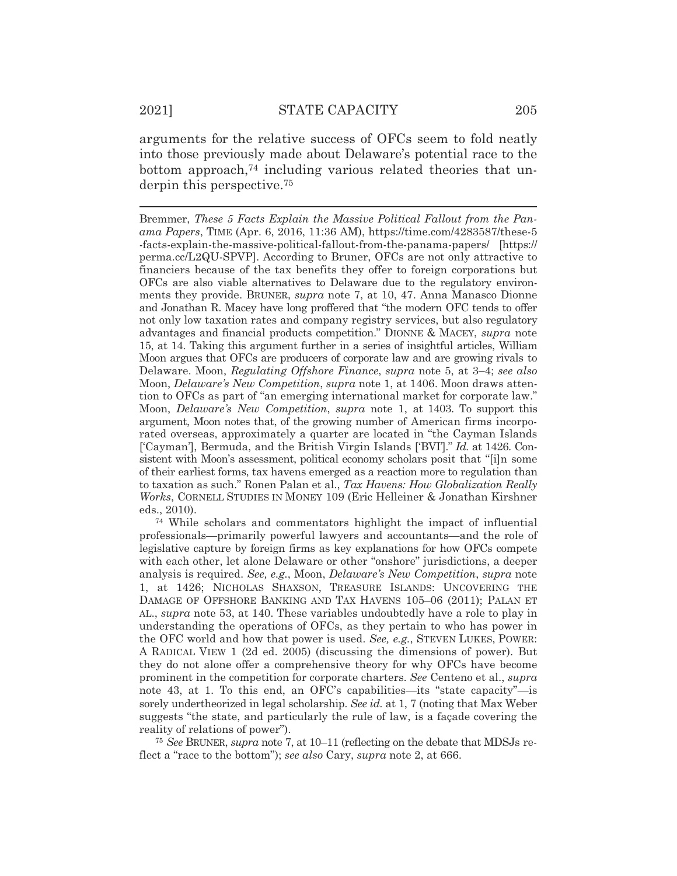arguments for the relative success of OFCs seem to fold neatly into those previously made about Delaware's potential race to the bottom approach,<sup>74</sup> including various related theories that underpin this perspective.75

Bremmer, *These 5 Facts Explain the Massive Political Fallout from the Panama Papers*, TIME (Apr. 6, 2016, 11:36 AM), https://time.com/4283587/these-5 -facts-explain-the-massive-political-fallout-from-the-panama-papers/ [https:// perma.cc/L2QU-SPVP]. According to Bruner, OFCs are not only attractive to financiers because of the tax benefits they offer to foreign corporations but OFCs are also viable alternatives to Delaware due to the regulatory environments they provide. BRUNER, *supra* note 7, at 10, 47. Anna Manasco Dionne and Jonathan R. Macey have long proffered that "the modern OFC tends to offer not only low taxation rates and company registry services, but also regulatory advantages and financial products competition." DIONNE & MACEY, *supra* note 15, at 14. Taking this argument further in a series of insightful articles, William Moon argues that OFCs are producers of corporate law and are growing rivals to Delaware. Moon, *Regulating Offshore Finance*, *supra* note 5, at 3–4; *see also* Moon, *Delaware's New Competition*, *supra* note 1, at 1406. Moon draws attention to OFCs as part of "an emerging international market for corporate law." Moon, *Delaware's New Competition*, *supra* note 1, at 1403. To support this argument, Moon notes that, of the growing number of American firms incorporated overseas, approximately a quarter are located in "the Cayman Islands ['Cayman'], Bermuda, and the British Virgin Islands ['BVI']." *Id.* at 1426. Consistent with Moon's assessment, political economy scholars posit that "[i]n some of their earliest forms, tax havens emerged as a reaction more to regulation than to taxation as such." Ronen Palan et al., *Tax Havens: How Globalization Really Works*, CORNELL STUDIES IN MONEY 109 (Eric Helleiner & Jonathan Kirshner eds., 2010).

74 While scholars and commentators highlight the impact of influential professionals—primarily powerful lawyers and accountants—and the role of legislative capture by foreign firms as key explanations for how OFCs compete with each other, let alone Delaware or other "onshore" jurisdictions, a deeper analysis is required. *See, e.g.*, Moon, *Delaware's New Competition*, *supra* note 1, at 1426; NICHOLAS SHAXSON, TREASURE ISLANDS: UNCOVERING THE DAMAGE OF OFFSHORE BANKING AND TAX HAVENS 105–06 (2011); PALAN ET AL., *supra* note 53, at 140. These variables undoubtedly have a role to play in understanding the operations of OFCs, as they pertain to who has power in the OFC world and how that power is used. *See, e.g.*, STEVEN LUKES, POWER: A RADICAL VIEW 1 (2d ed. 2005) (discussing the dimensions of power). But they do not alone offer a comprehensive theory for why OFCs have become prominent in the competition for corporate charters. *See* Centeno et al., *supra* note 43, at 1. To this end, an OFC's capabilities—its "state capacity"—is sorely undertheorized in legal scholarship. *See id.* at 1, 7 (noting that Max Weber suggests "the state, and particularly the rule of law, is a façade covering the reality of relations of power").

<sup>75</sup> *See* BRUNER, *supra* note 7, at 10–11 (reflecting on the debate that MDSJs reflect a "race to the bottom"); *see also* Cary, *supra* note 2, at 666.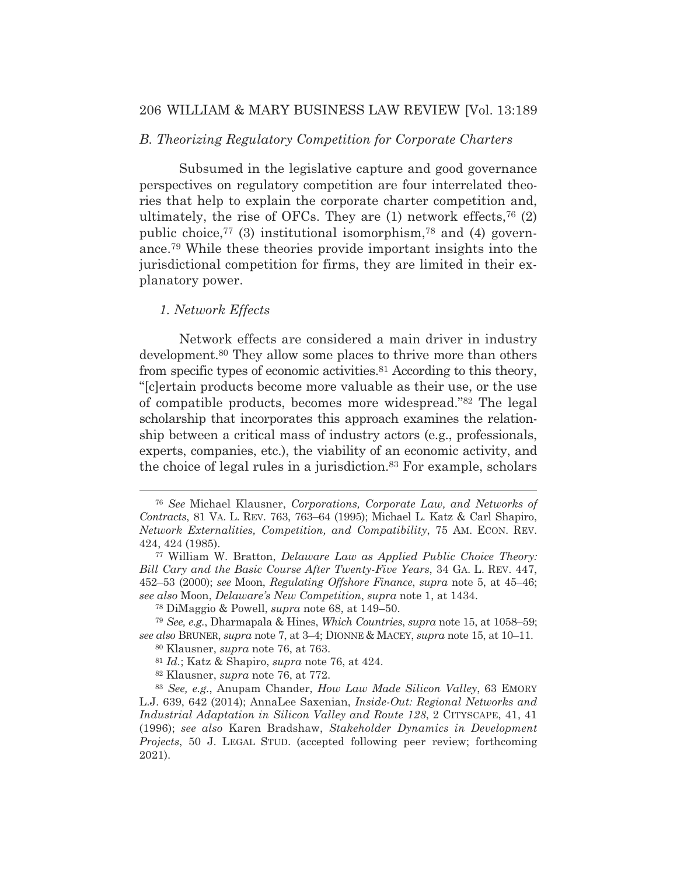# 206 WILLIAM & MARY BUSINESS LAW REVIEW [Vol. 13:189

### *B. Theorizing Regulatory Competition for Corporate Charters*

 Subsumed in the legislative capture and good governance perspectives on regulatory competition are four interrelated theories that help to explain the corporate charter competition and, ultimately, the rise of OFCs. They are  $(1)$  network effects,<sup>76</sup> $(2)$ public choice,<sup>77</sup> (3) institutional isomorphism,<sup>78</sup> and (4) governance.79 While these theories provide important insights into the jurisdictional competition for firms, they are limited in their explanatory power.

# *1. Network Effects*

 Network effects are considered a main driver in industry development.80 They allow some places to thrive more than others from specific types of economic activities.81 According to this theory, "[c]ertain products become more valuable as their use, or the use of compatible products, becomes more widespread."82 The legal scholarship that incorporates this approach examines the relationship between a critical mass of industry actors (e.g., professionals, experts, companies, etc.), the viability of an economic activity, and the choice of legal rules in a jurisdiction.83 For example, scholars

<sup>76</sup> *See* Michael Klausner, *Corporations, Corporate Law, and Networks of Contracts*, 81 VA. L. REV. 763, 763–64 (1995); Michael L. Katz & Carl Shapiro, *Network Externalities, Competition, and Compatibility*, 75 AM. ECON. REV. 424, 424 (1985).

<sup>77</sup> William W. Bratton, *Delaware Law as Applied Public Choice Theory: Bill Cary and the Basic Course After Twenty-Five Years*, 34 GA. L. REV. 447, 452–53 (2000); *see* Moon, *Regulating Offshore Finance*, *supra* note 5, at 45–46; *see also* Moon, *Delaware's New Competition*, *supra* note 1, at 1434.

<sup>78</sup> DiMaggio & Powell, *supra* note 68, at 149–50.

<sup>79</sup> *See, e.g.*, Dharmapala & Hines, *Which Countries*, *supra* note 15, at 1058–59; *see also* BRUNER, *supra* note 7, at 3–4; DIONNE & MACEY, *supra* note 15, at 10–11.

<sup>80</sup> Klausner, *supra* note 76, at 763.

<sup>81</sup> *Id.*; Katz & Shapiro, *supra* note 76, at 424.

<sup>82</sup> Klausner, *supra* note 76, at 772.

<sup>83</sup> *See, e.g.*, Anupam Chander, *How Law Made Silicon Valley*, 63 EMORY L.J. 639, 642 (2014); AnnaLee Saxenian, *Inside-Out: Regional Networks and Industrial Adaptation in Silicon Valley and Route 128*, 2 CITYSCAPE, 41, 41 (1996); *see also* Karen Bradshaw, *Stakeholder Dynamics in Development Projects*, 50 J. LEGAL STUD. (accepted following peer review; forthcoming 2021).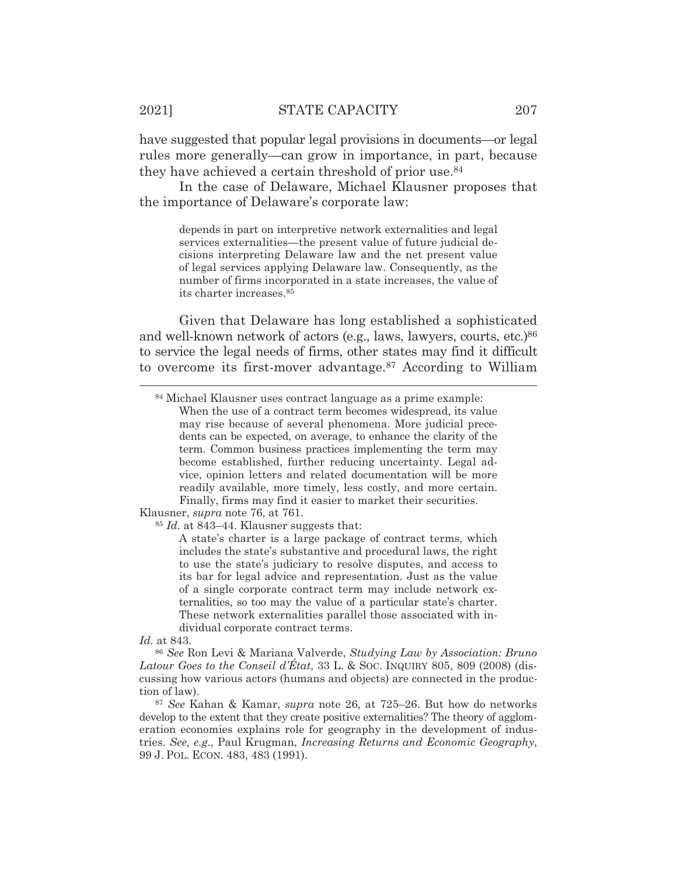have suggested that popular legal provisions in documents—or legal rules more generally—can grow in importance, in part, because they have achieved a certain threshold of prior use.<sup>84</sup>

 In the case of Delaware, Michael Klausner proposes that the importance of Delaware's corporate law:

depends in part on interpretive network externalities and legal services externalities—the present value of future judicial decisions interpreting Delaware law and the net present value of legal services applying Delaware law. Consequently, as the number of firms incorporated in a state increases, the value of its charter increases.85

Given that Delaware has long established a sophisticated and well-known network of actors (e.g., laws, lawyers, courts, etc.)<sup>86</sup> to service the legal needs of firms, other states may find it difficult to overcome its first-mover advantage.87 According to William

Klausner, *supra* note 76, at 761.

<sup>85</sup> *Id.* at 843–44. Klausner suggests that:

A state's charter is a large package of contract terms, which includes the state's substantive and procedural laws, the right to use the state's judiciary to resolve disputes, and access to its bar for legal advice and representation. Just as the value of a single corporate contract term may include network externalities, so too may the value of a particular state's charter. These network externalities parallel those associated with individual corporate contract terms.

*Id.* at 843.

<sup>86</sup> *See* Ron Levi & Mariana Valverde, *Studying Law by Association: Bruno Latour Goes to the Conseil d'État*, 33 L. & SOC. INQUIRY 805, 809 (2008) (discussing how various actors (humans and objects) are connected in the production of law).

<sup>87</sup> *See* Kahan & Kamar, *supra* note 26, at 725–26. But how do networks develop to the extent that they create positive externalities? The theory of agglomeration economies explains role for geography in the development of industries. *See, e.g.*, Paul Krugman, *Increasing Returns and Economic Geography*, 99 J. POL. ECON. 483, 483 (1991).

<sup>84</sup> Michael Klausner uses contract language as a prime example: When the use of a contract term becomes widespread, its value may rise because of several phenomena. More judicial precedents can be expected, on average, to enhance the clarity of the term. Common business practices implementing the term may become established, further reducing uncertainty. Legal advice, opinion letters and related documentation will be more readily available, more timely, less costly, and more certain. Finally, firms may find it easier to market their securities.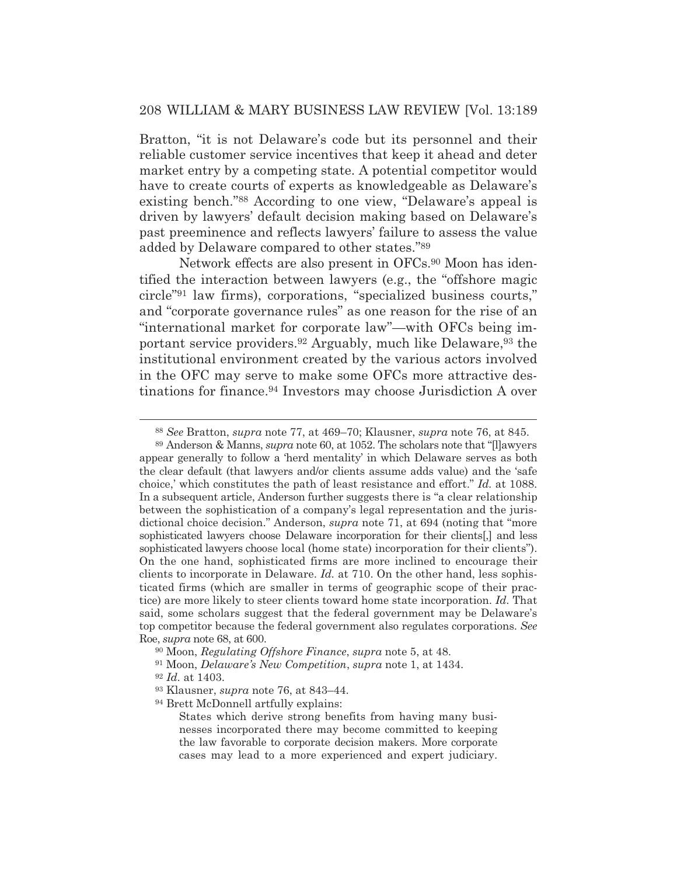Bratton, "it is not Delaware's code but its personnel and their reliable customer service incentives that keep it ahead and deter market entry by a competing state. A potential competitor would have to create courts of experts as knowledgeable as Delaware's existing bench."88 According to one view, "Delaware's appeal is driven by lawyers' default decision making based on Delaware's past preeminence and reflects lawyers' failure to assess the value added by Delaware compared to other states."89

 Network effects are also present in OFCs.90 Moon has identified the interaction between lawyers (e.g., the "offshore magic circle"91 law firms), corporations, "specialized business courts," and "corporate governance rules" as one reason for the rise of an "international market for corporate law"—with OFCs being important service providers.92 Arguably, much like Delaware,93 the institutional environment created by the various actors involved in the OFC may serve to make some OFCs more attractive destinations for finance.94 Investors may choose Jurisdiction A over

<sup>88</sup> *See* Bratton, *supra* note 77, at 469–70; Klausner, *supra* note 76, at 845.

<sup>89</sup> Anderson & Manns, *supra* note 60, at 1052. The scholars note that "[l]awyers appear generally to follow a 'herd mentality' in which Delaware serves as both the clear default (that lawyers and/or clients assume adds value) and the 'safe choice,' which constitutes the path of least resistance and effort." *Id.* at 1088. In a subsequent article, Anderson further suggests there is "a clear relationship between the sophistication of a company's legal representation and the jurisdictional choice decision." Anderson, *supra* note 71, at 694 (noting that "more sophisticated lawyers choose Delaware incorporation for their clients[,] and less sophisticated lawyers choose local (home state) incorporation for their clients"). On the one hand, sophisticated firms are more inclined to encourage their clients to incorporate in Delaware. *Id.* at 710. On the other hand, less sophisticated firms (which are smaller in terms of geographic scope of their practice) are more likely to steer clients toward home state incorporation. *Id.* That said, some scholars suggest that the federal government may be Delaware's top competitor because the federal government also regulates corporations. *See* Roe, *supra* note 68, at 600.

<sup>90</sup> Moon, *Regulating Offshore Finance*, *supra* note 5, at 48.

<sup>91</sup> Moon, *Delaware's New Competition*, *supra* note 1, at 1434.

<sup>92</sup> *Id.* at 1403.

<sup>93</sup> Klausner, *supra* note 76, at 843–44.

<sup>94</sup> Brett McDonnell artfully explains:

States which derive strong benefits from having many businesses incorporated there may become committed to keeping the law favorable to corporate decision makers. More corporate cases may lead to a more experienced and expert judiciary.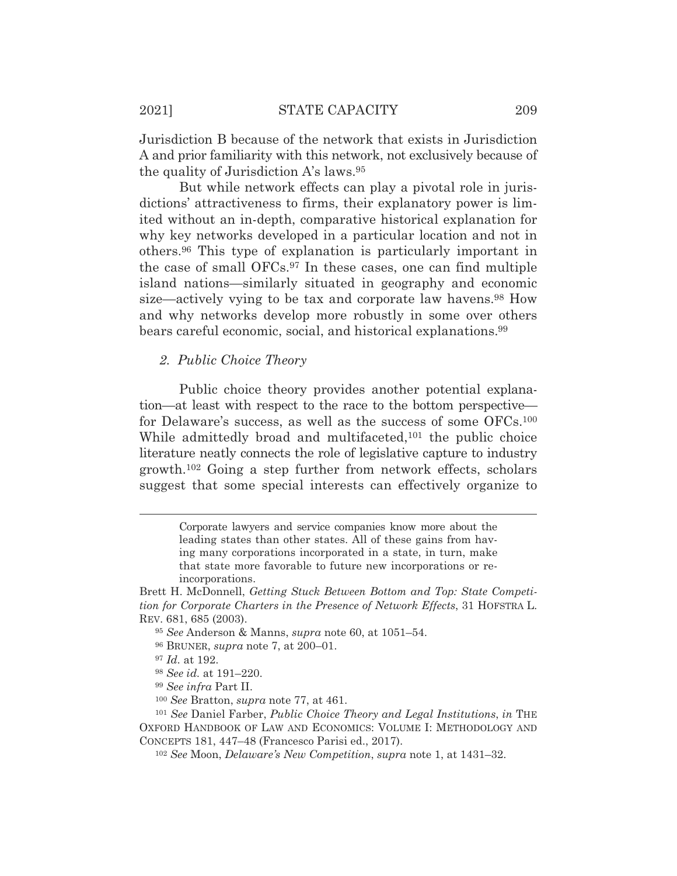Jurisdiction B because of the network that exists in Jurisdiction A and prior familiarity with this network, not exclusively because of the quality of Jurisdiction A's laws.95

 But while network effects can play a pivotal role in jurisdictions' attractiveness to firms, their explanatory power is limited without an in-depth, comparative historical explanation for why key networks developed in a particular location and not in others.96 This type of explanation is particularly important in the case of small OFCs.97 In these cases, one can find multiple island nations—similarly situated in geography and economic size—actively vying to be tax and corporate law havens.<sup>98</sup> How and why networks develop more robustly in some over others bears careful economic, social, and historical explanations.99

*2. Public Choice Theory* 

 Public choice theory provides another potential explanation—at least with respect to the race to the bottom perspective for Delaware's success, as well as the success of some OFCs.<sup>100</sup> While admittedly broad and multifaceted,<sup>101</sup> the public choice literature neatly connects the role of legislative capture to industry growth.102 Going a step further from network effects, scholars suggest that some special interests can effectively organize to

<sup>97</sup> *Id.* at 192.

<sup>98</sup> *See id.* at 191–220.

<sup>99</sup> *See infra* Part II.

<sup>100</sup> *See* Bratton, *supra* note 77, at 461.

<sup>101</sup> *See* Daniel Farber, *Public Choice Theory and Legal Institutions*, *in* THE OXFORD HANDBOOK OF LAW AND ECONOMICS: VOLUME I: METHODOLOGY AND CONCEPTS 181, 447–48 (Francesco Parisi ed., 2017).

<sup>102</sup> *See* Moon, *Delaware's New Competition*, *supra* note 1, at 1431–32.

Corporate lawyers and service companies know more about the leading states than other states. All of these gains from having many corporations incorporated in a state, in turn, make that state more favorable to future new incorporations or reincorporations.

Brett H. McDonnell, *Getting Stuck Between Bottom and Top: State Competition for Corporate Charters in the Presence of Network Effects*, 31 HOFSTRA L. REV. 681, 685 (2003).

<sup>95</sup> *See* Anderson & Manns, *supra* note 60, at 1051–54.

<sup>96</sup> BRUNER, *supra* note 7, at 200–01.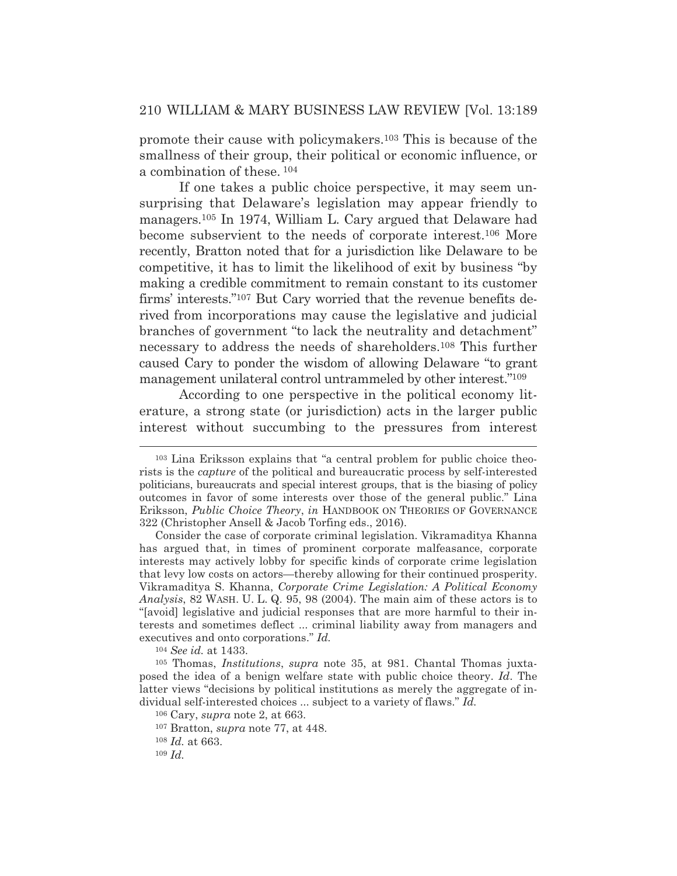promote their cause with policymakers.103 This is because of the smallness of their group, their political or economic influence, or a combination of these. 104

 If one takes a public choice perspective, it may seem unsurprising that Delaware's legislation may appear friendly to managers.105 In 1974, William L. Cary argued that Delaware had become subservient to the needs of corporate interest.106 More recently, Bratton noted that for a jurisdiction like Delaware to be competitive, it has to limit the likelihood of exit by business "by making a credible commitment to remain constant to its customer firms' interests."107 But Cary worried that the revenue benefits derived from incorporations may cause the legislative and judicial branches of government "to lack the neutrality and detachment" necessary to address the needs of shareholders.108 This further caused Cary to ponder the wisdom of allowing Delaware "to grant management unilateral control untrammeled by other interest."109

 According to one perspective in the political economy literature, a strong state (or jurisdiction) acts in the larger public interest without succumbing to the pressures from interest

<sup>104</sup> *See id.* at 1433.

<sup>108</sup> *Id.* at 663.

<sup>103</sup> Lina Eriksson explains that "a central problem for public choice theorists is the *capture* of the political and bureaucratic process by self-interested politicians, bureaucrats and special interest groups, that is the biasing of policy outcomes in favor of some interests over those of the general public." Lina Eriksson, *Public Choice Theory*, *in* HANDBOOK ON THEORIES OF GOVERNANCE 322 (Christopher Ansell & Jacob Torfing eds., 2016).

Consider the case of corporate criminal legislation. Vikramaditya Khanna has argued that, in times of prominent corporate malfeasance, corporate interests may actively lobby for specific kinds of corporate crime legislation that levy low costs on actors—thereby allowing for their continued prosperity. Vikramaditya S. Khanna, *Corporate Crime Legislation: A Political Economy Analysis*, 82 WASH. U. L. Q. 95, 98 (2004). The main aim of these actors is to "[avoid] legislative and judicial responses that are more harmful to their interests and sometimes deflect ... criminal liability away from managers and executives and onto corporations." *Id.*

<sup>105</sup> Thomas, *Institutions*, *supra* note 35, at 981. Chantal Thomas juxtaposed the idea of a benign welfare state with public choice theory. *Id*. The latter views "decisions by political institutions as merely the aggregate of individual self-interested choices ... subject to a variety of flaws." *Id.*

<sup>106</sup> Cary, *supra* note 2, at 663.

<sup>107</sup> Bratton, *supra* note 77, at 448.

<sup>109</sup> *Id.*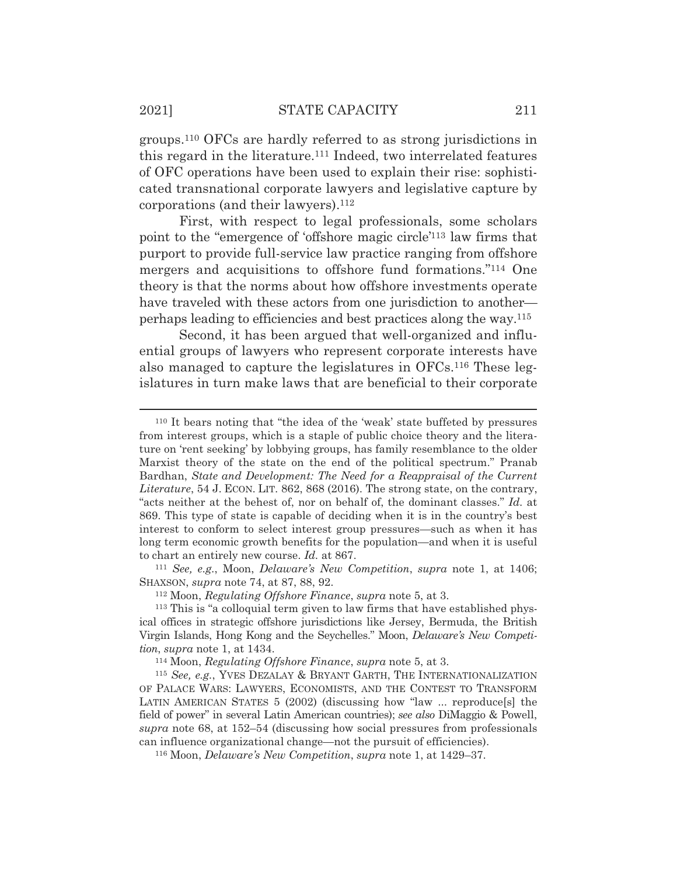groups.110 OFCs are hardly referred to as strong jurisdictions in this regard in the literature.111 Indeed, two interrelated features of OFC operations have been used to explain their rise: sophisticated transnational corporate lawyers and legislative capture by corporations (and their lawyers).112

First, with respect to legal professionals, some scholars point to the "emergence of 'offshore magic circle'113 law firms that purport to provide full-service law practice ranging from offshore mergers and acquisitions to offshore fund formations."114 One theory is that the norms about how offshore investments operate have traveled with these actors from one jurisdiction to another perhaps leading to efficiencies and best practices along the way.115

Second, it has been argued that well-organized and influential groups of lawyers who represent corporate interests have also managed to capture the legislatures in OFCs.116 These legislatures in turn make laws that are beneficial to their corporate

SHAXSON, *supra* note 74, at 87, 88, 92. 112 Moon, *Regulating Offshore Finance*, *supra* note 5, at 3.

<sup>115</sup> *See, e.g.*, YVES DEZALAY & BRYANT GARTH, THE INTERNATIONALIZATION OF PALACE WARS: LAWYERS, ECONOMISTS, AND THE CONTEST TO TRANSFORM LATIN AMERICAN STATES 5 (2002) (discussing how "law ... reproduce[s] the field of power" in several Latin American countries); *see also* DiMaggio & Powell, *supra* note 68, at 152–54 (discussing how social pressures from professionals can influence organizational change—not the pursuit of efficiencies).

116 Moon, *Delaware's New Competition*, *supra* note 1, at 1429–37.

<sup>110</sup> It bears noting that "the idea of the 'weak' state buffeted by pressures from interest groups, which is a staple of public choice theory and the literature on 'rent seeking' by lobbying groups, has family resemblance to the older Marxist theory of the state on the end of the political spectrum." Pranab Bardhan, *State and Development: The Need for a Reappraisal of the Current Literature*, 54 J. ECON. LIT. 862, 868 (2016). The strong state, on the contrary, "acts neither at the behest of, nor on behalf of, the dominant classes." *Id.* at 869. This type of state is capable of deciding when it is in the country's best interest to conform to select interest group pressures—such as when it has long term economic growth benefits for the population—and when it is useful to chart an entirely new course. *Id.* at 867. 111 *See, e.g.*, Moon, *Delaware's New Competition*, *supra* note 1, at 1406;

<sup>113</sup> This is "a colloquial term given to law firms that have established physical offices in strategic offshore jurisdictions like Jersey, Bermuda, the British Virgin Islands, Hong Kong and the Seychelles." Moon, *Delaware's New Competition, supra* note 1, at 1434.<br><sup>114</sup> Moon, *Regulating Offshore Finance*, *supra* note 5, at 3.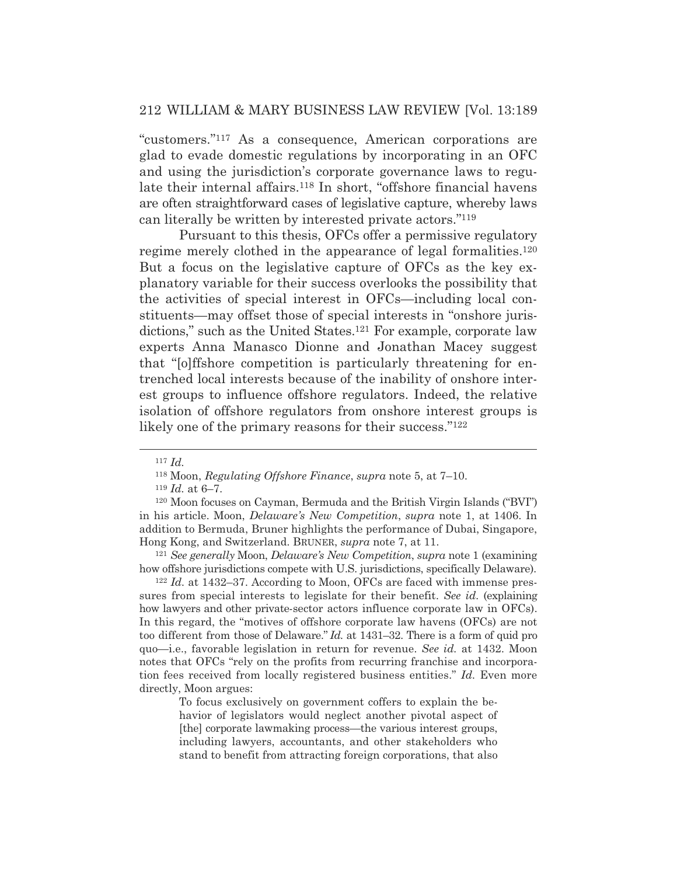"customers."117 As a consequence, American corporations are glad to evade domestic regulations by incorporating in an OFC and using the jurisdiction's corporate governance laws to regulate their internal affairs.<sup>118</sup> In short, "offshore financial havens" are often straightforward cases of legislative capture, whereby laws can literally be written by interested private actors."119

 Pursuant to this thesis, OFCs offer a permissive regulatory regime merely clothed in the appearance of legal formalities.<sup>120</sup> But a focus on the legislative capture of OFCs as the key explanatory variable for their success overlooks the possibility that the activities of special interest in OFCs—including local constituents—may offset those of special interests in "onshore jurisdictions," such as the United States.<sup>121</sup> For example, corporate law experts Anna Manasco Dionne and Jonathan Macey suggest that "[o]ffshore competition is particularly threatening for entrenched local interests because of the inability of onshore interest groups to influence offshore regulators. Indeed, the relative isolation of offshore regulators from onshore interest groups is likely one of the primary reasons for their success."<sup>122</sup>

how offshore jurisdictions compete with U.S. jurisdictions, specifically Delaware). 122 *Id.* at 1432–37. According to Moon, OFCs are faced with immense pres-

sures from special interests to legislate for their benefit. *See id.* (explaining how lawyers and other private-sector actors influence corporate law in OFCs). In this regard, the "motives of offshore corporate law havens (OFCs) are not too different from those of Delaware." *Id.* at 1431–32. There is a form of quid pro quo*—*i.e., favorable legislation in return for revenue. *See id.* at 1432. Moon notes that OFCs "rely on the profits from recurring franchise and incorporation fees received from locally registered business entities." *Id.* Even more directly, Moon argues:

To focus exclusively on government coffers to explain the behavior of legislators would neglect another pivotal aspect of [the] corporate lawmaking process—the various interest groups, including lawyers, accountants, and other stakeholders who stand to benefit from attracting foreign corporations, that also

<sup>117</sup> *Id.*

<sup>118</sup> Moon, *Regulating Offshore Finance*, *supra* note 5, at 7–10.

<sup>119</sup> *Id.* at 6–7.

<sup>120</sup> Moon focuses on Cayman, Bermuda and the British Virgin Islands ("BVI") in his article. Moon, *Delaware's New Competition*, *supra* note 1, at 1406. In addition to Bermuda, Bruner highlights the performance of Dubai, Singapore, Hong Kong, and Switzerland. BRUNER, *supra* note 7, at 11. 121 *See generally* Moon, *Delaware's New Competition*, *supra* note 1 (examining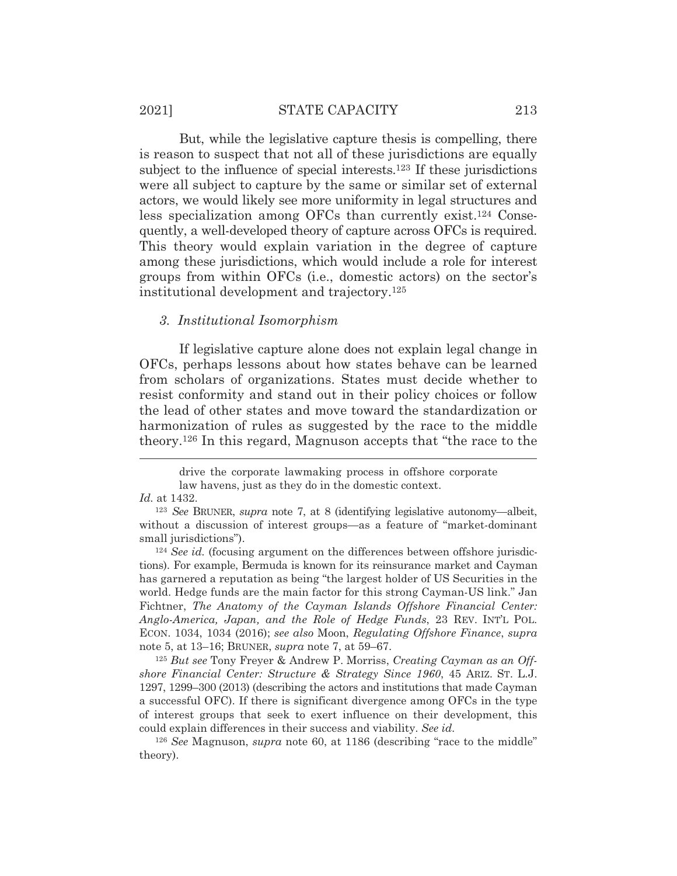# 2021] STATE CAPACITY 213

 But, while the legislative capture thesis is compelling, there is reason to suspect that not all of these jurisdictions are equally subject to the influence of special interests.<sup>123</sup> If these jurisdictions were all subject to capture by the same or similar set of external actors, we would likely see more uniformity in legal structures and less specialization among OFCs than currently exist.124 Consequently, a well-developed theory of capture across OFCs is required. This theory would explain variation in the degree of capture among these jurisdictions, which would include a role for interest groups from within OFCs (i.e., domestic actors) on the sector's institutional development and trajectory.125

#### *3. Institutional Isomorphism*

 If legislative capture alone does not explain legal change in OFCs, perhaps lessons about how states behave can be learned from scholars of organizations. States must decide whether to resist conformity and stand out in their policy choices or follow the lead of other states and move toward the standardization or harmonization of rules as suggested by the race to the middle theory.126 In this regard, Magnuson accepts that "the race to the

<sup>125</sup> *But see* Tony Freyer & Andrew P. Morriss, *Creating Cayman as an Offshore Financial Center: Structure & Strategy Since 1960*, 45 ARIZ. ST. L.J. 1297, 1299–300 (2013) (describing the actors and institutions that made Cayman a successful OFC). If there is significant divergence among OFCs in the type of interest groups that seek to exert influence on their development, this could explain differences in their success and viability. *See id.* 

<sup>126</sup> *See* Magnuson, *supra* note 60, at 1186 (describing "race to the middle" theory).

drive the corporate lawmaking process in offshore corporate law havens, just as they do in the domestic context.

*Id.* at 1432.

<sup>123</sup> *See* BRUNER, *supra* note 7, at 8 (identifying legislative autonomy—albeit, without a discussion of interest groups—as a feature of "market-dominant small jurisdictions").<br><sup>124</sup> *See id.* (focusing argument on the differences between offshore jurisdic-

tions). For example, Bermuda is known for its reinsurance market and Cayman has garnered a reputation as being "the largest holder of US Securities in the world. Hedge funds are the main factor for this strong Cayman-US link." Jan Fichtner, *The Anatomy of the Cayman Islands Offshore Financial Center: Anglo-America, Japan, and the Role of Hedge Funds*, 23 REV. INT'L POL. ECON. 1034, 1034 (2016); *see also* Moon, *Regulating Offshore Finance*, *supra* note 5, at 13–16; BRUNER, *supra* note 7, at 59–67.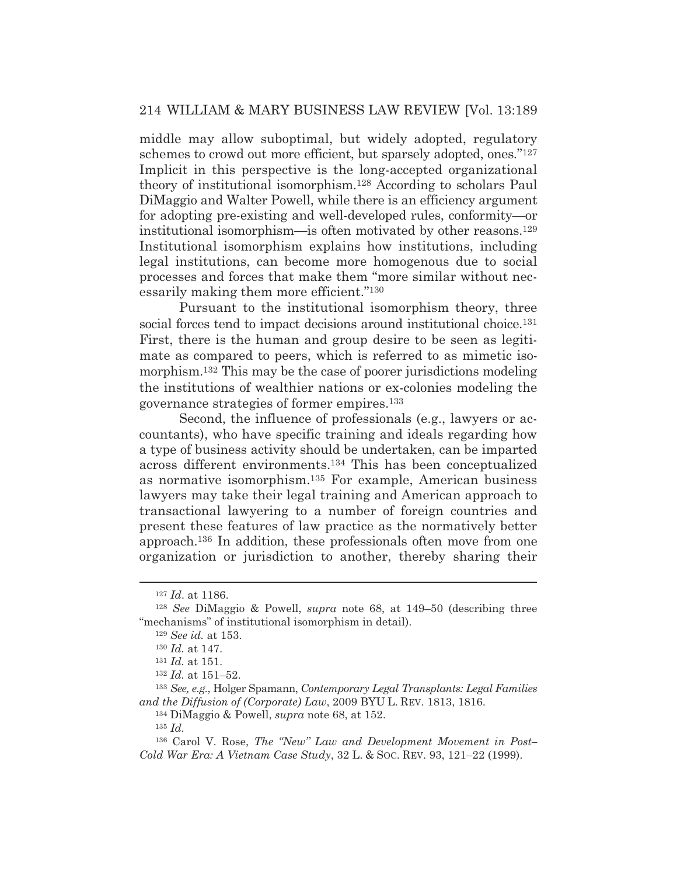# 214 WILLIAM & MARY BUSINESS LAW REVIEW [Vol. 13:189

middle may allow suboptimal, but widely adopted, regulatory schemes to crowd out more efficient, but sparsely adopted, ones."127 Implicit in this perspective is the long-accepted organizational theory of institutional isomorphism.128 According to scholars Paul DiMaggio and Walter Powell, while there is an efficiency argument for adopting pre-existing and well-developed rules, conformity—or institutional isomorphism—is often motivated by other reasons.129 Institutional isomorphism explains how institutions, including legal institutions, can become more homogenous due to social processes and forces that make them "more similar without necessarily making them more efficient."130

 Pursuant to the institutional isomorphism theory, three social forces tend to impact decisions around institutional choice.<sup>131</sup> First, there is the human and group desire to be seen as legitimate as compared to peers, which is referred to as mimetic isomorphism.132 This may be the case of poorer jurisdictions modeling the institutions of wealthier nations or ex-colonies modeling the governance strategies of former empires.133

Second, the influence of professionals (e.g., lawyers or accountants), who have specific training and ideals regarding how a type of business activity should be undertaken, can be imparted across different environments.134 This has been conceptualized as normative isomorphism.135 For example, American business lawyers may take their legal training and American approach to transactional lawyering to a number of foreign countries and present these features of law practice as the normatively better approach.136 In addition, these professionals often move from one organization or jurisdiction to another, thereby sharing their

<sup>133</sup> *See, e.g.*, Holger Spamann, *Contemporary Legal Transplants: Legal Families and the Diffusion of (Corporate) Law*, 2009 BYU L. REV. 1813, 1816.

134 DiMaggio & Powell, *supra* note 68, at 152.

<sup>135</sup> *Id.*

136 Carol V. Rose, *The "New" Law and Development Movement in Post– Cold War Era: A Vietnam Case Study*, 32 L. & SOC. REV. 93, 121–22 (1999).

<sup>127</sup> *Id*. at 1186.

<sup>128</sup> *See* DiMaggio & Powell, *supra* note 68, at 149–50 (describing three "mechanisms" of institutional isomorphism in detail).

<sup>129</sup> *See id.* at 153.

<sup>130</sup> *Id.* at 147.

<sup>131</sup> *Id.* at 151.

<sup>132</sup> *Id.* at 151–52.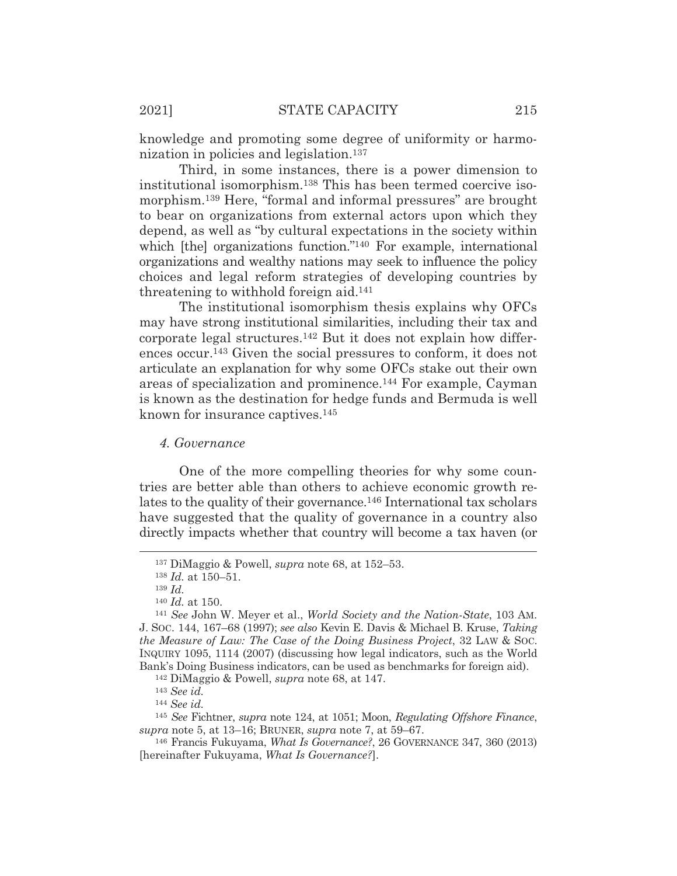knowledge and promoting some degree of uniformity or harmonization in policies and legislation.137

 Third, in some instances, there is a power dimension to institutional isomorphism.138 This has been termed coercive isomorphism.139 Here, "formal and informal pressures" are brought to bear on organizations from external actors upon which they depend, as well as "by cultural expectations in the society within which [the] organizations function."<sup>140</sup> For example, international organizations and wealthy nations may seek to influence the policy choices and legal reform strategies of developing countries by threatening to withhold foreign aid.141

 The institutional isomorphism thesis explains why OFCs may have strong institutional similarities, including their tax and corporate legal structures.142 But it does not explain how differences occur.143 Given the social pressures to conform, it does not articulate an explanation for why some OFCs stake out their own areas of specialization and prominence.144 For example, Cayman is known as the destination for hedge funds and Bermuda is well known for insurance captives.145

# *4. Governance*

 One of the more compelling theories for why some countries are better able than others to achieve economic growth relates to the quality of their governance.146 International tax scholars have suggested that the quality of governance in a country also directly impacts whether that country will become a tax haven (or

<sup>144</sup> *See id.* 

<sup>145</sup> *See* Fichtner, *supra* note 124, at 1051; Moon, *Regulating Offshore Finance*, *supra* note 5, at 13–16; BRUNER, *supra* note 7, at 59–67.

146 Francis Fukuyama, *What Is Governance?*, 26 GOVERNANCE 347, 360 (2013) [hereinafter Fukuyama, *What Is Governance?*].

<sup>137</sup> DiMaggio & Powell, *supra* note 68, at 152–53.

<sup>138</sup> *Id.* at 150–51.

<sup>&</sup>lt;sup>139</sup> *Id.* <br><sup>140</sup> *Id.* at 150.

<sup>&</sup>lt;sup>141</sup> *See* John W. Meyer et al., *World Society and the Nation-State*, 103 AM. J. SOC. 144, 167–68 (1997); *see also* Kevin E. Davis & Michael B. Kruse, *Taking the Measure of Law: The Case of the Doing Business Project*, 32 LAW & SOC. INQUIRY 1095, 1114 (2007) (discussing how legal indicators, such as the World Bank's Doing Business indicators, can be used as benchmarks for foreign aid). 142 DiMaggio & Powell, *supra* note 68, at 147.

<sup>143</sup> *See id.*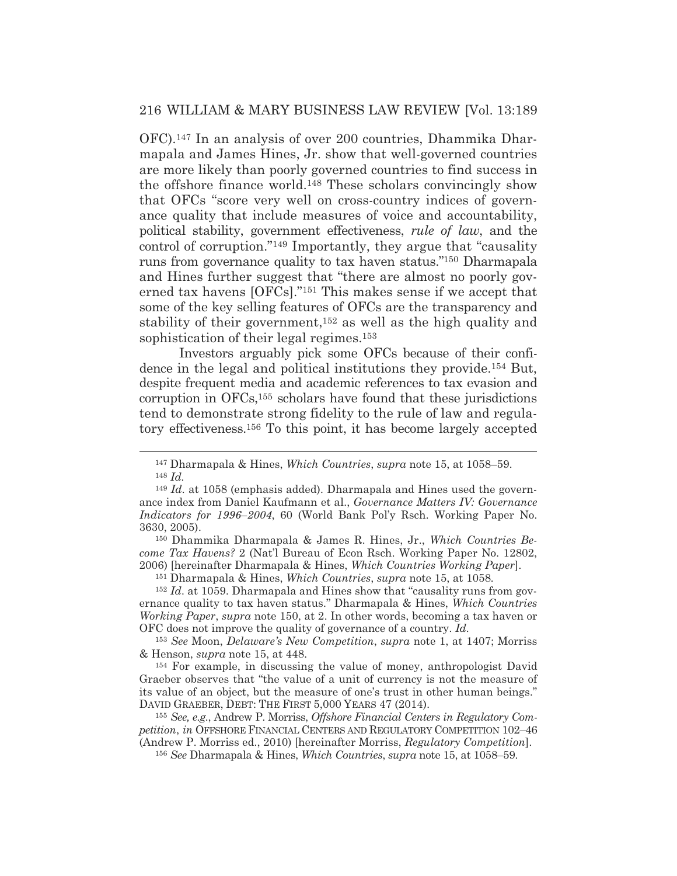OFC).147 In an analysis of over 200 countries, Dhammika Dharmapala and James Hines, Jr. show that well-governed countries are more likely than poorly governed countries to find success in the offshore finance world.148 These scholars convincingly show that OFCs "score very well on cross-country indices of governance quality that include measures of voice and accountability, political stability, government effectiveness, *rule of law*, and the control of corruption."149 Importantly, they argue that "causality runs from governance quality to tax haven status."150 Dharmapala and Hines further suggest that "there are almost no poorly governed tax havens [OFCs]."151 This makes sense if we accept that some of the key selling features of OFCs are the transparency and stability of their government,152 as well as the high quality and sophistication of their legal regimes.<sup>153</sup>

 Investors arguably pick some OFCs because of their confidence in the legal and political institutions they provide.154 But, despite frequent media and academic references to tax evasion and corruption in OFCs,155 scholars have found that these jurisdictions tend to demonstrate strong fidelity to the rule of law and regulatory effectiveness.156 To this point, it has become largely accepted

150 Dhammika Dharmapala & James R. Hines, Jr., *Which Countries Become Tax Havens?* 2 (Nat'l Bureau of Econ Rsch. Working Paper No. 12802, 2006) [hereinafter Dharmapala & Hines, *Which Countries Working Paper*].

151 Dharmapala & Hines, *Which Countries*, *supra* note 15, at 1058*.*

<sup>152</sup> *Id*. at 1059. Dharmapala and Hines show that "causality runs from governance quality to tax haven status." Dharmapala & Hines, *Which Countries Working Paper*, *supra* note 150, at 2. In other words, becoming a tax haven or OFC does not improve the quality of governance of a country. *Id.*

<sup>153</sup> *See* Moon, *Delaware's New Competition*, *supra* note 1, at 1407; Morriss & Henson, *supra* note 15, at 448.

154 For example, in discussing the value of money, anthropologist David Graeber observes that "the value of a unit of currency is not the measure of its value of an object, but the measure of one's trust in other human beings." DAVID GRAEBER, DEBT: THE FIRST 5,000 YEARS 47 (2014).

<sup>155</sup> *See, e.g.*, Andrew P. Morriss, *Offshore Financial Centers in Regulatory Competition*, *in* OFFSHORE FINANCIAL CENTERS AND REGULATORY COMPETITION 102–46 (Andrew P. Morriss ed., 2010) [hereinafter Morriss, *Regulatory Competition*].

<sup>156</sup> *See* Dharmapala & Hines, *Which Countries*, *supra* note 15, at 1058–59.

<sup>147</sup> Dharmapala & Hines, *Which Countries*, *supra* note 15, at 1058–59. <sup>148</sup> *Id.*

<sup>149</sup> *Id*. at 1058 (emphasis added). Dharmapala and Hines used the governance index from Daniel Kaufmann et al., *Governance Matters IV: Governance Indicators for 1996*–*2004*, 60 (World Bank Pol'y Rsch. Working Paper No. 3630, 2005).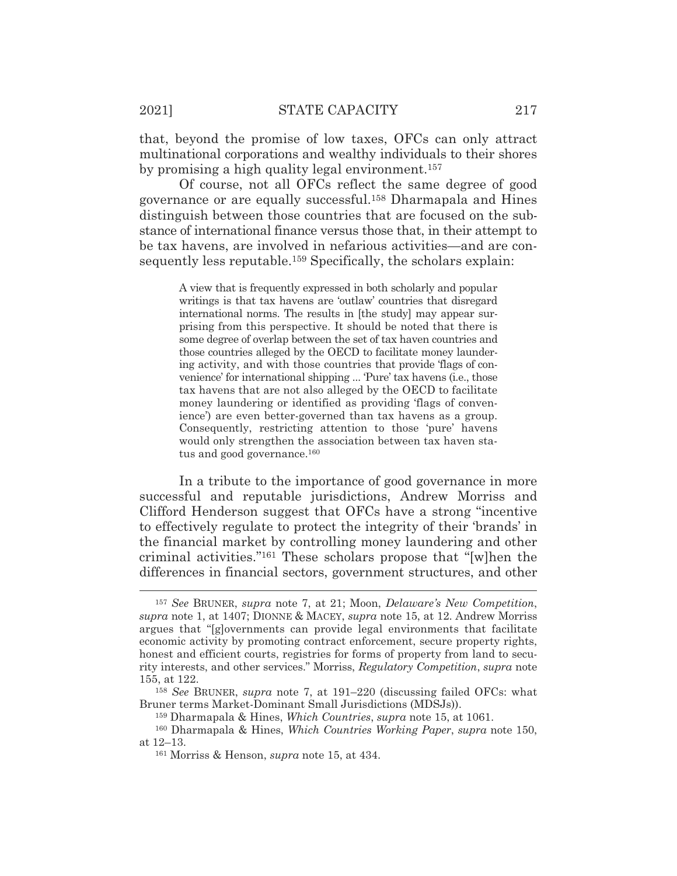that, beyond the promise of low taxes, OFCs can only attract multinational corporations and wealthy individuals to their shores by promising a high quality legal environment.157

Of course, not all OFCs reflect the same degree of good governance or are equally successful.158 Dharmapala and Hines distinguish between those countries that are focused on the substance of international finance versus those that, in their attempt to be tax havens, are involved in nefarious activities—and are consequently less reputable.<sup>159</sup> Specifically, the scholars explain:

A view that is frequently expressed in both scholarly and popular writings is that tax havens are 'outlaw' countries that disregard international norms. The results in [the study] may appear surprising from this perspective. It should be noted that there is some degree of overlap between the set of tax haven countries and those countries alleged by the OECD to facilitate money laundering activity, and with those countries that provide 'flags of convenience' for international shipping ... 'Pure' tax havens (i.e., those tax havens that are not also alleged by the OECD to facilitate money laundering or identified as providing 'flags of convenience') are even better-governed than tax havens as a group. Consequently, restricting attention to those 'pure' havens would only strengthen the association between tax haven status and good governance.160

 In a tribute to the importance of good governance in more successful and reputable jurisdictions, Andrew Morriss and Clifford Henderson suggest that OFCs have a strong "incentive to effectively regulate to protect the integrity of their 'brands' in the financial market by controlling money laundering and other criminal activities."161 These scholars propose that "[w]hen the differences in financial sectors, government structures, and other

<sup>157</sup> *See* BRUNER, *supra* note 7, at 21; Moon, *Delaware's New Competition*, *supra* note 1, at 1407; DIONNE & MACEY, *supra* note 15, at 12. Andrew Morriss argues that "[g]overnments can provide legal environments that facilitate economic activity by promoting contract enforcement, secure property rights, honest and efficient courts, registries for forms of property from land to security interests, and other services." Morriss, *Regulatory Competition*, *supra* note 155, at 122.

<sup>158</sup> *See* BRUNER, *supra* note 7, at 191–220 (discussing failed OFCs: what Bruner terms Market-Dominant Small Jurisdictions (MDSJs)).

<sup>159</sup> Dharmapala & Hines, *Which Countries*, *supra* note 15, at 1061.

<sup>160</sup> Dharmapala & Hines, *Which Countries Working Paper*, *supra* note 150, at 12–13.

<sup>161</sup> Morriss & Henson, *supra* note 15, at 434.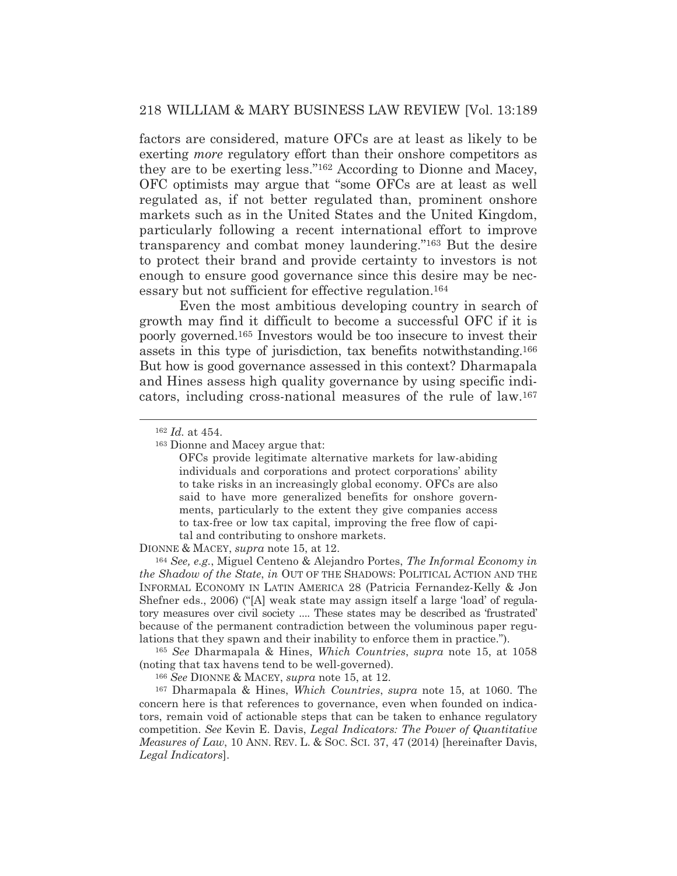# 218 WILLIAM & MARY BUSINESS LAW REVIEW [Vol. 13:189

factors are considered, mature OFCs are at least as likely to be exerting *more* regulatory effort than their onshore competitors as they are to be exerting less."162 According to Dionne and Macey, OFC optimists may argue that "some OFCs are at least as well regulated as, if not better regulated than, prominent onshore markets such as in the United States and the United Kingdom, particularly following a recent international effort to improve transparency and combat money laundering."163 But the desire to protect their brand and provide certainty to investors is not enough to ensure good governance since this desire may be necessary but not sufficient for effective regulation.164

 Even the most ambitious developing country in search of growth may find it difficult to become a successful OFC if it is poorly governed.165 Investors would be too insecure to invest their assets in this type of jurisdiction, tax benefits notwithstanding.166 But how is good governance assessed in this context? Dharmapala and Hines assess high quality governance by using specific indicators, including cross-national measures of the rule of law.167

163 Dionne and Macey argue that:

OFCs provide legitimate alternative markets for law-abiding individuals and corporations and protect corporations' ability to take risks in an increasingly global economy. OFCs are also said to have more generalized benefits for onshore governments, particularly to the extent they give companies access to tax-free or low tax capital, improving the free flow of capital and contributing to onshore markets.

DIONNE & MACEY, *supra* note 15, at 12.

<sup>164</sup> *See, e.g.*, Miguel Centeno & Alejandro Portes, *The Informal Economy in the Shadow of the State*, *in* OUT OF THE SHADOWS: POLITICAL ACTION AND THE INFORMAL ECONOMY IN LATIN AMERICA 28 (Patricia Fernandez-Kelly & Jon Shefner eds., 2006) ("[A] weak state may assign itself a large 'load' of regulatory measures over civil society .... These states may be described as 'frustrated' because of the permanent contradiction between the voluminous paper regulations that they spawn and their inability to enforce them in practice.").

<sup>165</sup> *See* Dharmapala & Hines, *Which Countries*, *supra* note 15, at 1058 (noting that tax havens tend to be well-governed).

<sup>166</sup> *See* DIONNE & MACEY, *supra* note 15, at 12.

167 Dharmapala & Hines, *Which Countries*, *supra* note 15, at 1060. The concern here is that references to governance, even when founded on indicators, remain void of actionable steps that can be taken to enhance regulatory competition. *See* Kevin E. Davis, *Legal Indicators: The Power of Quantitative Measures of Law*, 10 ANN. REV. L. & SOC. SCI. 37, 47 (2014) [hereinafter Davis, *Legal Indicators*].

<sup>162</sup> *Id.* at 454.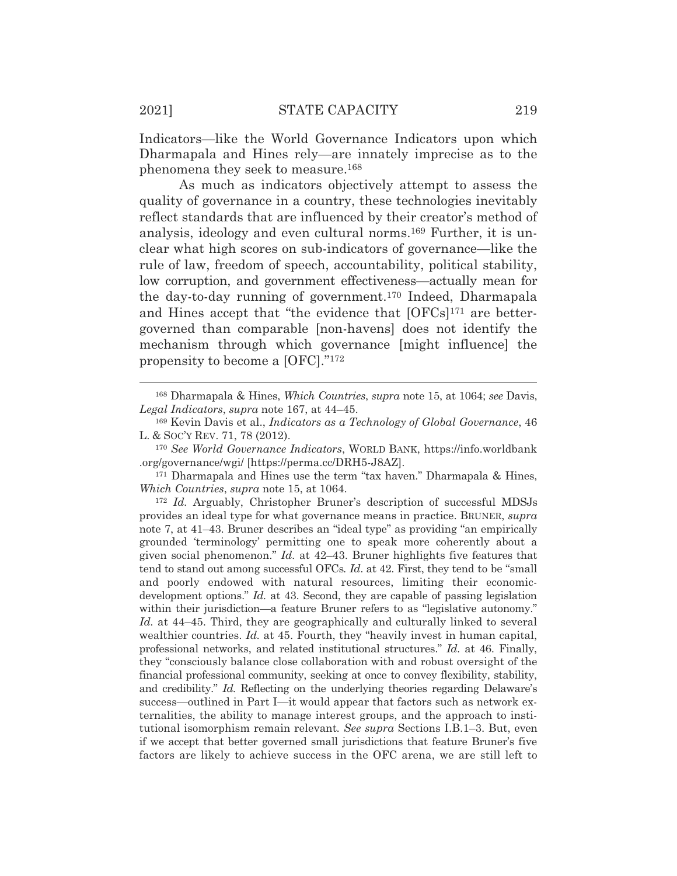Indicators—like the World Governance Indicators upon which Dharmapala and Hines rely—are innately imprecise as to the phenomena they seek to measure.168

As much as indicators objectively attempt to assess the quality of governance in a country, these technologies inevitably reflect standards that are influenced by their creator's method of analysis, ideology and even cultural norms.169 Further, it is unclear what high scores on sub-indicators of governance—like the rule of law, freedom of speech, accountability, political stability, low corruption, and government effectiveness—actually mean for the day-to-day running of government.170 Indeed, Dharmapala and Hines accept that "the evidence that [OFCs]171 are bettergoverned than comparable [non-havens] does not identify the mechanism through which governance [might influence] the propensity to become a [OFC]."172

<sup>172</sup> *Id.* Arguably, Christopher Bruner's description of successful MDSJs provides an ideal type for what governance means in practice. BRUNER, *supra* note 7, at 41–43. Bruner describes an "ideal type" as providing "an empirically grounded 'terminology' permitting one to speak more coherently about a given social phenomenon." *Id.* at 42–43. Bruner highlights five features that tend to stand out among successful OFCs*. Id*. at 42. First, they tend to be "small and poorly endowed with natural resources, limiting their economicdevelopment options." *Id.* at 43. Second, they are capable of passing legislation within their jurisdiction—a feature Bruner refers to as "legislative autonomy." *Id.* at 44–45. Third, they are geographically and culturally linked to several wealthier countries. *Id.* at 45. Fourth, they "heavily invest in human capital, professional networks, and related institutional structures." *Id.* at 46. Finally, they "consciously balance close collaboration with and robust oversight of the financial professional community, seeking at once to convey flexibility, stability, and credibility." *Id.* Reflecting on the underlying theories regarding Delaware's success—outlined in Part I—it would appear that factors such as network externalities, the ability to manage interest groups, and the approach to institutional isomorphism remain relevant*. See supra* Sections I.B.1–3. But, even if we accept that better governed small jurisdictions that feature Bruner's five factors are likely to achieve success in the OFC arena, we are still left to

<sup>168</sup> Dharmapala & Hines, *Which Countries*, *supra* note 15, at 1064; *see* Davis, *Legal Indicators*, *supra* note 167, at 44–45.

<sup>169</sup> Kevin Davis et al., *Indicators as a Technology of Global Governance*, 46 L. & SOC'Y REV. 71, 78 (2012).

<sup>170</sup> *See World Governance Indicators*, WORLD BANK, https://info.worldbank .org/governance/wgi/ [https://perma.cc/DRH5-J8AZ].

<sup>171</sup> Dharmapala and Hines use the term "tax haven." Dharmapala & Hines, *Which Countries*, *supra* note 15, at 1064.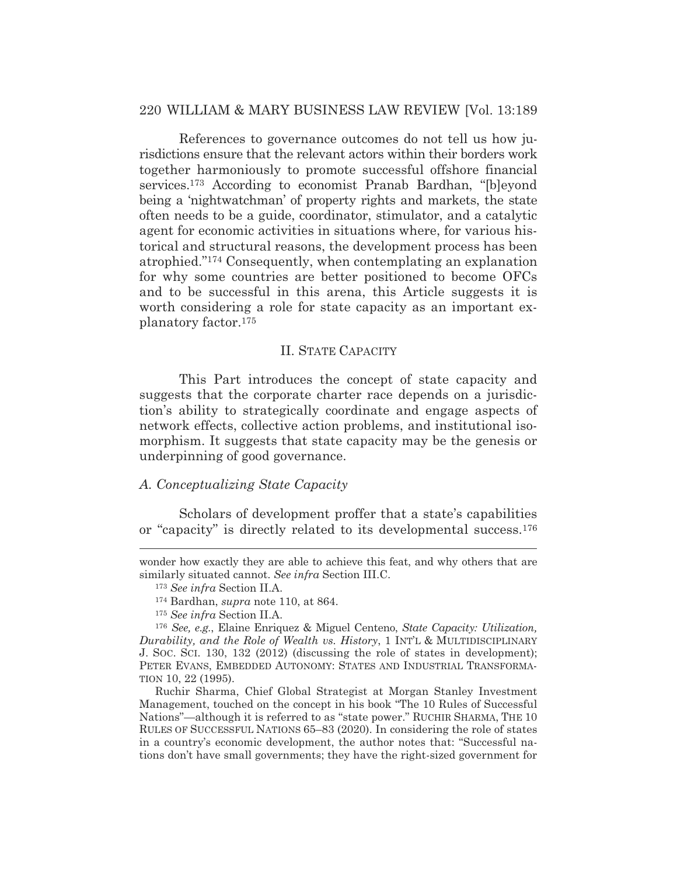# 220 WILLIAM & MARY BUSINESS LAW REVIEW [Vol. 13:189

 References to governance outcomes do not tell us how jurisdictions ensure that the relevant actors within their borders work together harmoniously to promote successful offshore financial services.173 According to economist Pranab Bardhan, "[b]eyond being a 'nightwatchman' of property rights and markets, the state often needs to be a guide, coordinator, stimulator, and a catalytic agent for economic activities in situations where, for various historical and structural reasons, the development process has been atrophied."174 Consequently, when contemplating an explanation for why some countries are better positioned to become OFCs and to be successful in this arena, this Article suggests it is worth considering a role for state capacity as an important explanatory factor.175

#### II. STATE CAPACITY

This Part introduces the concept of state capacity and suggests that the corporate charter race depends on a jurisdiction's ability to strategically coordinate and engage aspects of network effects, collective action problems, and institutional isomorphism. It suggests that state capacity may be the genesis or underpinning of good governance.

# *A. Conceptualizing State Capacity*

Scholars of development proffer that a state's capabilities or "capacity" is directly related to its developmental success.176

wonder how exactly they are able to achieve this feat, and why others that are similarly situated cannot. *See infra* Section III.C.

<sup>173</sup> *See infra* Section II.A.

<sup>174</sup> Bardhan, *supra* note 110, at 864.

<sup>175</sup> *See infra* Section II.A.

<sup>176</sup> *See, e.g.*, Elaine Enriquez & Miguel Centeno, *State Capacity: Utilization, Durability, and the Role of Wealth vs. History*, 1 INT'L & MULTIDISCIPLINARY J. SOC. SCI. 130, 132 (2012) (discussing the role of states in development); PETER EVANS, EMBEDDED AUTONOMY: STATES AND INDUSTRIAL TRANSFORMA-TION 10, 22 (1995).

Ruchir Sharma, Chief Global Strategist at Morgan Stanley Investment Management, touched on the concept in his book "The 10 Rules of Successful Nations"—although it is referred to as "state power." RUCHIR SHARMA, THE 10 RULES OF SUCCESSFUL NATIONS 65–83 (2020). In considering the role of states in a country's economic development, the author notes that: "Successful nations don't have small governments; they have the right-sized government for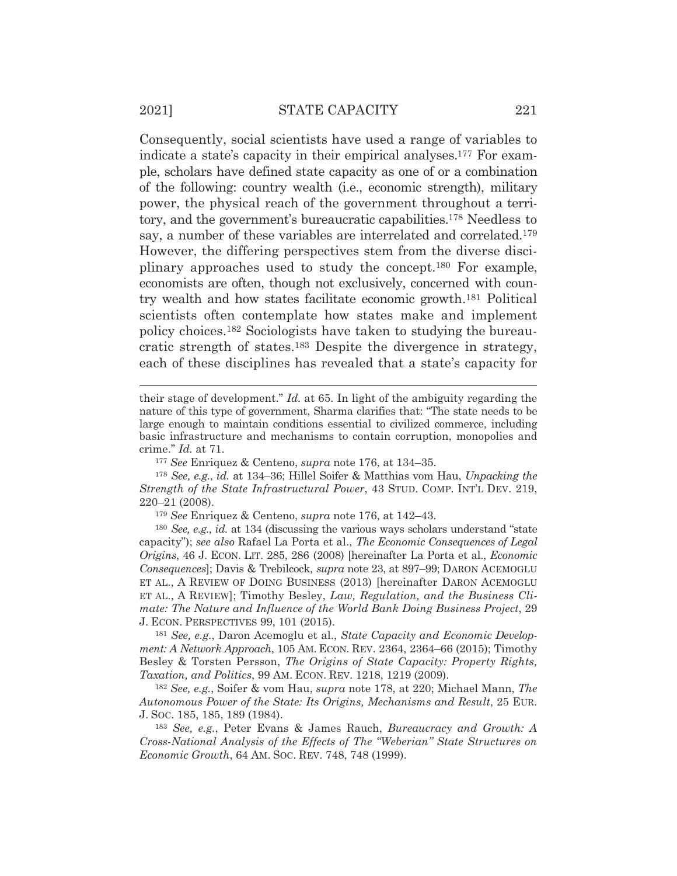Consequently, social scientists have used a range of variables to indicate a state's capacity in their empirical analyses.177 For example, scholars have defined state capacity as one of or a combination of the following: country wealth (i.e., economic strength), military power, the physical reach of the government throughout a territory, and the government's bureaucratic capabilities.178 Needless to say, a number of these variables are interrelated and correlated.179 However, the differing perspectives stem from the diverse disciplinary approaches used to study the concept.180 For example, economists are often, though not exclusively, concerned with country wealth and how states facilitate economic growth.181 Political scientists often contemplate how states make and implement policy choices.182 Sociologists have taken to studying the bureaucratic strength of states.183 Despite the divergence in strategy, each of these disciplines has revealed that a state's capacity for

<sup>177</sup> *See* Enriquez & Centeno, *supra* note 176, at 134–35.

<sup>178</sup> *See, e.g.*, *id.* at 134–36; Hillel Soifer & Matthias vom Hau, *Unpacking the Strength of the State Infrastructural Power*, 43 STUD. COMP. INT'L DEV. 219, 220–21 (2008).

<sup>179</sup> *See* Enriquez & Centeno, *supra* note 176, at 142–43.

<sup>180</sup> *See, e.g.*, *id.* at 134 (discussing the various ways scholars understand "state capacity"); *see also* Rafael La Porta et al., *The Economic Consequences of Legal Origins*, 46 J. ECON. LIT. 285, 286 (2008) [hereinafter La Porta et al., *Economic Consequences*]; Davis & Trebilcock, *supra* note 23, at 897–99; DARON ACEMOGLU ET AL., A REVIEW OF DOING BUSINESS (2013) [hereinafter DARON ACEMOGLU ET AL., A REVIEW]; Timothy Besley, *Law, Regulation, and the Business Climate: The Nature and Influence of the World Bank Doing Business Project*, 29 J. ECON. PERSPECTIVES 99, 101 (2015).

<sup>181</sup> *See, e.g.*, Daron Acemoglu et al., *State Capacity and Economic Development: A Network Approach*, 105 AM. ECON. REV. 2364, 2364–66 (2015); Timothy Besley & Torsten Persson, *The Origins of State Capacity: Property Rights, Taxation, and Politics*, 99 AM. ECON. REV. 1218, 1219 (2009).

<sup>182</sup> *See, e.g.*, Soifer & vom Hau, *supra* note 178, at 220; Michael Mann, *The Autonomous Power of the State: Its Origins, Mechanisms and Result*, 25 EUR. J. SOC. 185, 185, 189 (1984).

<sup>183</sup> *See, e.g.*, Peter Evans & James Rauch, *Bureaucracy and Growth: A Cross-National Analysis of the Effects of The "Weberian" State Structures on Economic Growth*, 64 AM. SOC. REV. 748, 748 (1999).

their stage of development." *Id.* at 65. In light of the ambiguity regarding the nature of this type of government, Sharma clarifies that: "The state needs to be large enough to maintain conditions essential to civilized commerce, including basic infrastructure and mechanisms to contain corruption, monopolies and crime." *Id.* at 71.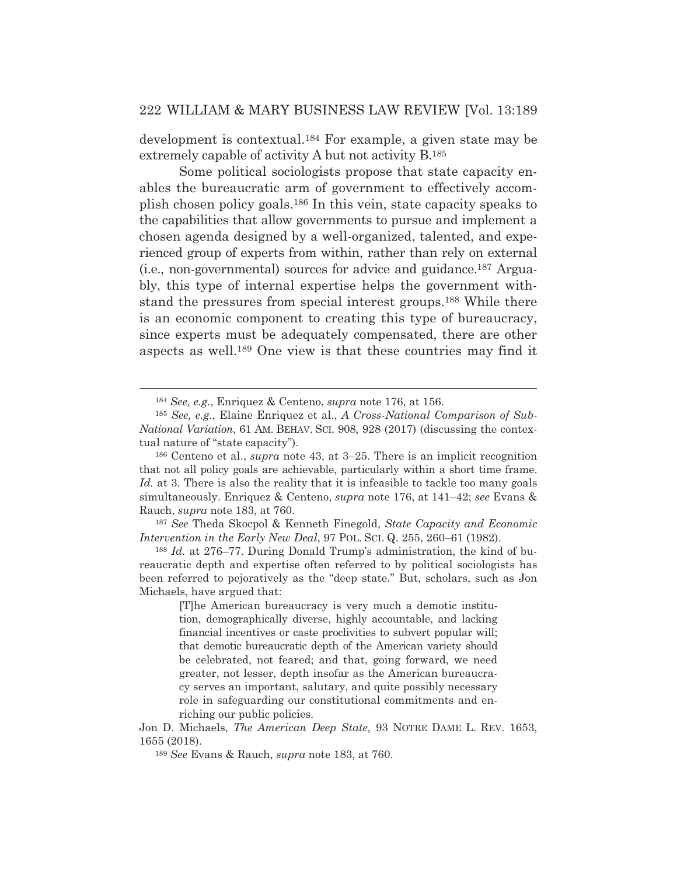development is contextual.184 For example, a given state may be extremely capable of activity A but not activity B.185

 Some political sociologists propose that state capacity enables the bureaucratic arm of government to effectively accomplish chosen policy goals.186 In this vein, state capacity speaks to the capabilities that allow governments to pursue and implement a chosen agenda designed by a well-organized, talented, and experienced group of experts from within, rather than rely on external (i.e., non-governmental) sources for advice and guidance.187 Arguably, this type of internal expertise helps the government withstand the pressures from special interest groups.188 While there is an economic component to creating this type of bureaucracy, since experts must be adequately compensated, there are other aspects as well.189 One view is that these countries may find it

<sup>187</sup> *See* Theda Skocpol & Kenneth Finegold, *State Capacity and Economic Intervention in the Early New Deal*, 97 POL. SCI. Q. 255, 260–61 (1982).

<sup>188</sup> *Id.* at 276–77. During Donald Trump's administration, the kind of bureaucratic depth and expertise often referred to by political sociologists has been referred to pejoratively as the "deep state." But, scholars, such as Jon Michaels, have argued that:

[T]he American bureaucracy is very much a demotic institution, demographically diverse, highly accountable, and lacking financial incentives or caste proclivities to subvert popular will; that demotic bureaucratic depth of the American variety should be celebrated, not feared; and that, going forward, we need greater, not lesser, depth insofar as the American bureaucracy serves an important, salutary, and quite possibly necessary role in safeguarding our constitutional commitments and enriching our public policies.

Jon D. Michaels, *The American Deep State*, 93 NOTRE DAME L. REV. 1653, 1655 (2018).

<sup>184</sup> *See, e.g.*, Enriquez & Centeno, *supra* note 176, at 156.

<sup>185</sup> *See, e.g.*, Elaine Enriquez et al., *A Cross-National Comparison of Sub-National Variation*, 61 AM. BEHAV. SCI. 908, 928 (2017) (discussing the contextual nature of "state capacity").

<sup>186</sup> Centeno et al., *supra* note 43, at 3–25. There is an implicit recognition that not all policy goals are achievable, particularly within a short time frame. *Id.* at 3. There is also the reality that it is infeasible to tackle too many goals simultaneously. Enriquez & Centeno, *supra* note 176, at 141–42; *see* Evans & Rauch, *supra* note 183, at 760.

<sup>189</sup> *See* Evans & Rauch, *supra* note 183, at 760.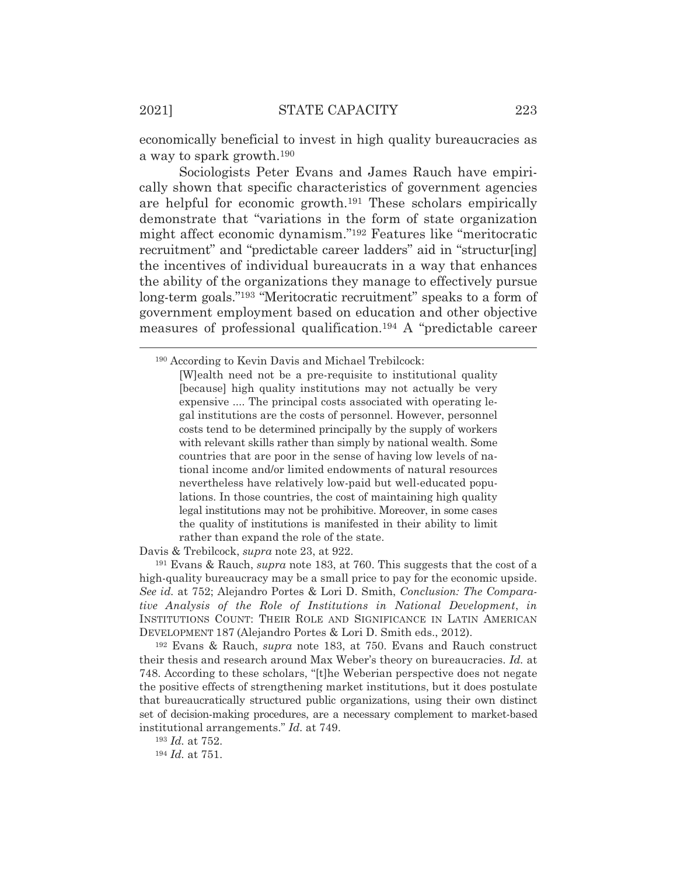economically beneficial to invest in high quality bureaucracies as a way to spark growth.190

 Sociologists Peter Evans and James Rauch have empirically shown that specific characteristics of government agencies are helpful for economic growth.191 These scholars empirically demonstrate that "variations in the form of state organization might affect economic dynamism."192 Features like "meritocratic recruitment" and "predictable career ladders" aid in "structur[ing] the incentives of individual bureaucrats in a way that enhances the ability of the organizations they manage to effectively pursue long-term goals."193 "Meritocratic recruitment" speaks to a form of government employment based on education and other objective measures of professional qualification.194 A "predictable career

Davis & Trebilcock, *supra* note 23, at 922.

191 Evans & Rauch, *supra* note 183, at 760. This suggests that the cost of a high-quality bureaucracy may be a small price to pay for the economic upside. *See id.* at 752; Alejandro Portes & Lori D. Smith, *Conclusion: The Comparative Analysis of the Role of Institutions in National Development*, *in* INSTITUTIONS COUNT: THEIR ROLE AND SIGNIFICANCE IN LATIN AMERICAN DEVELOPMENT 187 (Alejandro Portes & Lori D. Smith eds., 2012).

192 Evans & Rauch, *supra* note 183, at 750. Evans and Rauch construct their thesis and research around Max Weber's theory on bureaucracies. *Id.* at 748. According to these scholars, "[t]he Weberian perspective does not negate the positive effects of strengthening market institutions, but it does postulate that bureaucratically structured public organizations, using their own distinct set of decision-making procedures, are a necessary complement to market-based institutional arrangements." *Id.* at 749.

<sup>193</sup> *Id.* at 752.

<sup>194</sup> *Id.* at 751.

<sup>190</sup> According to Kevin Davis and Michael Trebilcock:

<sup>[</sup>W]ealth need not be a pre-requisite to institutional quality [because] high quality institutions may not actually be very expensive .... The principal costs associated with operating legal institutions are the costs of personnel. However, personnel costs tend to be determined principally by the supply of workers with relevant skills rather than simply by national wealth. Some countries that are poor in the sense of having low levels of national income and/or limited endowments of natural resources nevertheless have relatively low-paid but well-educated populations. In those countries, the cost of maintaining high quality legal institutions may not be prohibitive. Moreover, in some cases the quality of institutions is manifested in their ability to limit rather than expand the role of the state.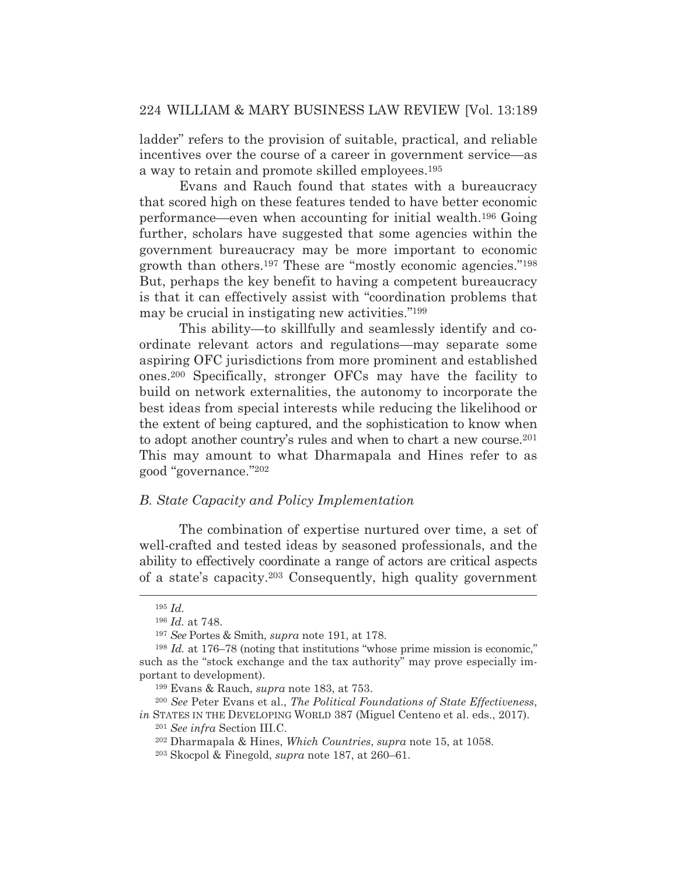ladder" refers to the provision of suitable, practical, and reliable incentives over the course of a career in government service—as a way to retain and promote skilled employees.195

 Evans and Rauch found that states with a bureaucracy that scored high on these features tended to have better economic performance—even when accounting for initial wealth.196 Going further, scholars have suggested that some agencies within the government bureaucracy may be more important to economic growth than others.197 These are "mostly economic agencies."198 But, perhaps the key benefit to having a competent bureaucracy is that it can effectively assist with "coordination problems that may be crucial in instigating new activities."199

 This ability—to skillfully and seamlessly identify and coordinate relevant actors and regulations—may separate some aspiring OFC jurisdictions from more prominent and established ones.200 Specifically, stronger OFCs may have the facility to build on network externalities, the autonomy to incorporate the best ideas from special interests while reducing the likelihood or the extent of being captured, and the sophistication to know when to adopt another country's rules and when to chart a new course.<sup>201</sup> This may amount to what Dharmapala and Hines refer to as good "governance."202

### *B. State Capacity and Policy Implementation*

The combination of expertise nurtured over time, a set of well-crafted and tested ideas by seasoned professionals, and the ability to effectively coordinate a range of actors are critical aspects of a state's capacity.203 Consequently, high quality government

<sup>195</sup> *Id.*

<sup>196</sup> *Id.* at 748.

<sup>197</sup> *See* Portes & Smith, *supra* note 191, at 178.

<sup>198</sup> *Id.* at 176–78 (noting that institutions "whose prime mission is economic," such as the "stock exchange and the tax authority" may prove especially important to development).

<sup>199</sup> Evans & Rauch, *supra* note 183, at 753.

<sup>200</sup> *See* Peter Evans et al., *The Political Foundations of State Effectiveness*, *in* STATES IN THE DEVELOPING WORLD 387 (Miguel Centeno et al. eds., 2017).

<sup>201</sup> *See infra* Section III.C.

<sup>202</sup> Dharmapala & Hines, *Which Countries*, *supra* note 15, at 1058.

<sup>203</sup> Skocpol & Finegold, *supra* note 187, at 260–61.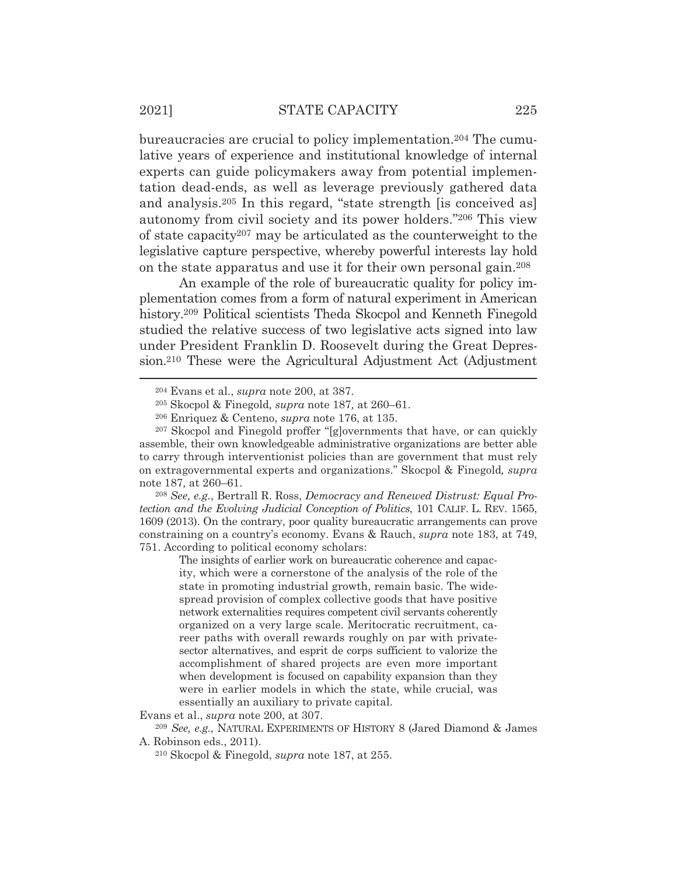bureaucracies are crucial to policy implementation.204 The cumulative years of experience and institutional knowledge of internal experts can guide policymakers away from potential implementation dead-ends, as well as leverage previously gathered data and analysis.205 In this regard, "state strength [is conceived as] autonomy from civil society and its power holders."206 This view of state capacity207 may be articulated as the counterweight to the legislative capture perspective, whereby powerful interests lay hold on the state apparatus and use it for their own personal gain.208

 An example of the role of bureaucratic quality for policy implementation comes from a form of natural experiment in American history.<sup>209</sup> Political scientists Theda Skocpol and Kenneth Finegold studied the relative success of two legislative acts signed into law under President Franklin D. Roosevelt during the Great Depression.210 These were the Agricultural Adjustment Act (Adjustment

<sup>208</sup> *See, e.g.*, Bertrall R. Ross, *Democracy and Renewed Distrust: Equal Protection and the Evolving Judicial Conception of Politics*, 101 CALIF. L. REV. 1565, 1609 (2013). On the contrary, poor quality bureaucratic arrangements can prove constraining on a country's economy. Evans & Rauch, *supra* note 183, at 749, 751. According to political economy scholars:

The insights of earlier work on bureaucratic coherence and capacity, which were a cornerstone of the analysis of the role of the state in promoting industrial growth, remain basic. The widespread provision of complex collective goods that have positive network externalities requires competent civil servants coherently organized on a very large scale. Meritocratic recruitment, career paths with overall rewards roughly on par with privatesector alternatives, and esprit de corps sufficient to valorize the accomplishment of shared projects are even more important when development is focused on capability expansion than they were in earlier models in which the state, while crucial, was essentially an auxiliary to private capital.

Evans et al., *supra* note 200, at 307.

<sup>204</sup> Evans et al., *supra* note 200, at 387.

<sup>205</sup> Skocpol & Finegold*, supra* note 187*,* at 260–61.

<sup>206</sup> Enriquez & Centeno, *supra* note 176, at 135.

<sup>207</sup> Skocpol and Finegold proffer "[g]overnments that have, or can quickly assemble, their own knowledgeable administrative organizations are better able to carry through interventionist policies than are government that must rely on extragovernmental experts and organizations." Skocpol & Finegold*, supra*  note 187*,* at 260–61.

<sup>209</sup> *See, e.g.*, NATURAL EXPERIMENTS OF HISTORY 8 (Jared Diamond & James A. Robinson eds., 2011).

<sup>210</sup> Skocpol & Finegold, *supra* note 187, at 255.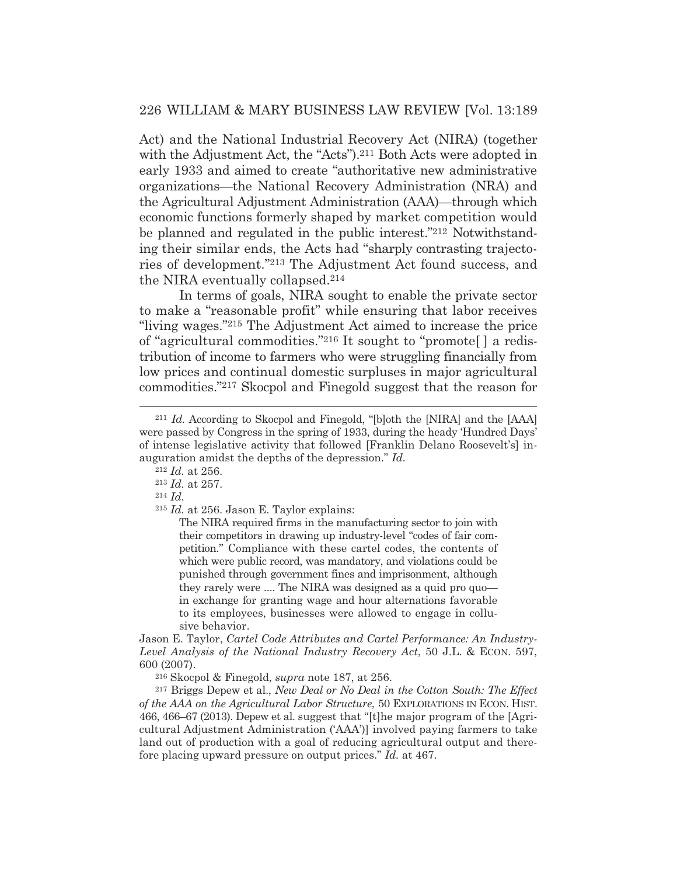Act) and the National Industrial Recovery Act (NIRA) (together with the Adjustment Act, the "Acts").<sup>211</sup> Both Acts were adopted in early 1933 and aimed to create "authoritative new administrative organizations—the National Recovery Administration (NRA) and the Agricultural Adjustment Administration (AAA)—through which economic functions formerly shaped by market competition would be planned and regulated in the public interest."212 Notwithstanding their similar ends, the Acts had "sharply contrasting trajectories of development."213 The Adjustment Act found success, and the NIRA eventually collapsed.214

 In terms of goals, NIRA sought to enable the private sector to make a "reasonable profit" while ensuring that labor receives "living wages."215 The Adjustment Act aimed to increase the price of "agricultural commodities."216 It sought to "promote[ ] a redistribution of income to farmers who were struggling financially from low prices and continual domestic surpluses in major agricultural commodities."217 Skocpol and Finegold suggest that the reason for

The NIRA required firms in the manufacturing sector to join with their competitors in drawing up industry-level "codes of fair competition." Compliance with these cartel codes, the contents of which were public record, was mandatory, and violations could be punished through government fines and imprisonment, although they rarely were .... The NIRA was designed as a quid pro quo in exchange for granting wage and hour alternations favorable to its employees, businesses were allowed to engage in collusive behavior.

Jason E. Taylor, *Cartel Code Attributes and Cartel Performance: An Industry-Level Analysis of the National Industry Recovery Act*, 50 J.L. & ECON. 597, 600 (2007).

216 Skocpol & Finegold, *supra* note 187, at 256.

217 Briggs Depew et al., *New Deal or No Deal in the Cotton South: The Effect of the AAA on the Agricultural Labor Structure*, 50 EXPLORATIONS IN ECON. HIST. 466, 466–67 (2013). Depew et al. suggest that "[t]he major program of the [Agricultural Adjustment Administration ('AAA')] involved paying farmers to take land out of production with a goal of reducing agricultural output and therefore placing upward pressure on output prices." *Id.* at 467.

<sup>211</sup> *Id.* According to Skocpol and Finegold, "[b]oth the [NIRA] and the [AAA] were passed by Congress in the spring of 1933, during the heady 'Hundred Days' of intense legislative activity that followed [Franklin Delano Roosevelt's] inauguration amidst the depths of the depression." *Id.*

<sup>212</sup> *Id.* at 256.

<sup>213</sup> *Id.* at 257. 214 *Id.*

<sup>215</sup> *Id.* at 256. Jason E. Taylor explains: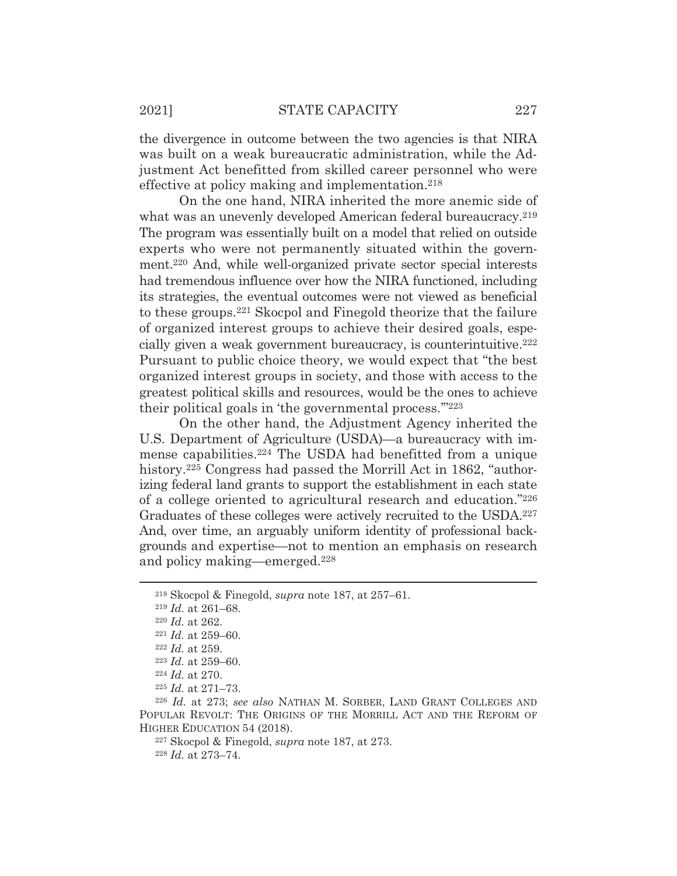the divergence in outcome between the two agencies is that NIRA was built on a weak bureaucratic administration, while the Adjustment Act benefitted from skilled career personnel who were effective at policy making and implementation.<sup>218</sup>

 On the one hand, NIRA inherited the more anemic side of what was an unevenly developed American federal bureaucracy.<sup>219</sup> The program was essentially built on a model that relied on outside experts who were not permanently situated within the government.220 And, while well-organized private sector special interests had tremendous influence over how the NIRA functioned, including its strategies, the eventual outcomes were not viewed as beneficial to these groups.221 Skocpol and Finegold theorize that the failure of organized interest groups to achieve their desired goals, especially given a weak government bureaucracy, is counterintuitive.222 Pursuant to public choice theory, we would expect that "the best organized interest groups in society, and those with access to the greatest political skills and resources, would be the ones to achieve their political goals in 'the governmental process.'"223

On the other hand, the Adjustment Agency inherited the U.S. Department of Agriculture (USDA)—a bureaucracy with immense capabilities.224 The USDA had benefitted from a unique history.<sup>225</sup> Congress had passed the Morrill Act in 1862, "authorizing federal land grants to support the establishment in each state of a college oriented to agricultural research and education."226 Graduates of these colleges were actively recruited to the USDA.227 And, over time, an arguably uniform identity of professional backgrounds and expertise—not to mention an emphasis on research and policy making—emerged.228

227 Skocpol & Finegold, *supra* note 187, at 273.

<sup>228</sup> *Id.* at 273–74.

<sup>218</sup> Skocpol & Finegold, *supra* note 187, at 257–61.

<sup>219</sup> *Id.* at 261–68.

<sup>220</sup> *Id.* at 262. 221 *Id.* at 259–60. 222 *Id.* at 259.

<sup>223</sup> *Id.* at 259–60. 224 *Id.* at 270.

<sup>225</sup> *Id.* at 271–73.

<sup>226</sup> *Id.* at 273; *see also* NATHAN M. SORBER, LAND GRANT COLLEGES AND POPULAR REVOLT: THE ORIGINS OF THE MORRILL ACT AND THE REFORM OF HIGHER EDUCATION 54 (2018).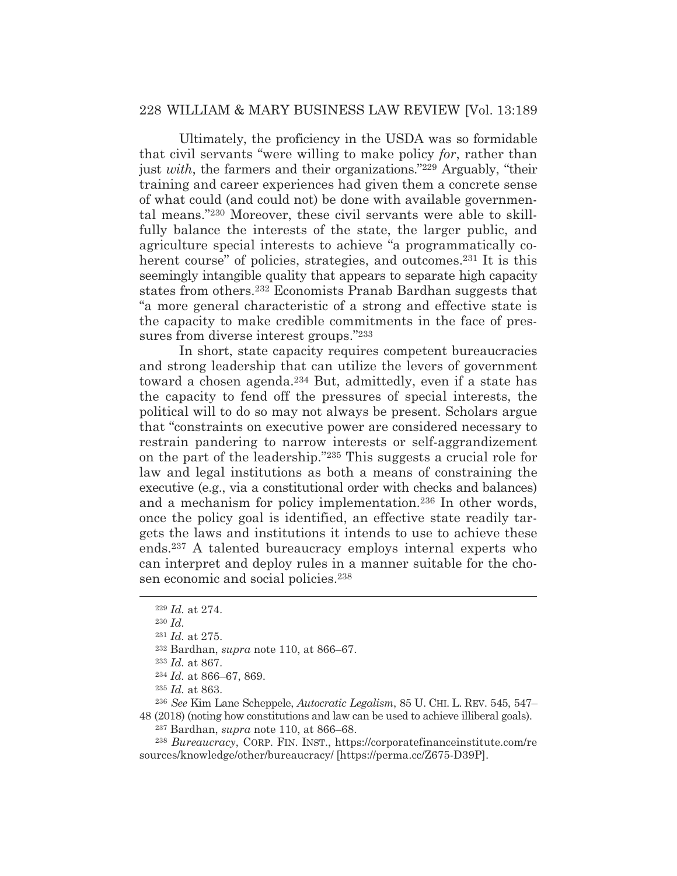Ultimately, the proficiency in the USDA was so formidable that civil servants "were willing to make policy *for*, rather than just *with*, the farmers and their organizations."229 Arguably, "their training and career experiences had given them a concrete sense of what could (and could not) be done with available governmental means."230 Moreover, these civil servants were able to skillfully balance the interests of the state, the larger public, and agriculture special interests to achieve "a programmatically coherent course" of policies, strategies, and outcomes.<sup>231</sup> It is this seemingly intangible quality that appears to separate high capacity states from others.232 Economists Pranab Bardhan suggests that "a more general characteristic of a strong and effective state is the capacity to make credible commitments in the face of pressures from diverse interest groups."233

In short, state capacity requires competent bureaucracies and strong leadership that can utilize the levers of government toward a chosen agenda.234 But, admittedly, even if a state has the capacity to fend off the pressures of special interests, the political will to do so may not always be present. Scholars argue that "constraints on executive power are considered necessary to restrain pandering to narrow interests or self-aggrandizement on the part of the leadership."235 This suggests a crucial role for law and legal institutions as both a means of constraining the executive (e.g., via a constitutional order with checks and balances) and a mechanism for policy implementation.236 In other words, once the policy goal is identified, an effective state readily targets the laws and institutions it intends to use to achieve these ends.237 A talented bureaucracy employs internal experts who can interpret and deploy rules in a manner suitable for the chosen economic and social policies.238

<sup>229</sup> *Id.* at 274.

<sup>230</sup> *Id.*

<sup>231</sup> *Id.* at 275.

<sup>232</sup> Bardhan, *supra* note 110, at 866–67.

<sup>233</sup> *Id.* at 867.

<sup>234</sup> *Id.* at 866–67, 869.

<sup>235</sup> *Id.* at 863.

<sup>236</sup> *See* Kim Lane Scheppele, *Autocratic Legalism*, 85 U. CHI. L. REV. 545, 547– 48 (2018) (noting how constitutions and law can be used to achieve illiberal goals).

<sup>237</sup> Bardhan, *supra* note 110, at 866–68.

<sup>238</sup> *Bureaucracy*, CORP. FIN. INST., https://corporatefinanceinstitute.com/re sources/knowledge/other/bureaucracy/ [https://perma.cc/Z675-D39P].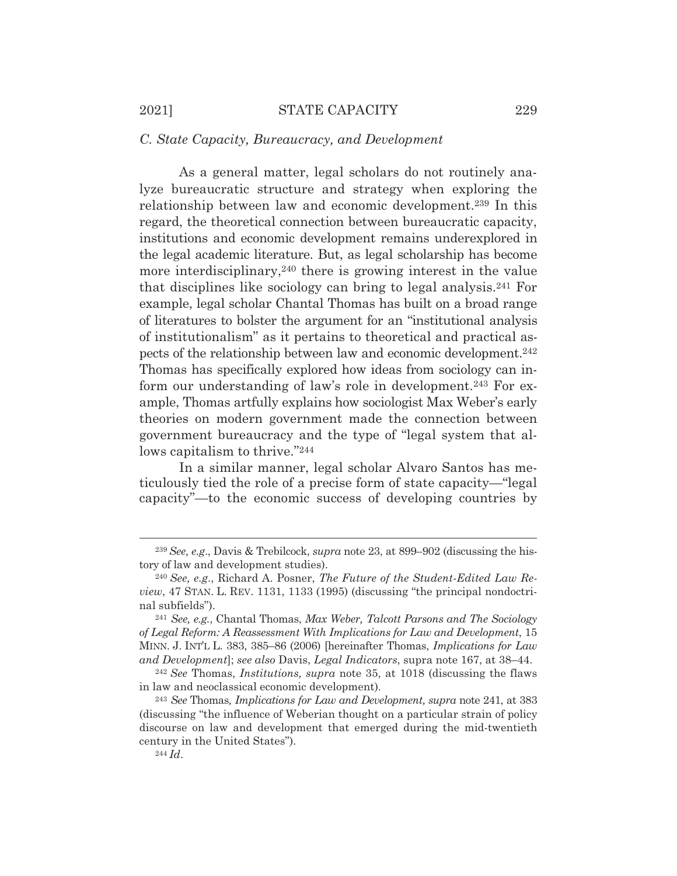#### *C. State Capacity, Bureaucracy, and Development*

As a general matter, legal scholars do not routinely analyze bureaucratic structure and strategy when exploring the relationship between law and economic development.239 In this regard, the theoretical connection between bureaucratic capacity, institutions and economic development remains underexplored in the legal academic literature. But, as legal scholarship has become more interdisciplinary,<sup>240</sup> there is growing interest in the value that disciplines like sociology can bring to legal analysis.241 For example, legal scholar Chantal Thomas has built on a broad range of literatures to bolster the argument for an "institutional analysis of institutionalism" as it pertains to theoretical and practical aspects of the relationship between law and economic development.242 Thomas has specifically explored how ideas from sociology can inform our understanding of law's role in development.<sup>243</sup> For example, Thomas artfully explains how sociologist Max Weber's early theories on modern government made the connection between government bureaucracy and the type of "legal system that allows capitalism to thrive."244

In a similar manner, legal scholar Alvaro Santos has meticulously tied the role of a precise form of state capacity—"legal capacity"—to the economic success of developing countries by

<sup>239</sup> *See, e.g*., Davis & Trebilcock, *supra* note 23, at 899–902 (discussing the history of law and development studies).

<sup>240</sup> *See, e.g*., Richard A. Posner, *The Future of the Student-Edited Law Review*, 47 STAN. L. REV. 1131, 1133 (1995) (discussing "the principal nondoctrinal subfields"). 241 *See, e.g.*, Chantal Thomas, *Max Weber, Talcott Parsons and The Sociology* 

*of Legal Reform: A Reassessment With Implications for Law and Development*, 15 MINN. J. INT'L L. 383, 385–86 (2006) [hereinafter Thomas, *Implications for Law and Development*]; *see also* Davis, *Legal Indicators*, supra note 167, at 38–44. 242 *See* Thomas, *Institutions, supra* note 35, at 1018 (discussing the flaws

in law and neoclassical economic development)*.*

<sup>243</sup> *See* Thomas*, Implications for Law and Development, supra* note 241, at 383 (discussing "the influence of Weberian thought on a particular strain of policy discourse on law and development that emerged during the mid-twentieth century in the United States")*.*

<sup>244</sup> *Id*.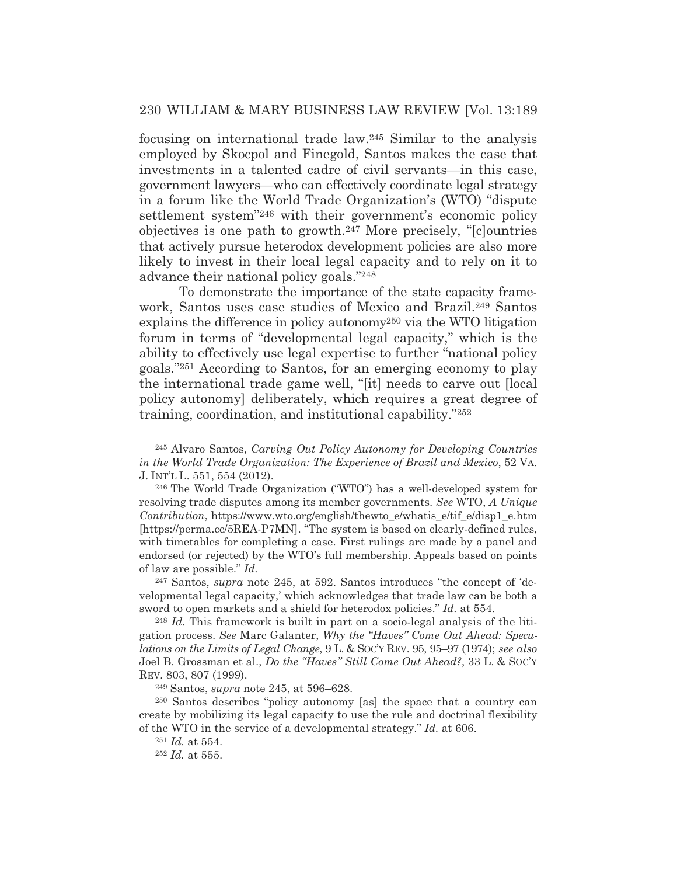focusing on international trade law.245 Similar to the analysis employed by Skocpol and Finegold, Santos makes the case that investments in a talented cadre of civil servants—in this case, government lawyers—who can effectively coordinate legal strategy in a forum like the World Trade Organization's (WTO) "dispute settlement system"246 with their government's economic policy objectives is one path to growth.247 More precisely, "[c]ountries that actively pursue heterodox development policies are also more likely to invest in their local legal capacity and to rely on it to advance their national policy goals."248

 To demonstrate the importance of the state capacity framework, Santos uses case studies of Mexico and Brazil.<sup>249</sup> Santos explains the difference in policy autonomy250 via the WTO litigation forum in terms of "developmental legal capacity," which is the ability to effectively use legal expertise to further "national policy goals."251 According to Santos, for an emerging economy to play the international trade game well, "[it] needs to carve out [local policy autonomy] deliberately, which requires a great degree of training, coordination, and institutional capability."252

247 Santos, *supra* note 245, at 592. Santos introduces "the concept of 'developmental legal capacity,' which acknowledges that trade law can be both a sword to open markets and a shield for heterodox policies." *Id.* at 554.

<sup>248</sup> *Id.* This framework is built in part on a socio-legal analysis of the litigation process. *See* Marc Galanter, *Why the "Haves" Come Out Ahead: Speculations on the Limits of Legal Change*, 9 L. & SOC'Y REV. 95, 95–97 (1974); *see also* Joel B. Grossman et al., *Do the "Haves" Still Come Out Ahead?*, 33 L. & SOC'Y REV. 803, 807 (1999).

249 Santos, *supra* note 245, at 596–628.

250 Santos describes "policy autonomy [as] the space that a country can create by mobilizing its legal capacity to use the rule and doctrinal flexibility of the WTO in the service of a developmental strategy." *Id.* at 606.

<sup>251</sup> *Id.* at 554.

<sup>252</sup> *Id.* at 555.

<sup>245</sup> Alvaro Santos, *Carving Out Policy Autonomy for Developing Countries in the World Trade Organization: The Experience of Brazil and Mexico*, 52 VA. J. INT'L L. 551, 554 (2012).

<sup>246</sup> The World Trade Organization ("WTO") has a well-developed system for resolving trade disputes among its member governments. *See* WTO, *A Unique Contribution*, https://www.wto.org/english/thewto\_e/whatis\_e/tif\_e/disp1\_e.htm [https://perma.cc/5REA-P7MN]. "The system is based on clearly-defined rules, with timetables for completing a case. First rulings are made by a panel and endorsed (or rejected) by the WTO's full membership. Appeals based on points of law are possible." *Id.*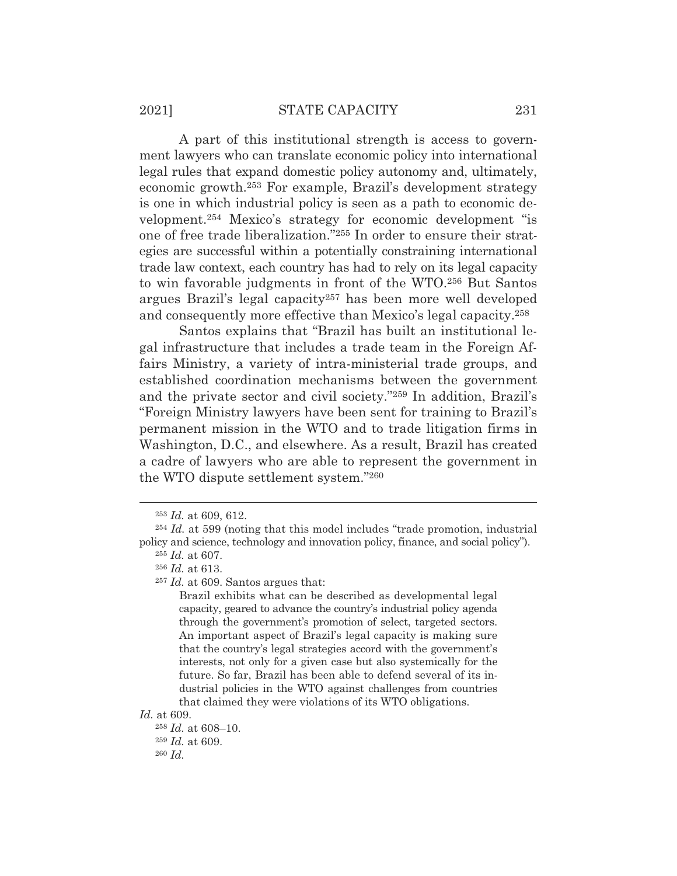### 2021] STATE CAPACITY 231

A part of this institutional strength is access to government lawyers who can translate economic policy into international legal rules that expand domestic policy autonomy and, ultimately, economic growth.253 For example, Brazil's development strategy is one in which industrial policy is seen as a path to economic development.254 Mexico's strategy for economic development "is one of free trade liberalization."255 In order to ensure their strategies are successful within a potentially constraining international trade law context, each country has had to rely on its legal capacity to win favorable judgments in front of the WTO.256 But Santos argues Brazil's legal capacity257 has been more well developed and consequently more effective than Mexico's legal capacity.258

 Santos explains that "Brazil has built an institutional legal infrastructure that includes a trade team in the Foreign Affairs Ministry, a variety of intra-ministerial trade groups, and established coordination mechanisms between the government and the private sector and civil society."259 In addition, Brazil's "Foreign Ministry lawyers have been sent for training to Brazil's permanent mission in the WTO and to trade litigation firms in Washington, D.C., and elsewhere. As a result, Brazil has created a cadre of lawyers who are able to represent the government in the WTO dispute settlement system."260

*Id.* at 609.

<sup>253</sup> *Id.* at 609, 612.

<sup>254</sup> *Id.* at 599 (noting that this model includes "trade promotion, industrial policy and science, technology and innovation policy, finance, and social policy").

<sup>255</sup> *Id.* at 607. <sup>256</sup> *Id.* at 613.

<sup>257</sup> *Id.* at 609. Santos argues that:

Brazil exhibits what can be described as developmental legal capacity, geared to advance the country's industrial policy agenda through the government's promotion of select, targeted sectors. An important aspect of Brazil's legal capacity is making sure that the country's legal strategies accord with the government's interests, not only for a given case but also systemically for the future. So far, Brazil has been able to defend several of its industrial policies in the WTO against challenges from countries that claimed they were violations of its WTO obligations.

<sup>258</sup> *Id.* at 608–10. <sup>259</sup> *Id.* at 609. <sup>260</sup> *Id.*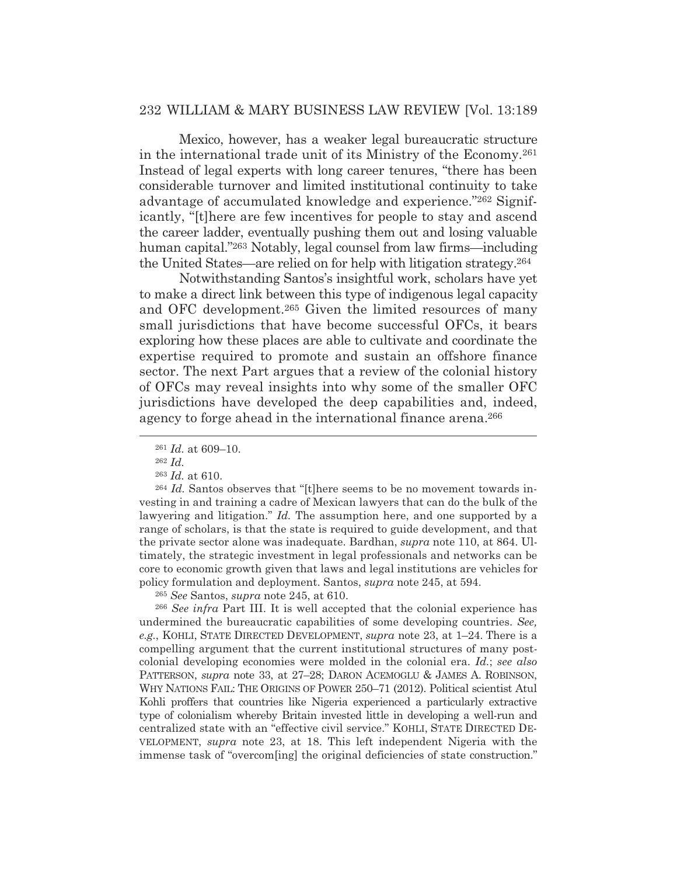Mexico, however, has a weaker legal bureaucratic structure in the international trade unit of its Ministry of the Economy.261 Instead of legal experts with long career tenures, "there has been considerable turnover and limited institutional continuity to take advantage of accumulated knowledge and experience."262 Significantly, "[t]here are few incentives for people to stay and ascend the career ladder, eventually pushing them out and losing valuable human capital."263 Notably, legal counsel from law firms—including the United States—are relied on for help with litigation strategy.264

Notwithstanding Santos's insightful work, scholars have yet to make a direct link between this type of indigenous legal capacity and OFC development.265 Given the limited resources of many small jurisdictions that have become successful OFCs, it bears exploring how these places are able to cultivate and coordinate the expertise required to promote and sustain an offshore finance sector. The next Part argues that a review of the colonial history of OFCs may reveal insights into why some of the smaller OFC jurisdictions have developed the deep capabilities and, indeed, agency to forge ahead in the international finance arena.<sup>266</sup>

<sup>264</sup> *Id.* Santos observes that "[t]here seems to be no movement towards investing in and training a cadre of Mexican lawyers that can do the bulk of the lawyering and litigation." *Id.* The assumption here, and one supported by a range of scholars, is that the state is required to guide development, and that the private sector alone was inadequate. Bardhan, *supra* note 110, at 864. Ultimately, the strategic investment in legal professionals and networks can be core to economic growth given that laws and legal institutions are vehicles for policy formulation and deployment. Santos, *supra* note 245, at 594.

<sup>265</sup> *See* Santos, *supra* note 245, at 610.

<sup>266</sup> *See infra* Part III. It is well accepted that the colonial experience has undermined the bureaucratic capabilities of some developing countries. *See, e.g.*, KOHLI, STATE DIRECTED DEVELOPMENT, *supra* note 23, at 1–24. There is a compelling argument that the current institutional structures of many postcolonial developing economies were molded in the colonial era. *Id.*; *see also* PATTERSON, *supra* note 33, at 27–28; DARON ACEMOGLU & JAMES A. ROBINSON, WHY NATIONS FAIL: THE ORIGINS OF POWER 250–71 (2012). Political scientist Atul Kohli proffers that countries like Nigeria experienced a particularly extractive type of colonialism whereby Britain invested little in developing a well-run and centralized state with an "effective civil service." KOHLI, STATE DIRECTED DE-VELOPMENT, *supra* note 23, at 18. This left independent Nigeria with the immense task of "overcom[ing] the original deficiencies of state construction."

<sup>261</sup> *Id.* at 609–10.

<sup>262</sup> *Id.*

<sup>263</sup> *Id.* at 610.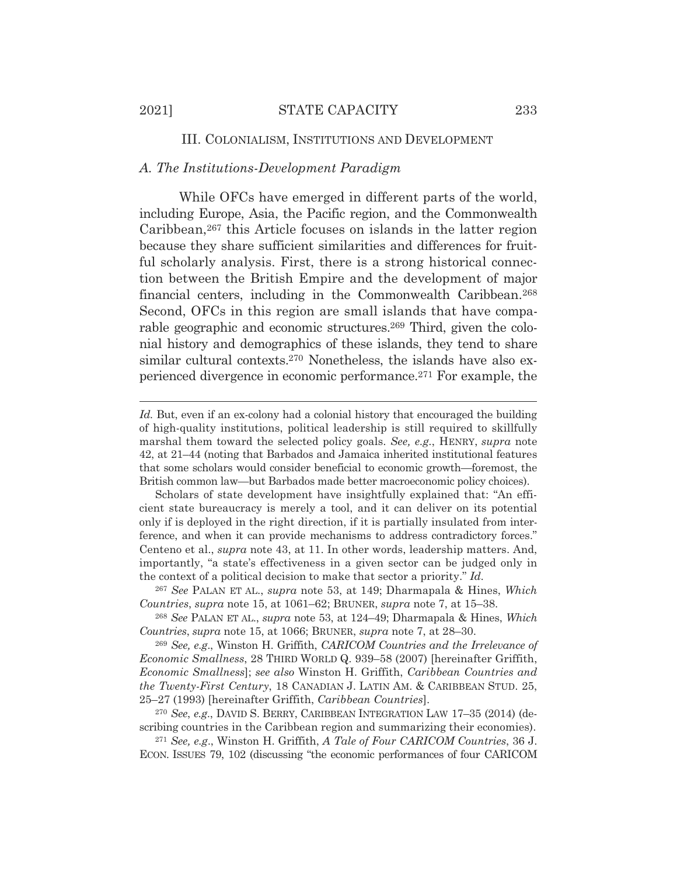### III. COLONIALISM, INSTITUTIONS AND DEVELOPMENT

# *A. The Institutions-Development Paradigm*

While OFCs have emerged in different parts of the world, including Europe, Asia, the Pacific region, and the Commonwealth Caribbean,267 this Article focuses on islands in the latter region because they share sufficient similarities and differences for fruitful scholarly analysis. First, there is a strong historical connection between the British Empire and the development of major financial centers, including in the Commonwealth Caribbean.268 Second, OFCs in this region are small islands that have comparable geographic and economic structures.269 Third, given the colonial history and demographics of these islands, they tend to share similar cultural contexts.<sup>270</sup> Nonetheless, the islands have also experienced divergence in economic performance.271 For example, the

<sup>269</sup> *See, e.g*., Winston H. Griffith, *CARICOM Countries and the Irrelevance of Economic Smallness*, 28 THIRD WORLD Q. 939–58 (2007) [hereinafter Griffith, *Economic Smallness*]; *see also* Winston H. Griffith, *Caribbean Countries and the Twenty-First Century*, 18 CANADIAN J. LATIN AM.&CARIBBEAN STUD. 25, 25–27 (1993) [hereinafter Griffith, *Caribbean Countries*].

<sup>270</sup> *See*, *e.g*., DAVID S. BERRY, CARIBBEAN INTEGRATION LAW 17–35 (2014) (describing countries in the Caribbean region and summarizing their economies).

<sup>271</sup> *See, e.g*., Winston H. Griffith, *A Tale of Four CARICOM Countries*, 36 J. ECON. ISSUES 79, 102 (discussing "the economic performances of four CARICOM

Id. But, even if an ex-colony had a colonial history that encouraged the building of high-quality institutions, political leadership is still required to skillfully marshal them toward the selected policy goals. *See, e.g.*, HENRY, *supra* note 42, at 21–44 (noting that Barbados and Jamaica inherited institutional features that some scholars would consider beneficial to economic growth—foremost, the British common law—but Barbados made better macroeconomic policy choices).

Scholars of state development have insightfully explained that: "An efficient state bureaucracy is merely a tool, and it can deliver on its potential only if is deployed in the right direction, if it is partially insulated from interference, and when it can provide mechanisms to address contradictory forces." Centeno et al., *supra* note 43, at 11. In other words, leadership matters. And, importantly, "a state's effectiveness in a given sector can be judged only in the context of a political decision to make that sector a priority." *Id.*

<sup>267</sup> *See* PALAN ET AL., *supra* note 53, at 149; Dharmapala & Hines, *Which Countries*, *supra* note 15, at 1061–62; BRUNER, *supra* note 7, at 15–38.

<sup>268</sup> *See* PALAN ET AL., *supra* note 53, at 124–49; Dharmapala & Hines, *Which Countries*, *supra* note 15, at 1066; BRUNER, *supra* note 7, at 28–30.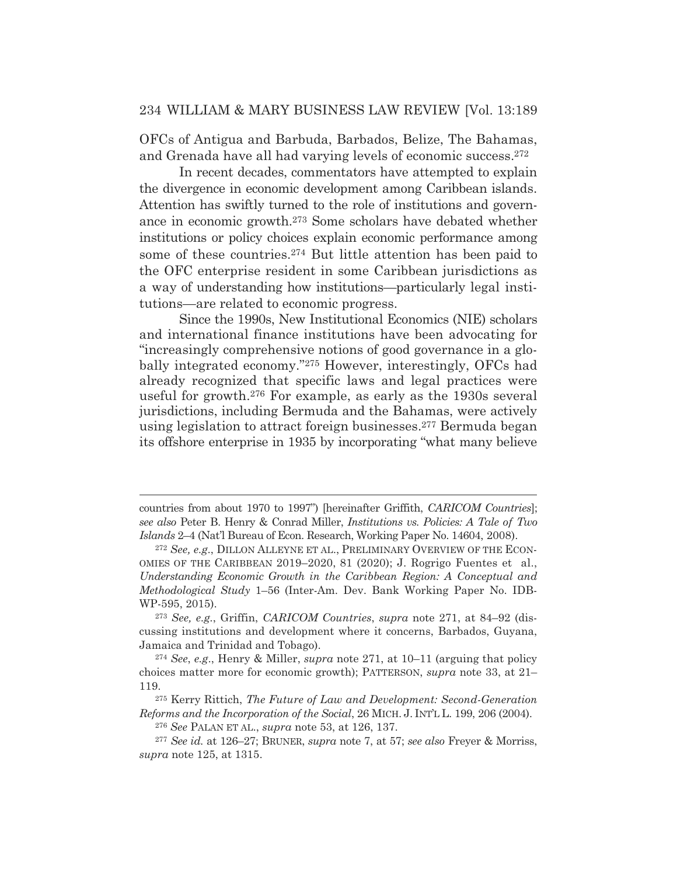OFCs of Antigua and Barbuda, Barbados, Belize, The Bahamas, and Grenada have all had varying levels of economic success.272

In recent decades, commentators have attempted to explain the divergence in economic development among Caribbean islands. Attention has swiftly turned to the role of institutions and governance in economic growth.273 Some scholars have debated whether institutions or policy choices explain economic performance among some of these countries.274 But little attention has been paid to the OFC enterprise resident in some Caribbean jurisdictions as a way of understanding how institutions—particularly legal institutions—are related to economic progress.

Since the 1990s, New Institutional Economics (NIE) scholars and international finance institutions have been advocating for "increasingly comprehensive notions of good governance in a globally integrated economy."275 However, interestingly, OFCs had already recognized that specific laws and legal practices were useful for growth.276 For example, as early as the 1930s several jurisdictions, including Bermuda and the Bahamas, were actively using legislation to attract foreign businesses.277 Bermuda began its offshore enterprise in 1935 by incorporating "what many believe

275 Kerry Rittich, *The Future of Law and Development: Second-Generation Reforms and the Incorporation of the Social*, 26 MICH. J. INT'L L. 199, 206 (2004).

countries from about 1970 to 1997") [hereinafter Griffith, *CARICOM Countries*]; *see also* Peter B. Henry & Conrad Miller, *Institutions vs. Policies: A Tale of Two Islands* 2–4 (Nat'l Bureau of Econ. Research, Working Paper No. 14604, 2008).

<sup>272</sup> *See, e.g*., DILLON ALLEYNE ET AL., PRELIMINARY OVERVIEW OF THE ECON-OMIES OF THE CARIBBEAN 2019–2020, 81 (2020); J. Rogrigo Fuentes et al., *Understanding Economic Growth in the Caribbean Region: A Conceptual and Methodological Study* 1–56 (Inter-Am. Dev. Bank Working Paper No. IDB-WP-595, 2015).

<sup>273</sup> *See, e.g.*, Griffin, *CARICOM Countries*, *supra* note 271, at 84–92 (discussing institutions and development where it concerns, Barbados, Guyana, Jamaica and Trinidad and Tobago).

<sup>274</sup> *See*, *e.g*., Henry & Miller, *supra* note 271, at 10–11 (arguing that policy choices matter more for economic growth); PATTERSON, *supra* note 33, at 21– 119.

<sup>276</sup> *See* PALAN ET AL., *supra* note 53, at 126, 137.

<sup>277</sup> *See id.* at 126–27; BRUNER, *supra* note 7, at 57; *see also* Freyer & Morriss, *supra* note 125, at 1315.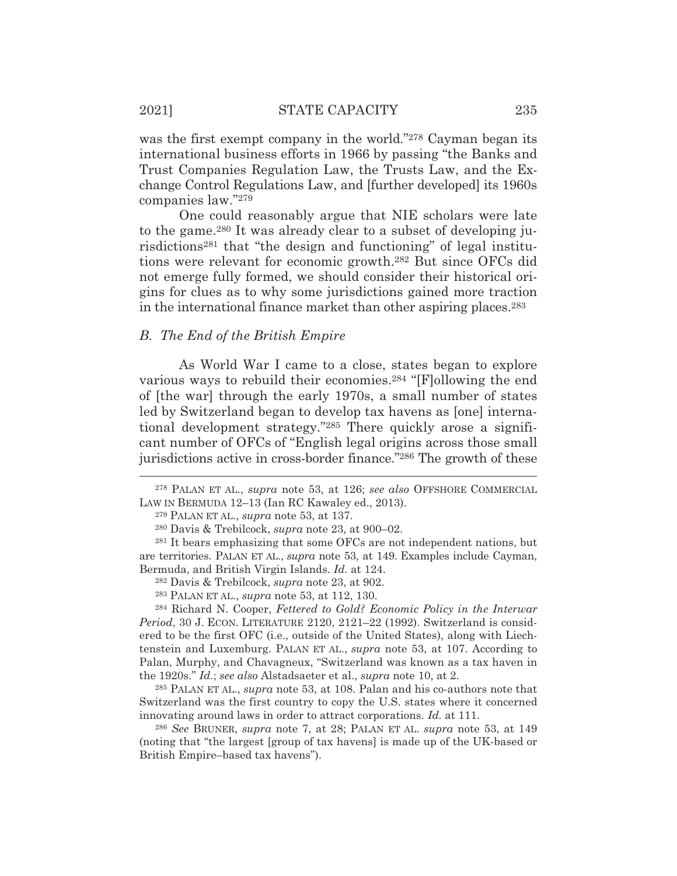was the first exempt company in the world."<sup>278</sup> Cayman began its international business efforts in 1966 by passing "the Banks and Trust Companies Regulation Law, the Trusts Law, and the Exchange Control Regulations Law, and [further developed] its 1960s companies law."279

One could reasonably argue that NIE scholars were late to the game.280 It was already clear to a subset of developing jurisdictions281 that "the design and functioning" of legal institutions were relevant for economic growth.282 But since OFCs did not emerge fully formed, we should consider their historical origins for clues as to why some jurisdictions gained more traction in the international finance market than other aspiring places.283

#### *B. The End of the British Empire*

As World War I came to a close, states began to explore various ways to rebuild their economies.284 "[F]ollowing the end of [the war] through the early 1970s, a small number of states led by Switzerland began to develop tax havens as [one] international development strategy."285 There quickly arose a significant number of OFCs of "English legal origins across those small jurisdictions active in cross-border finance."286 The growth of these

285 PALAN ET AL., *supra* note 53, at 108. Palan and his co-authors note that Switzerland was the first country to copy the U.S. states where it concerned innovating around laws in order to attract corporations. *Id.* at 111.

<sup>286</sup> *See* BRUNER, *supra* note 7, at 28; PALAN ET AL. *supra* note 53, at 149 (noting that "the largest [group of tax havens] is made up of the UK-based or British Empire–based tax havens").

<sup>278</sup> PALAN ET AL., *supra* note 53, at 126; *see also* OFFSHORE COMMERCIAL LAW IN BERMUDA 12–13 (Ian RC Kawaley ed., 2013).

<sup>279</sup> PALAN ET AL., *supra* note 53, at 137.

<sup>280</sup> Davis & Trebilcock, *supra* note 23, at 900–02.

<sup>281</sup> It bears emphasizing that some OFCs are not independent nations, but are territories. PALAN ET AL., *supra* note 53, at 149. Examples include Cayman, Bermuda, and British Virgin Islands. *Id.* at 124.

<sup>282</sup> Davis & Trebilcock, *supra* note 23, at 902.

<sup>283</sup> PALAN ET AL., *supra* note 53, at 112, 130.

<sup>284</sup> Richard N. Cooper, *Fettered to Gold? Economic Policy in the Interwar Period*, 30 J. ECON. LITERATURE 2120, 2121–22 (1992). Switzerland is considered to be the first OFC (i.e., outside of the United States), along with Liechtenstein and Luxemburg. PALAN ET AL., *supra* note 53, at 107. According to Palan, Murphy, and Chavagneux, "Switzerland was known as a tax haven in the 1920s." *Id.*; *see also* Alstadsaeter et al., *supra* note 10, at 2.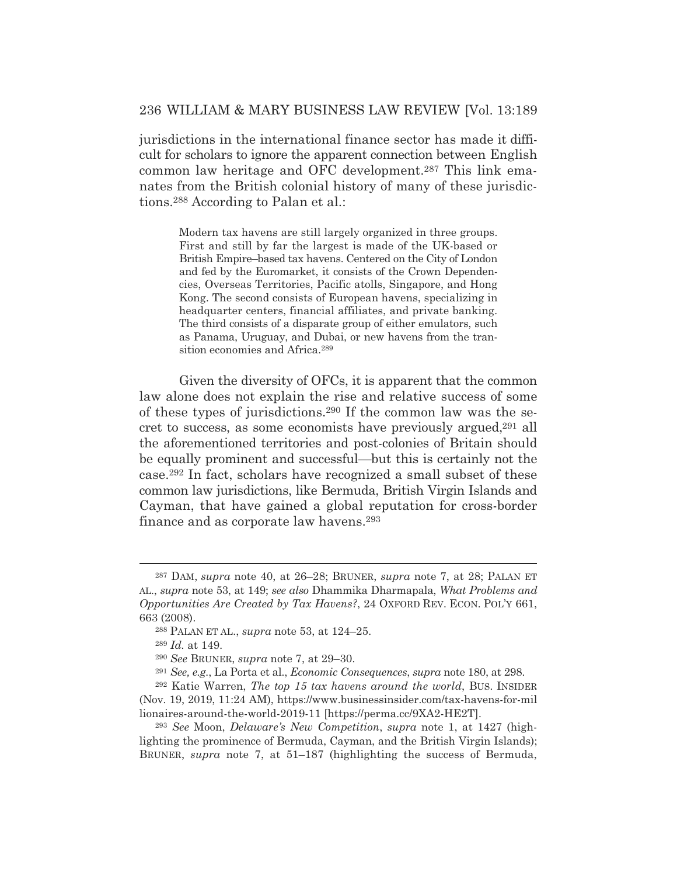jurisdictions in the international finance sector has made it difficult for scholars to ignore the apparent connection between English common law heritage and OFC development.287 This link emanates from the British colonial history of many of these jurisdictions.288 According to Palan et al.:

> Modern tax havens are still largely organized in three groups. First and still by far the largest is made of the UK-based or British Empire–based tax havens. Centered on the City of London and fed by the Euromarket, it consists of the Crown Dependencies, Overseas Territories, Pacific atolls, Singapore, and Hong Kong. The second consists of European havens, specializing in headquarter centers, financial affiliates, and private banking. The third consists of a disparate group of either emulators, such as Panama, Uruguay, and Dubai, or new havens from the transition economies and Africa.289

Given the diversity of OFCs, it is apparent that the common law alone does not explain the rise and relative success of some of these types of jurisdictions.290 If the common law was the secret to success, as some economists have previously argued,291 all the aforementioned territories and post-colonies of Britain should be equally prominent and successful—but this is certainly not the case.292 In fact, scholars have recognized a small subset of these common law jurisdictions, like Bermuda, British Virgin Islands and Cayman, that have gained a global reputation for cross-border finance and as corporate law havens.293

<sup>287</sup> DAM, *supra* note 40, at 26–28; BRUNER, *supra* note 7, at 28; PALAN ET AL., *supra* note 53, at 149; *see also* Dhammika Dharmapala, *What Problems and Opportunities Are Created by Tax Havens?*, 24 OXFORD REV. ECON. POL'Y 661, 663 (2008).

<sup>288</sup> PALAN ET AL., *supra* note 53, at 124–25.

<sup>289</sup> *Id.* at 149.

<sup>290</sup> *See* BRUNER, *supra* note 7, at 29–30.

<sup>291</sup> *See, e.g.*, La Porta et al., *Economic Consequences*, *supra* note 180, at 298.

<sup>292</sup> Katie Warren, *The top 15 tax havens around the world*, BUS. INSIDER (Nov. 19, 2019, 11:24 AM), https://www.businessinsider.com/tax-havens-for-mil lionaires-around-the-world-2019-11 [https://perma.cc/9XA2-HE2T].

<sup>293</sup> *See* Moon, *Delaware's New Competition*, *supra* note 1, at 1427 (highlighting the prominence of Bermuda, Cayman, and the British Virgin Islands); BRUNER, *supra* note 7, at 51–187 (highlighting the success of Bermuda,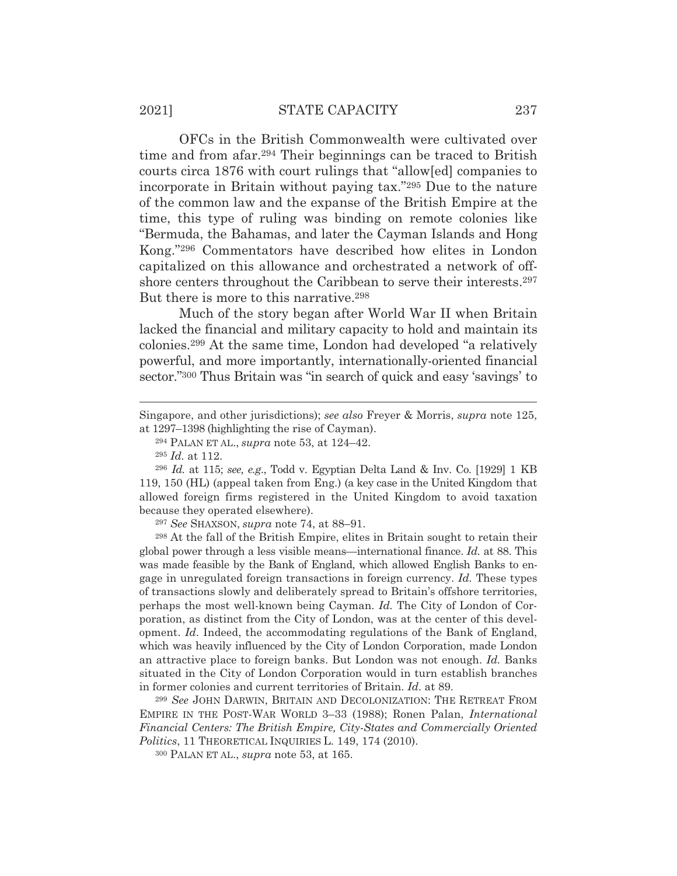OFCs in the British Commonwealth were cultivated over time and from afar.294 Their beginnings can be traced to British courts circa 1876 with court rulings that "allow[ed] companies to incorporate in Britain without paying tax."295 Due to the nature of the common law and the expanse of the British Empire at the time, this type of ruling was binding on remote colonies like "Bermuda, the Bahamas, and later the Cayman Islands and Hong Kong."296 Commentators have described how elites in London capitalized on this allowance and orchestrated a network of offshore centers throughout the Caribbean to serve their interests.<sup>297</sup> But there is more to this narrative.<sup>298</sup>

Much of the story began after World War II when Britain lacked the financial and military capacity to hold and maintain its colonies.299 At the same time, London had developed "a relatively powerful, and more importantly, internationally-oriented financial sector."300 Thus Britain was "in search of quick and easy 'savings' to

<sup>297</sup> *See* SHAXSON, *supra* note 74, at 88–91.

298 At the fall of the British Empire, elites in Britain sought to retain their global power through a less visible means—international finance. *Id.* at 88. This was made feasible by the Bank of England, which allowed English Banks to engage in unregulated foreign transactions in foreign currency. *Id.* These types of transactions slowly and deliberately spread to Britain's offshore territories, perhaps the most well-known being Cayman. *Id.* The City of London of Corporation, as distinct from the City of London, was at the center of this development. *Id*. Indeed, the accommodating regulations of the Bank of England, which was heavily influenced by the City of London Corporation, made London an attractive place to foreign banks. But London was not enough. *Id.* Banks situated in the City of London Corporation would in turn establish branches in former colonies and current territories of Britain. *Id.* at 89.

<sup>299</sup> *See* JOHN DARWIN, BRITAIN AND DECOLONIZATION: THE RETREAT FROM EMPIRE IN THE POST-WAR WORLD 3–33 (1988); Ronen Palan, *International Financial Centers: The British Empire, City-States and Commercially Oriented Politics*, 11 THEORETICAL INQUIRIES L. 149, 174 (2010).

300 PALAN ET AL., *supra* note 53, at 165.

Singapore, and other jurisdictions); *see also* Freyer & Morris, *supra* note 125, at 1297–1398 (highlighting the rise of Cayman).

<sup>294</sup> PALAN ET AL., *supra* note 53, at 124–42.

<sup>295</sup> *Id.* at 112.

<sup>296</sup> *Id.* at 115; *see, e.g*., Todd v. Egyptian Delta Land & Inv. Co. [1929] 1 KB 119, 150 (HL) (appeal taken from Eng.) (a key case in the United Kingdom that allowed foreign firms registered in the United Kingdom to avoid taxation because they operated elsewhere).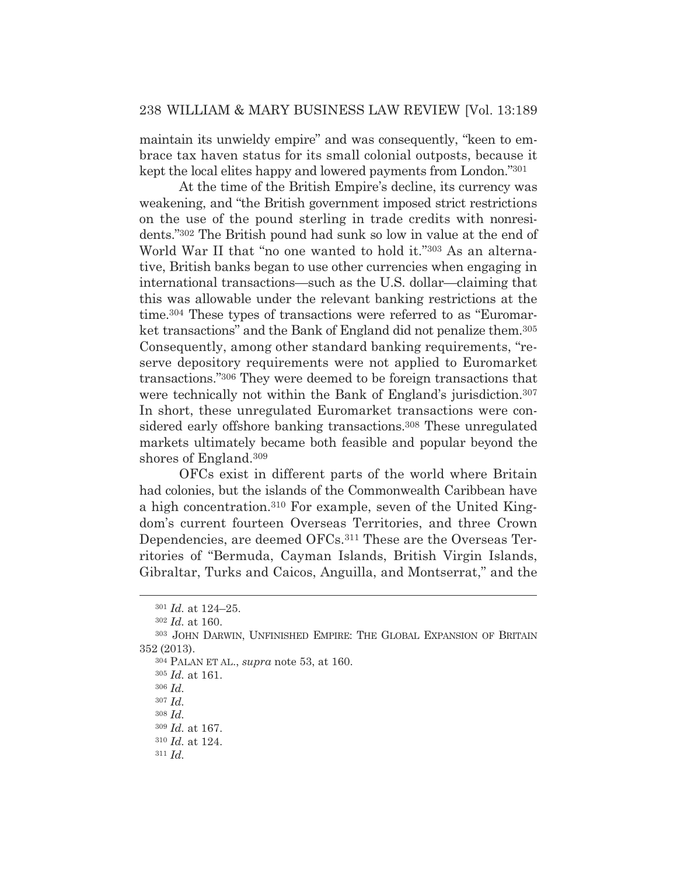maintain its unwieldy empire" and was consequently, "keen to embrace tax haven status for its small colonial outposts, because it kept the local elites happy and lowered payments from London."301

At the time of the British Empire's decline, its currency was weakening, and "the British government imposed strict restrictions on the use of the pound sterling in trade credits with nonresidents."302 The British pound had sunk so low in value at the end of World War II that "no one wanted to hold it."303 As an alternative, British banks began to use other currencies when engaging in international transactions—such as the U.S. dollar—claiming that this was allowable under the relevant banking restrictions at the time.304 These types of transactions were referred to as "Euromarket transactions" and the Bank of England did not penalize them.<sup>305</sup> Consequently, among other standard banking requirements, "reserve depository requirements were not applied to Euromarket transactions."306 They were deemed to be foreign transactions that were technically not within the Bank of England's jurisdiction.<sup>307</sup> In short, these unregulated Euromarket transactions were considered early offshore banking transactions.308 These unregulated markets ultimately became both feasible and popular beyond the shores of England.309

OFCs exist in different parts of the world where Britain had colonies, but the islands of the Commonwealth Caribbean have a high concentration.310 For example, seven of the United Kingdom's current fourteen Overseas Territories, and three Crown Dependencies, are deemed OFCs.<sup>311</sup> These are the Overseas Territories of "Bermuda, Cayman Islands, British Virgin Islands, Gibraltar, Turks and Caicos, Anguilla, and Montserrat," and the

<sup>301</sup> *Id.* at 124–25.

<sup>302</sup> *Id.* at 160.

<sup>303</sup> JOHN DARWIN, UNFINISHED EMPIRE: THE GLOBAL EXPANSION OF BRITAIN 352 (2013).

<sup>304</sup> PALAN ET AL., *supra* note 53, at 160.

<sup>305</sup> *Id.* at 161.

<sup>306</sup> *Id.*

<sup>307</sup> *Id.*

<sup>308</sup> *Id.*

<sup>309</sup> *Id.* at 167.

<sup>310</sup> *Id.* at 124.

<sup>311</sup> *Id.*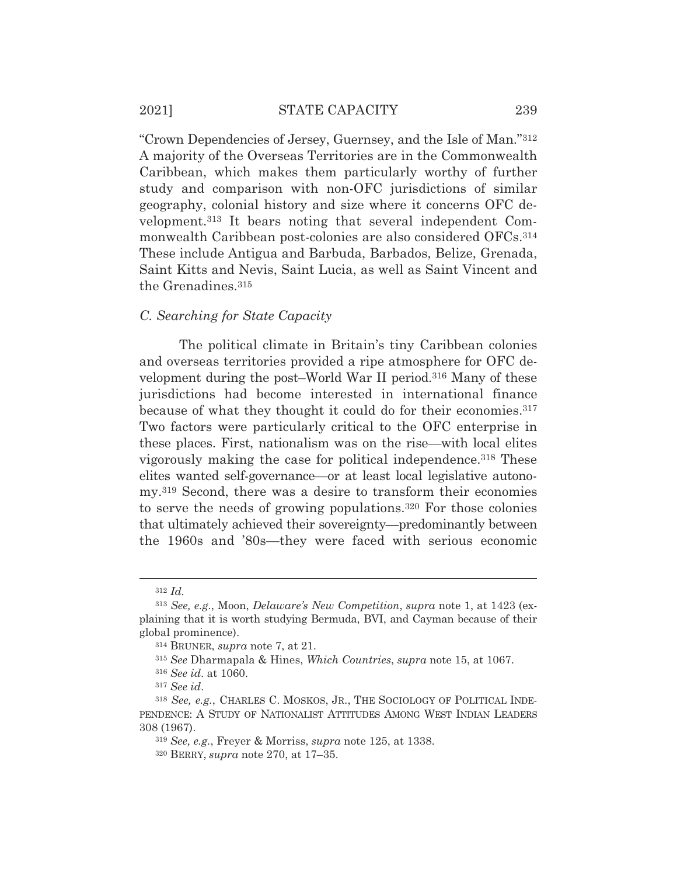"Crown Dependencies of Jersey, Guernsey, and the Isle of Man."312 A majority of the Overseas Territories are in the Commonwealth Caribbean, which makes them particularly worthy of further study and comparison with non-OFC jurisdictions of similar geography, colonial history and size where it concerns OFC development.313 It bears noting that several independent Commonwealth Caribbean post-colonies are also considered OFCs.314 These include Antigua and Barbuda, Barbados, Belize, Grenada, Saint Kitts and Nevis, Saint Lucia, as well as Saint Vincent and the Grenadines.315

#### *C. Searching for State Capacity*

The political climate in Britain's tiny Caribbean colonies and overseas territories provided a ripe atmosphere for OFC development during the post–World War II period.316 Many of these jurisdictions had become interested in international finance because of what they thought it could do for their economies.317 Two factors were particularly critical to the OFC enterprise in these places. First, nationalism was on the rise—with local elites vigorously making the case for political independence.318 These elites wanted self-governance—or at least local legislative autonomy.319 Second, there was a desire to transform their economies to serve the needs of growing populations.320 For those colonies that ultimately achieved their sovereignty—predominantly between the 1960s and '80s—they were faced with serious economic

<sup>312</sup> *Id.*

<sup>313</sup> *See, e.g.*, Moon, *Delaware's New Competition*, *supra* note 1, at 1423 (explaining that it is worth studying Bermuda, BVI, and Cayman because of their global prominence).

<sup>314</sup> BRUNER, *supra* note 7, at 21.

<sup>315</sup> *See* Dharmapala & Hines, *Which Countries*, *supra* note 15, at 1067.

<sup>316</sup> *See id*. at 1060.

<sup>317</sup> *See id*.

<sup>318</sup> *See, e.g.*, CHARLES C. MOSKOS, JR., THE SOCIOLOGY OF POLITICAL INDE-PENDENCE: A STUDY OF NATIONALIST ATTITUDES AMONG WEST INDIAN LEADERS 308 (1967).

<sup>319</sup> *See, e.g.*, Freyer & Morriss, *supra* note 125, at 1338.

<sup>320</sup> BERRY, *supra* note 270, at 17–35.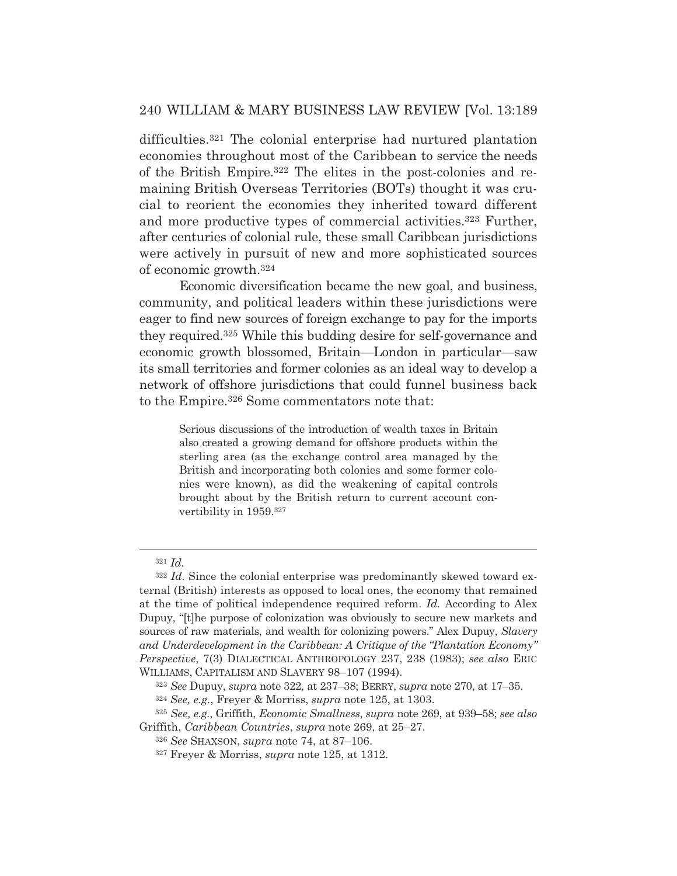difficulties.321 The colonial enterprise had nurtured plantation economies throughout most of the Caribbean to service the needs of the British Empire.322 The elites in the post-colonies and remaining British Overseas Territories (BOTs) thought it was crucial to reorient the economies they inherited toward different and more productive types of commercial activities.323 Further, after centuries of colonial rule, these small Caribbean jurisdictions were actively in pursuit of new and more sophisticated sources of economic growth.324

 Economic diversification became the new goal, and business, community, and political leaders within these jurisdictions were eager to find new sources of foreign exchange to pay for the imports they required.325 While this budding desire for self-governance and economic growth blossomed, Britain—London in particular—saw its small territories and former colonies as an ideal way to develop a network of offshore jurisdictions that could funnel business back to the Empire.326 Some commentators note that:

> Serious discussions of the introduction of wealth taxes in Britain also created a growing demand for offshore products within the sterling area (as the exchange control area managed by the British and incorporating both colonies and some former colonies were known), as did the weakening of capital controls brought about by the British return to current account convertibility in 1959.327

<sup>321</sup> *Id.*

<sup>&</sup>lt;sup>322</sup> Id. Since the colonial enterprise was predominantly skewed toward external (British) interests as opposed to local ones, the economy that remained at the time of political independence required reform. *Id.* According to Alex Dupuy, "[t]he purpose of colonization was obviously to secure new markets and sources of raw materials, and wealth for colonizing powers." Alex Dupuy, *Slavery and Underdevelopment in the Caribbean: A Critique of the "Plantation Economy" Perspective*, 7(3) DIALECTICAL ANTHROPOLOGY 237, 238 (1983); *see also* ERIC WILLIAMS, CAPITALISM AND SLAVERY 98–107 (1994).

<sup>323</sup> *See* Dupuy, *supra* note 322*,* at 237–38; BERRY, *supra* note 270, at 17–35.

<sup>324</sup> *See, e.g.*, Freyer & Morriss, *supra* note 125, at 1303.

<sup>325</sup> *See, e.g.*, Griffith, *Economic Smallness*, *supra* note 269, at 939–58; *see also* Griffith, *Caribbean Countries*, *supra* note 269, at 25–27.

<sup>326</sup> *See* SHAXSON, *supra* note 74, at 87–106.

<sup>327</sup> Freyer & Morriss, *supra* note 125, at 1312.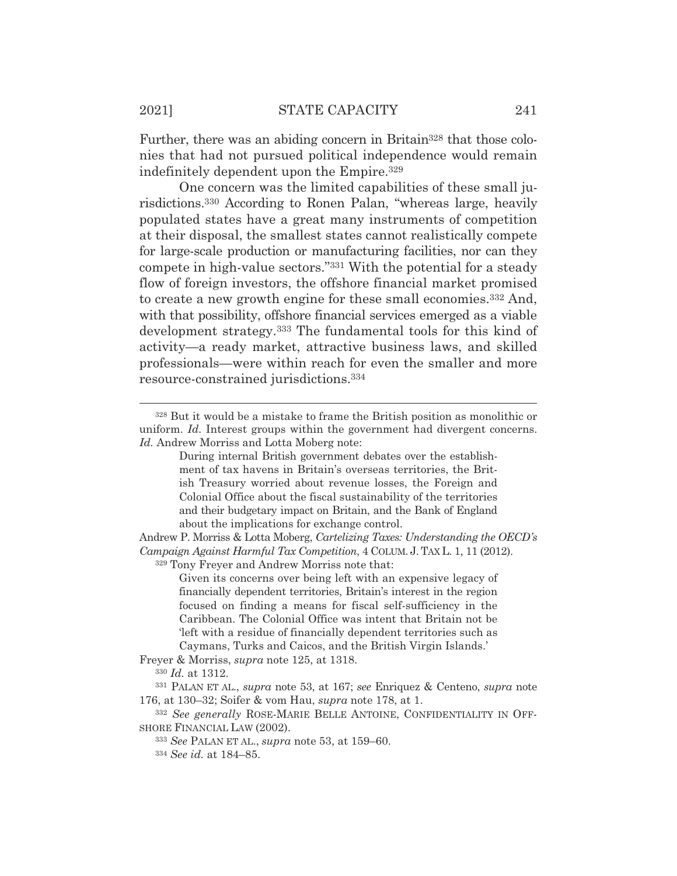Further, there was an abiding concern in Britain<sup>328</sup> that those colonies that had not pursued political independence would remain indefinitely dependent upon the Empire.329

 One concern was the limited capabilities of these small jurisdictions.330 According to Ronen Palan, "whereas large, heavily populated states have a great many instruments of competition at their disposal, the smallest states cannot realistically compete for large-scale production or manufacturing facilities, nor can they compete in high-value sectors."331 With the potential for a steady flow of foreign investors, the offshore financial market promised to create a new growth engine for these small economies.332 And, with that possibility, offshore financial services emerged as a viable development strategy.333 The fundamental tools for this kind of activity—a ready market, attractive business laws, and skilled professionals—were within reach for even the smaller and more resource-constrained jurisdictions.334

329 Tony Freyer and Andrew Morriss note that:

Freyer & Morriss, *supra* note 125, at 1318.

<sup>330</sup> *Id.* at 1312.

<sup>328</sup> But it would be a mistake to frame the British position as monolithic or uniform. *Id.* Interest groups within the government had divergent concerns. *Id.* Andrew Morriss and Lotta Moberg note:

During internal British government debates over the establishment of tax havens in Britain's overseas territories, the British Treasury worried about revenue losses, the Foreign and Colonial Office about the fiscal sustainability of the territories and their budgetary impact on Britain, and the Bank of England about the implications for exchange control.

Andrew P. Morriss & Lotta Moberg, *Cartelizing Taxes: Understanding the OECD's Campaign Against Harmful Tax Competition*, 4 COLUM. J. TAX L. 1, 11 (2012).

Given its concerns over being left with an expensive legacy of financially dependent territories, Britain's interest in the region focused on finding a means for fiscal self-sufficiency in the Caribbean. The Colonial Office was intent that Britain not be 'left with a residue of financially dependent territories such as Caymans, Turks and Caicos, and the British Virgin Islands.'

<sup>331</sup> PALAN ET AL., *supra* note 53, at 167; *see* Enriquez & Centeno, *supra* note 176, at 130–32; Soifer & vom Hau, *supra* note 178, at 1.

<sup>332</sup> *See generally* ROSE-MARIE BELLE ANTOINE, CONFIDENTIALITY IN OFF-SHORE FINANCIAL LAW (2002).

<sup>333</sup> *See* PALAN ET AL., *supra* note 53, at 159–60.

<sup>334</sup> *See id.* at 184–85.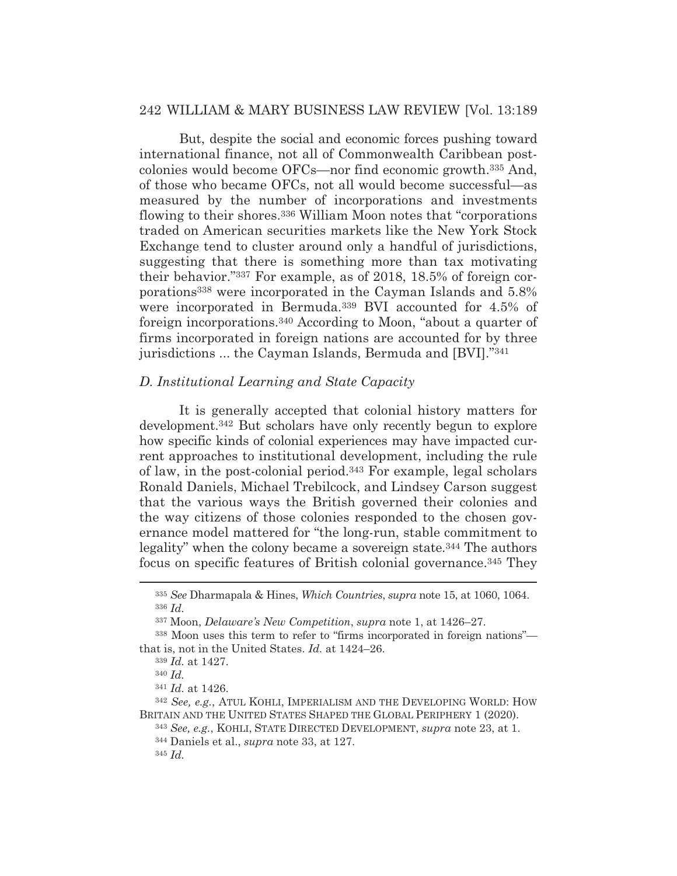But, despite the social and economic forces pushing toward international finance, not all of Commonwealth Caribbean postcolonies would become OFCs—nor find economic growth.335 And, of those who became OFCs, not all would become successful—as measured by the number of incorporations and investments flowing to their shores.336 William Moon notes that "corporations traded on American securities markets like the New York Stock Exchange tend to cluster around only a handful of jurisdictions, suggesting that there is something more than tax motivating their behavior."337 For example, as of 2018, 18.5% of foreign corporations338 were incorporated in the Cayman Islands and 5.8% were incorporated in Bermuda.339 BVI accounted for 4.5% of foreign incorporations.340 According to Moon, "about a quarter of firms incorporated in foreign nations are accounted for by three jurisdictions ... the Cayman Islands, Bermuda and [BVI]."341

#### *D. Institutional Learning and State Capacity*

It is generally accepted that colonial history matters for development.342 But scholars have only recently begun to explore how specific kinds of colonial experiences may have impacted current approaches to institutional development, including the rule of law, in the post-colonial period.343 For example, legal scholars Ronald Daniels, Michael Trebilcock, and Lindsey Carson suggest that the various ways the British governed their colonies and the way citizens of those colonies responded to the chosen governance model mattered for "the long-run, stable commitment to legality" when the colony became a sovereign state.<sup>344</sup> The authors focus on specific features of British colonial governance.345 They

<sup>342</sup> *See, e.g.*, ATUL KOHLI, IMPERIALISM AND THE DEVELOPING WORLD: HOW BRITAIN AND THE UNITED STATES SHAPED THE GLOBAL PERIPHERY 1 (2020).

<sup>335</sup> *See* Dharmapala & Hines, *Which Countries*, *supra* note 15, at 1060, 1064. <sup>336</sup> *Id.*

<sup>337</sup> Moon, *Delaware's New Competition*, *supra* note 1, at 1426–27.

<sup>338</sup> Moon uses this term to refer to "firms incorporated in foreign nations" that is, not in the United States. *Id.* at 1424–26.

<sup>339</sup> *Id.* at 1427.

<sup>340</sup> *Id.*

<sup>341</sup> *Id.* at 1426.

<sup>343</sup> *See, e.g.*, KOHLI, STATE DIRECTED DEVELOPMENT, *supra* note 23, at 1. 344 Daniels et al., *supra* note 33, at 127.

<sup>345</sup> *Id.*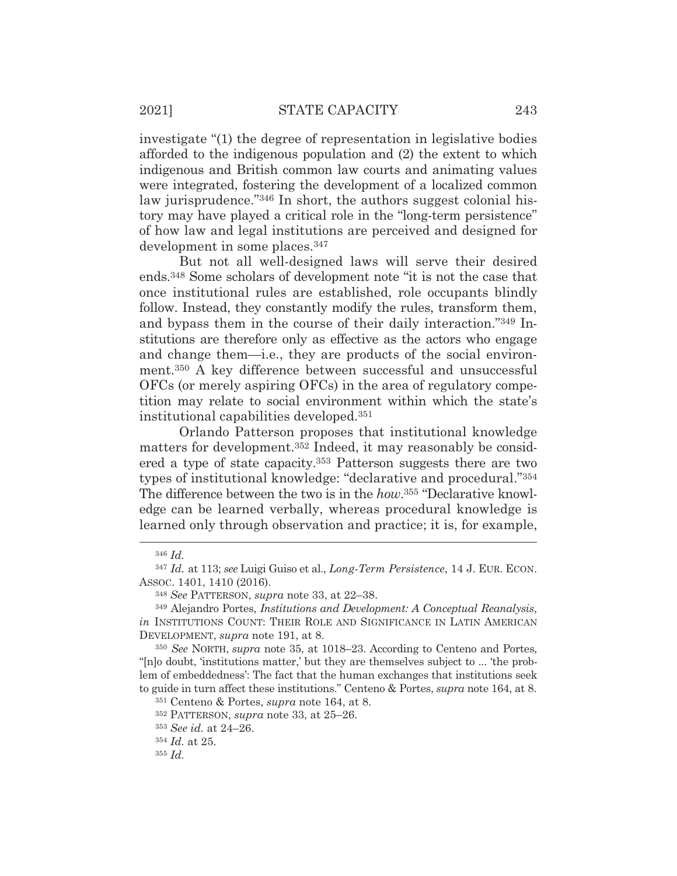investigate "(1) the degree of representation in legislative bodies afforded to the indigenous population and (2) the extent to which indigenous and British common law courts and animating values were integrated, fostering the development of a localized common law jurisprudence."<sup>346</sup> In short, the authors suggest colonial history may have played a critical role in the "long-term persistence" of how law and legal institutions are perceived and designed for development in some places.347

But not all well-designed laws will serve their desired ends.348 Some scholars of development note "it is not the case that once institutional rules are established, role occupants blindly follow. Instead, they constantly modify the rules, transform them, and bypass them in the course of their daily interaction."349 Institutions are therefore only as effective as the actors who engage and change them—i.e., they are products of the social environment.350 A key difference between successful and unsuccessful OFCs (or merely aspiring OFCs) in the area of regulatory competition may relate to social environment within which the state's institutional capabilities developed.351

Orlando Patterson proposes that institutional knowledge matters for development.352 Indeed, it may reasonably be considered a type of state capacity.353 Patterson suggests there are two types of institutional knowledge: "declarative and procedural."354 The difference between the two is in the *how*.355 "Declarative knowledge can be learned verbally, whereas procedural knowledge is learned only through observation and practice; it is, for example,

<sup>354</sup> *Id.* at 25.

<sup>346</sup> *Id.*

<sup>347</sup> *Id.* at 113; *see* Luigi Guiso et al., *Long-Term Persistence*, 14 J. EUR. ECON. ASSOC. 1401, 1410 (2016).

<sup>348</sup> *See* PATTERSON, *supra* note 33, at 22–38.

<sup>349</sup> Alejandro Portes, *Institutions and Development: A Conceptual Reanalysis*, *in* INSTITUTIONS COUNT: THEIR ROLE AND SIGNIFICANCE IN LATIN AMERICAN DEVELOPMENT, *supra* note 191, at 8.

<sup>350</sup> *See* NORTH, *supra* note 35, at 1018–23. According to Centeno and Portes, "[n]o doubt, 'institutions matter,' but they are themselves subject to ... 'the problem of embeddedness': The fact that the human exchanges that institutions seek to guide in turn affect these institutions." Centeno & Portes, *supra* note 164, at 8.

<sup>351</sup> Centeno & Portes, *supra* note 164, at 8.

<sup>352</sup> PATTERSON, *supra* note 33, at 25–26.

<sup>353</sup> *See id.* at 24–26.

<sup>355</sup> *Id.*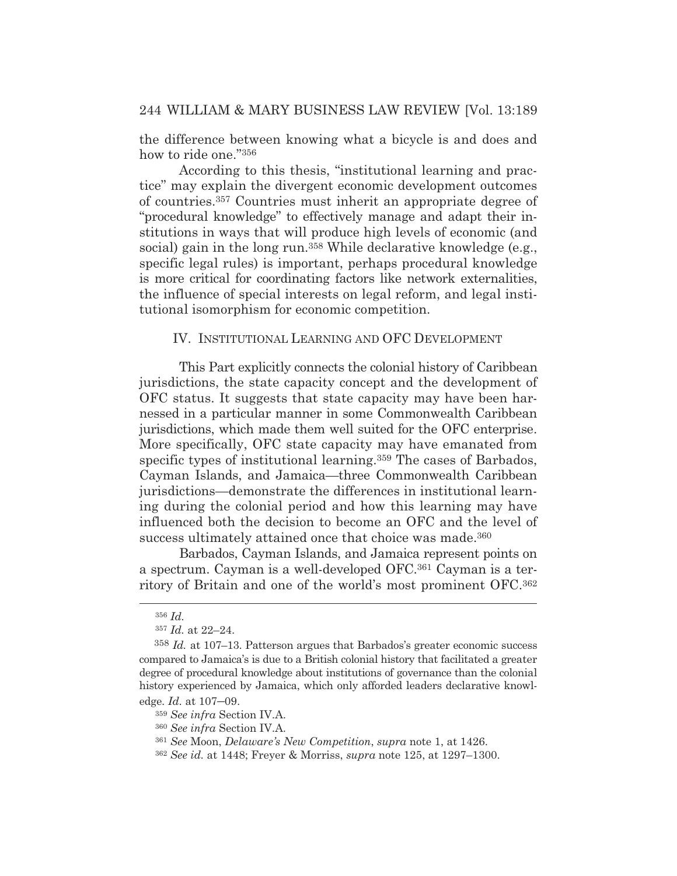the difference between knowing what a bicycle is and does and how to ride one."356

According to this thesis, "institutional learning and practice" may explain the divergent economic development outcomes of countries.357 Countries must inherit an appropriate degree of "procedural knowledge" to effectively manage and adapt their institutions in ways that will produce high levels of economic (and social) gain in the long run.<sup>358</sup> While declarative knowledge (e.g., specific legal rules) is important, perhaps procedural knowledge is more critical for coordinating factors like network externalities, the influence of special interests on legal reform, and legal institutional isomorphism for economic competition.

#### IV. INSTITUTIONAL LEARNING AND OFC DEVELOPMENT

This Part explicitly connects the colonial history of Caribbean jurisdictions, the state capacity concept and the development of OFC status. It suggests that state capacity may have been harnessed in a particular manner in some Commonwealth Caribbean jurisdictions, which made them well suited for the OFC enterprise. More specifically, OFC state capacity may have emanated from specific types of institutional learning.<sup>359</sup> The cases of Barbados, Cayman Islands, and Jamaica—three Commonwealth Caribbean jurisdictions—demonstrate the differences in institutional learning during the colonial period and how this learning may have influenced both the decision to become an OFC and the level of success ultimately attained once that choice was made.<sup>360</sup>

Barbados, Cayman Islands, and Jamaica represent points on a spectrum. Cayman is a well-developed OFC.361 Cayman is a territory of Britain and one of the world's most prominent OFC.362

<sup>356</sup> *Id.*

<sup>357</sup> *Id.* at 22–24.

<sup>358</sup> *Id.* at 107–13. Patterson argues that Barbados's greater economic success compared to Jamaica's is due to a British colonial history that facilitated a greater degree of procedural knowledge about institutions of governance than the colonial history experienced by Jamaica, which only afforded leaders declarative knowledge. *Id.* at 107–09.

<sup>359</sup> *See infra* Section IV.A.

<sup>360</sup> *See infra* Section IV.A.

<sup>361</sup> *See* Moon, *Delaware's New Competition*, *supra* note 1, at 1426.

<sup>362</sup> *See id.* at 1448; Freyer & Morriss, *supra* note 125, at 1297–1300.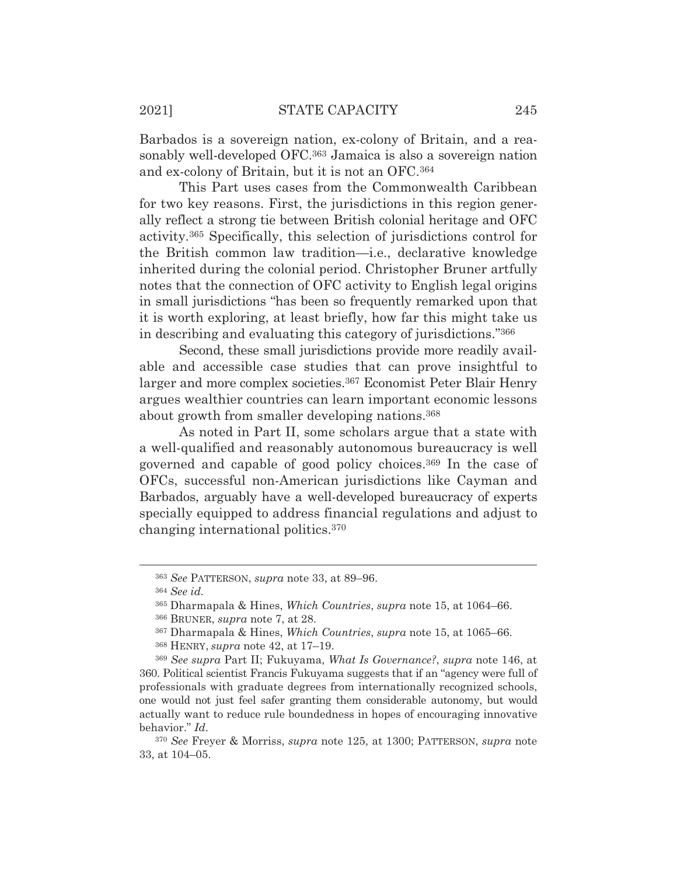Barbados is a sovereign nation, ex-colony of Britain, and a reasonably well-developed OFC.363 Jamaica is also a sovereign nation and ex-colony of Britain, but it is not an OFC.364

This Part uses cases from the Commonwealth Caribbean for two key reasons. First, the jurisdictions in this region generally reflect a strong tie between British colonial heritage and OFC activity.365 Specifically, this selection of jurisdictions control for the British common law tradition—i.e., declarative knowledge inherited during the colonial period. Christopher Bruner artfully notes that the connection of OFC activity to English legal origins in small jurisdictions "has been so frequently remarked upon that it is worth exploring, at least briefly, how far this might take us in describing and evaluating this category of jurisdictions."366

Second, these small jurisdictions provide more readily available and accessible case studies that can prove insightful to larger and more complex societies.<sup>367</sup> Economist Peter Blair Henry argues wealthier countries can learn important economic lessons about growth from smaller developing nations.368

 As noted in Part II, some scholars argue that a state with a well-qualified and reasonably autonomous bureaucracy is well governed and capable of good policy choices.369 In the case of OFCs, successful non-American jurisdictions like Cayman and Barbados, arguably have a well-developed bureaucracy of experts specially equipped to address financial regulations and adjust to changing international politics.370

<sup>363</sup> *See* PATTERSON, *supra* note 33, at 89–96.

<sup>364</sup> *See id.*

<sup>365</sup> Dharmapala & Hines, *Which Countries*, *supra* note 15, at 1064–66.

<sup>366</sup> BRUNER, *supra* note 7, at 28.

<sup>367</sup> Dharmapala & Hines, *Which Countries*, *supra* note 15, at 1065–66.

<sup>368</sup> HENRY, *supra* note 42, at 17–19.

<sup>369</sup> *See supra* Part II; Fukuyama, *What Is Governance?*, *supra* note 146, at 360. Political scientist Francis Fukuyama suggests that if an "agency were full of professionals with graduate degrees from internationally recognized schools, one would not just feel safer granting them considerable autonomy, but would actually want to reduce rule boundedness in hopes of encouraging innovative behavior." *Id*.

<sup>370</sup> *See* Freyer & Morriss, *supra* note 125, at 1300; PATTERSON, *supra* note 33, at 104–05.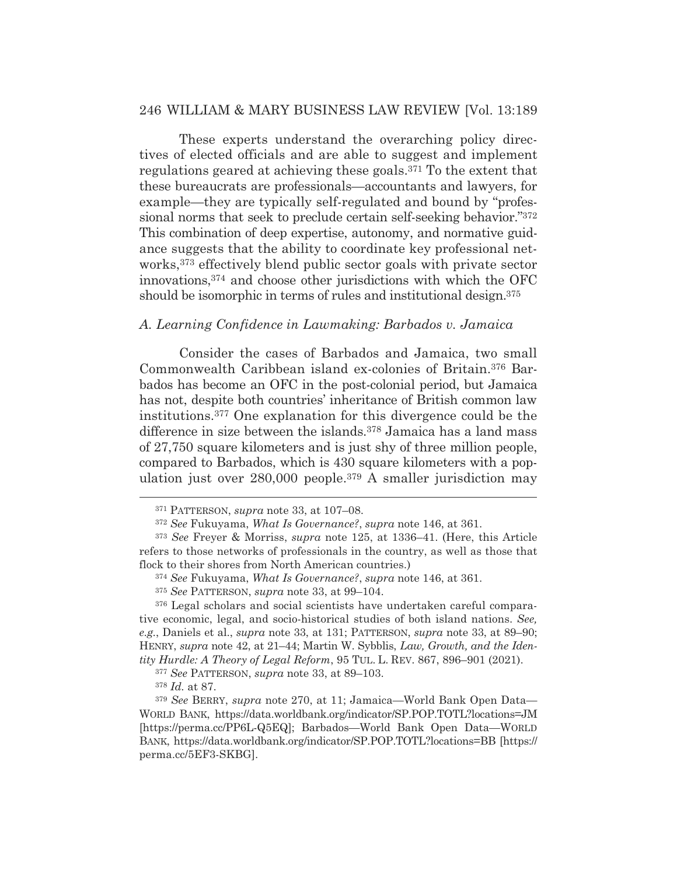These experts understand the overarching policy directives of elected officials and are able to suggest and implement regulations geared at achieving these goals.371 To the extent that these bureaucrats are professionals—accountants and lawyers, for example—they are typically self-regulated and bound by "professional norms that seek to preclude certain self-seeking behavior."372 This combination of deep expertise, autonomy, and normative guidance suggests that the ability to coordinate key professional networks,373 effectively blend public sector goals with private sector innovations,374 and choose other jurisdictions with which the OFC should be isomorphic in terms of rules and institutional design.<sup>375</sup>

#### *A. Learning Confidence in Lawmaking: Barbados v. Jamaica*

Consider the cases of Barbados and Jamaica, two small Commonwealth Caribbean island ex-colonies of Britain.376 Barbados has become an OFC in the post-colonial period, but Jamaica has not, despite both countries' inheritance of British common law institutions.377 One explanation for this divergence could be the difference in size between the islands.<sup>378</sup> Jamaica has a land mass of 27,750 square kilometers and is just shy of three million people, compared to Barbados, which is 430 square kilometers with a population just over 280,000 people.379 A smaller jurisdiction may

376 Legal scholars and social scientists have undertaken careful comparative economic, legal, and socio-historical studies of both island nations. *See, e.g.*, Daniels et al., *supra* note 33, at 131; PATTERSON, *supra* note 33, at 89–90; HENRY, *supra* note 42, at 21–44; Martin W. Sybblis, *Law, Growth, and the Identity Hurdle: A Theory of Legal Reform*, 95 TUL. L. REV. 867, 896–901 (2021).

<sup>377</sup> *See* PATTERSON, *supra* note 33, at 89–103.

<sup>378</sup> *Id.* at 87.

<sup>379</sup> *See* BERRY, *supra* note 270, at 11; Jamaica—World Bank Open Data— WORLD BANK, https://data.worldbank.org/indicator/SP.POP.TOTL?locations=JM [https://perma.cc/PP6L-Q5EQ]; Barbados—World Bank Open Data—WORLD BANK, https://data.worldbank.org/indicator/SP.POP.TOTL?locations=BB [https:// perma.cc/5EF3-SKBG].

<sup>371</sup> PATTERSON, *supra* note 33, at 107–08.

<sup>372</sup> *See* Fukuyama, *What Is Governance?*, *supra* note 146, at 361.

<sup>373</sup> *See* Freyer & Morriss, *supra* note 125, at 1336–41. (Here, this Article refers to those networks of professionals in the country, as well as those that flock to their shores from North American countries.)

<sup>374</sup> *See* Fukuyama, *What Is Governance?*, *supra* note 146, at 361.

<sup>375</sup> *See* PATTERSON, *supra* note 33, at 99–104.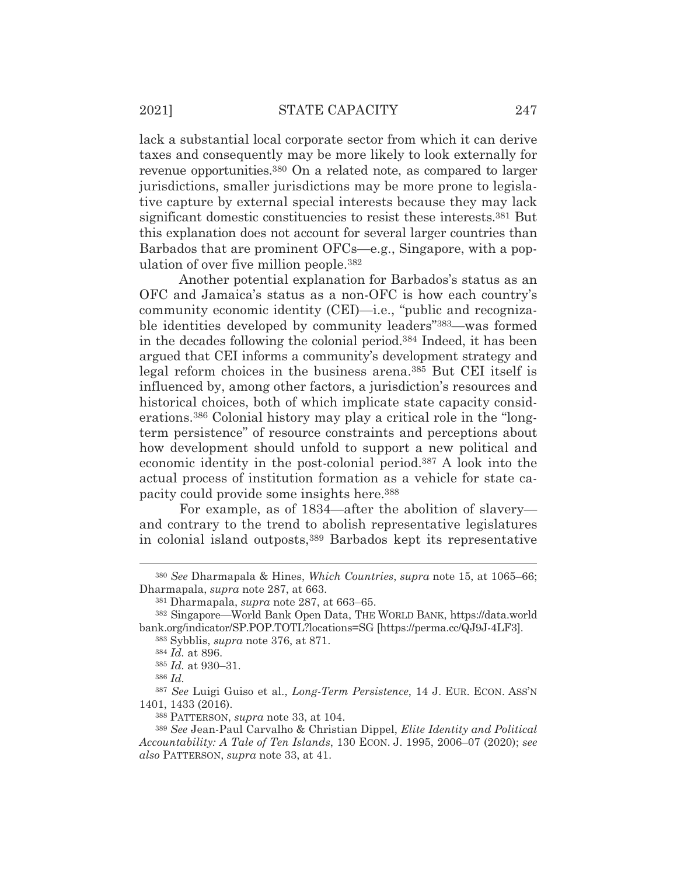lack a substantial local corporate sector from which it can derive taxes and consequently may be more likely to look externally for revenue opportunities.380 On a related note, as compared to larger jurisdictions, smaller jurisdictions may be more prone to legislative capture by external special interests because they may lack significant domestic constituencies to resist these interests.381 But this explanation does not account for several larger countries than Barbados that are prominent OFCs—e.g., Singapore, with a population of over five million people.382

 Another potential explanation for Barbados's status as an OFC and Jamaica's status as a non-OFC is how each country's community economic identity (CEI)—i.e., "public and recognizable identities developed by community leaders"383—was formed in the decades following the colonial period.384 Indeed, it has been argued that CEI informs a community's development strategy and legal reform choices in the business arena.385 But CEI itself is influenced by, among other factors, a jurisdiction's resources and historical choices, both of which implicate state capacity considerations.386 Colonial history may play a critical role in the "longterm persistence" of resource constraints and perceptions about how development should unfold to support a new political and economic identity in the post-colonial period.387 A look into the actual process of institution formation as a vehicle for state capacity could provide some insights here.388

 For example, as of 1834—after the abolition of slavery and contrary to the trend to abolish representative legislatures in colonial island outposts,389 Barbados kept its representative

<sup>380</sup> *See* Dharmapala & Hines, *Which Countries*, *supra* note 15, at 1065–66; Dharmapala, *supra* note 287, at 663.

<sup>381</sup> Dharmapala, *supra* note 287, at 663–65.

<sup>382</sup> Singapore—World Bank Open Data, THE WORLD BANK, https://data.world bank.org/indicator/SP.POP.TOTL?locations=SG [https://perma.cc/QJ9J-4LF3].

<sup>383</sup> Sybblis, *supra* note 376, at 871.

<sup>384</sup> *Id.* at 896.

<sup>385</sup> *Id.* at 930–31.

<sup>386</sup> *Id.*

<sup>387</sup> *See* Luigi Guiso et al., *Long-Term Persistence*, 14 J. EUR. ECON. ASS'N 1401, 1433 (2016).

<sup>388</sup> PATTERSON, *supra* note 33, at 104.

<sup>389</sup> *See* Jean-Paul Carvalho & Christian Dippel, *Elite Identity and Political Accountability: A Tale of Ten Islands*, 130 ECON. J. 1995, 2006–07 (2020); *see also* PATTERSON, *supra* note 33, at 41.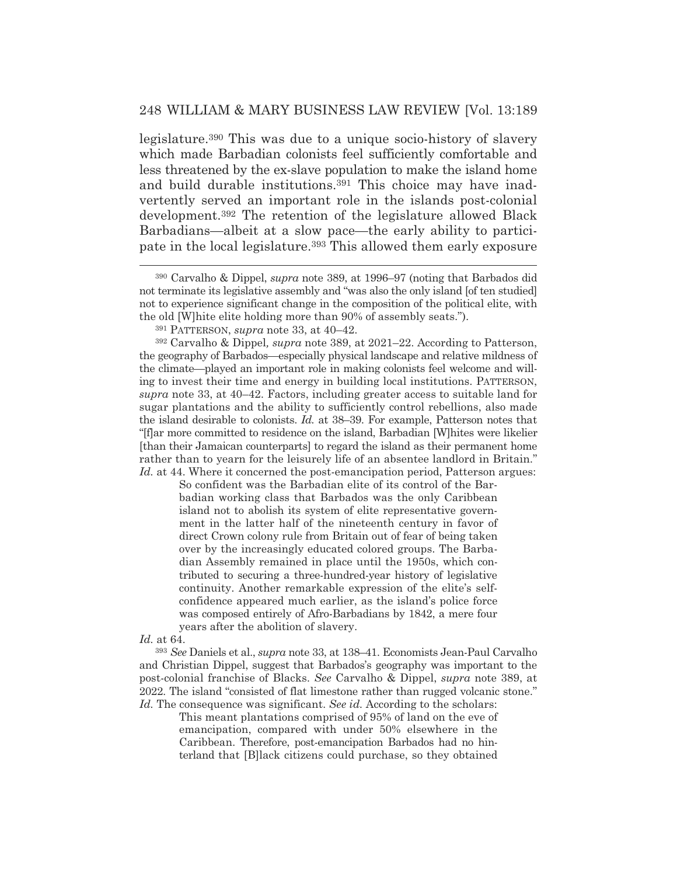legislature.390 This was due to a unique socio-history of slavery which made Barbadian colonists feel sufficiently comfortable and less threatened by the ex-slave population to make the island home and build durable institutions.<sup>391</sup> This choice may have inadvertently served an important role in the islands post-colonial development.392 The retention of the legislature allowed Black Barbadians—albeit at a slow pace—the early ability to participate in the local legislature.<sup>393</sup> This allowed them early exposure

392 Carvalho & Dippel*, supra* note 389, at 2021–22. According to Patterson, the geography of Barbados—especially physical landscape and relative mildness of the climate—played an important role in making colonists feel welcome and willing to invest their time and energy in building local institutions. PATTERSON, *supra* note 33, at 40–42. Factors, including greater access to suitable land for sugar plantations and the ability to sufficiently control rebellions, also made the island desirable to colonists. *Id.* at 38–39. For example, Patterson notes that "[f]ar more committed to residence on the island, Barbadian [W]hites were likelier [than their Jamaican counterparts] to regard the island as their permanent home rather than to yearn for the leisurely life of an absentee landlord in Britain." *Id.* at 44. Where it concerned the post-emancipation period, Patterson argues:

So confident was the Barbadian elite of its control of the Barbadian working class that Barbados was the only Caribbean island not to abolish its system of elite representative government in the latter half of the nineteenth century in favor of direct Crown colony rule from Britain out of fear of being taken over by the increasingly educated colored groups. The Barbadian Assembly remained in place until the 1950s, which contributed to securing a three-hundred-year history of legislative continuity. Another remarkable expression of the elite's selfconfidence appeared much earlier, as the island's police force was composed entirely of Afro-Barbadians by 1842, a mere four years after the abolition of slavery.

*Id.* at 64.

<sup>393</sup> *See* Daniels et al., *supra* note 33, at 138–41. Economists Jean-Paul Carvalho and Christian Dippel, suggest that Barbados's geography was important to the post-colonial franchise of Blacks. *See* Carvalho & Dippel, *supra* note 389, at 2022. The island "consisted of flat limestone rather than rugged volcanic stone." *Id.* The consequence was significant. *See id.* According to the scholars:

This meant plantations comprised of 95% of land on the eve of emancipation, compared with under 50% elsewhere in the Caribbean. Therefore, post-emancipation Barbados had no hinterland that [B]lack citizens could purchase, so they obtained

<sup>390</sup> Carvalho & Dippel, *supra* note 389, at 1996–97 (noting that Barbados did not terminate its legislative assembly and "was also the only island [of ten studied] not to experience significant change in the composition of the political elite, with the old [W]hite elite holding more than 90% of assembly seats.").

<sup>391</sup> PATTERSON, *supra* note 33, at 40–42.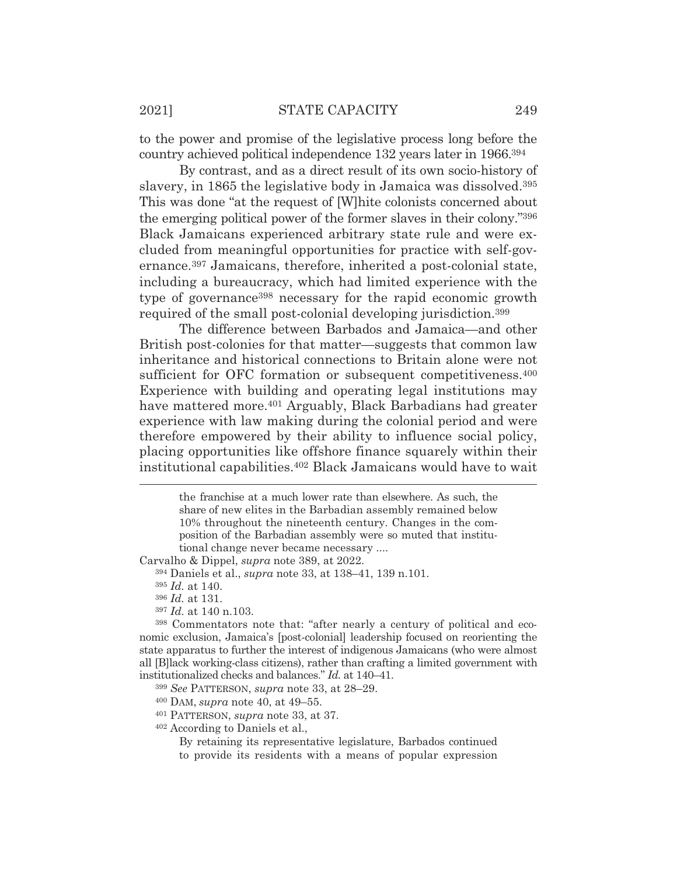to the power and promise of the legislative process long before the country achieved political independence 132 years later in 1966.394

By contrast, and as a direct result of its own socio-history of slavery, in 1865 the legislative body in Jamaica was dissolved.395 This was done "at the request of [W]hite colonists concerned about the emerging political power of the former slaves in their colony."396 Black Jamaicans experienced arbitrary state rule and were excluded from meaningful opportunities for practice with self-governance.397 Jamaicans, therefore, inherited a post-colonial state, including a bureaucracy, which had limited experience with the type of governance398 necessary for the rapid economic growth required of the small post-colonial developing jurisdiction.399

 The difference between Barbados and Jamaica—and other British post-colonies for that matter—suggests that common law inheritance and historical connections to Britain alone were not sufficient for OFC formation or subsequent competitiveness.<sup>400</sup> Experience with building and operating legal institutions may have mattered more.<sup>401</sup> Arguably, Black Barbadians had greater experience with law making during the colonial period and were therefore empowered by their ability to influence social policy, placing opportunities like offshore finance squarely within their institutional capabilities.402 Black Jamaicans would have to wait

Carvalho & Dippel, *supra* note 389, at 2022.

<sup>396</sup> *Id.* at 131.

<sup>397</sup> *Id.* at 140 n.103.

398 Commentators note that: "after nearly a century of political and economic exclusion, Jamaica's [post-colonial] leadership focused on reorienting the state apparatus to further the interest of indigenous Jamaicans (who were almost all [B]lack working-class citizens), rather than crafting a limited government with institutionalized checks and balances." *Id.* at 140–41.

<sup>399</sup> *See* PATTERSON, *supra* note 33, at 28–29.

400 DAM, *supra* note 40, at 49–55.

401 PATTERSON, *supra* note 33, at 37.

402 According to Daniels et al.,

By retaining its representative legislature, Barbados continued to provide its residents with a means of popular expression

the franchise at a much lower rate than elsewhere. As such, the share of new elites in the Barbadian assembly remained below 10% throughout the nineteenth century. Changes in the composition of the Barbadian assembly were so muted that institutional change never became necessary ....

<sup>394</sup> Daniels et al., *supra* note 33, at 138–41, 139 n.101.

<sup>395</sup> *Id.* at 140.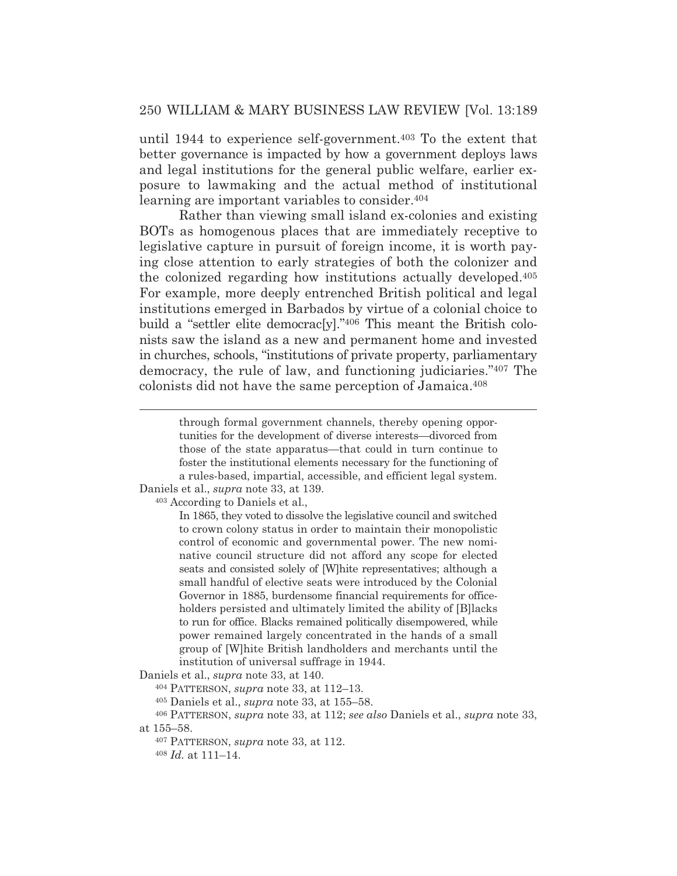until 1944 to experience self-government.403 To the extent that better governance is impacted by how a government deploys laws and legal institutions for the general public welfare, earlier exposure to lawmaking and the actual method of institutional learning are important variables to consider.404

 Rather than viewing small island ex-colonies and existing BOTs as homogenous places that are immediately receptive to legislative capture in pursuit of foreign income, it is worth paying close attention to early strategies of both the colonizer and the colonized regarding how institutions actually developed.405 For example, more deeply entrenched British political and legal institutions emerged in Barbados by virtue of a colonial choice to build a "settler elite democrac[y]."406 This meant the British colonists saw the island as a new and permanent home and invested in churches, schools, "institutions of private property, parliamentary democracy, the rule of law, and functioning judiciaries."407 The colonists did not have the same perception of Jamaica.408

Daniels et al., *supra* note 33, at 139. 403 According to Daniels et al.,

> In 1865, they voted to dissolve the legislative council and switched to crown colony status in order to maintain their monopolistic control of economic and governmental power. The new nominative council structure did not afford any scope for elected seats and consisted solely of [W]hite representatives; although a small handful of elective seats were introduced by the Colonial Governor in 1885, burdensome financial requirements for officeholders persisted and ultimately limited the ability of [B]lacks to run for office. Blacks remained politically disempowered, while power remained largely concentrated in the hands of a small group of [W]hite British landholders and merchants until the institution of universal suffrage in 1944.

Daniels et al., *supra* note 33, at 140.

404 PATTERSON, *supra* note 33, at 112–13.

405 Daniels et al., *supra* note 33, at 155–58.

406 PATTERSON, *supra* note 33, at 112; *see also* Daniels et al., *supra* note 33, at 155–58.

407 PATTERSON, *supra* note 33, at 112.

<sup>408</sup> *Id.* at 111–14.

through formal government channels, thereby opening opportunities for the development of diverse interests—divorced from those of the state apparatus—that could in turn continue to foster the institutional elements necessary for the functioning of a rules-based, impartial, accessible, and efficient legal system.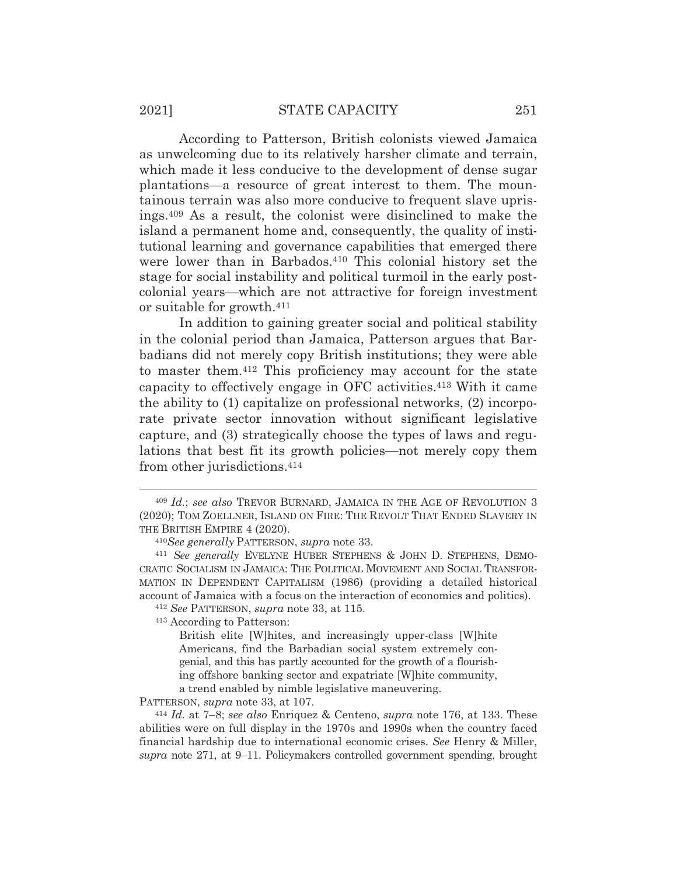According to Patterson, British colonists viewed Jamaica as unwelcoming due to its relatively harsher climate and terrain, which made it less conducive to the development of dense sugar plantations—a resource of great interest to them. The mountainous terrain was also more conducive to frequent slave uprisings.409 As a result, the colonist were disinclined to make the island a permanent home and, consequently, the quality of institutional learning and governance capabilities that emerged there were lower than in Barbados.<sup>410</sup> This colonial history set the stage for social instability and political turmoil in the early postcolonial years—which are not attractive for foreign investment or suitable for growth.411

 In addition to gaining greater social and political stability in the colonial period than Jamaica, Patterson argues that Barbadians did not merely copy British institutions; they were able to master them.412 This proficiency may account for the state capacity to effectively engage in OFC activities.413 With it came the ability to (1) capitalize on professional networks, (2) incorporate private sector innovation without significant legislative capture, and (3) strategically choose the types of laws and regulations that best fit its growth policies—not merely copy them from other jurisdictions.414

413 According to Patterson:

PATTERSON, *supra* note 33, at 107. 414 *Id.* at 7–8; *see also* Enriquez & Centeno, *supra* note 176, at 133. These abilities were on full display in the 1970s and 1990s when the country faced financial hardship due to international economic crises. *See* Henry & Miller, *supra* note 271, at 9–11. Policymakers controlled government spending, brought

<sup>409</sup> *Id.*; *see also* TREVOR BURNARD, JAMAICA IN THE AGE OF REVOLUTION 3 (2020); TOM ZOELLNER, ISLAND ON FIRE: THE REVOLT THAT ENDED SLAVERY IN THE BRITISH EMPIRE 4 (2020).

<sup>410</sup>*See generally* PATTERSON, *supra* note 33. 411 *See generally* EVELYNE HUBER STEPHENS & JOHN D. STEPHENS, DEMO-CRATIC SOCIALISM IN JAMAICA: THE POLITICAL MOVEMENT AND SOCIAL TRANSFOR-MATION IN DEPENDENT CAPITALISM (1986) (providing a detailed historical account of Jamaica with a focus on the interaction of economics and politics). 412 *See* PATTERSON, *supra* note 33, at 115.

British elite [W]hites, and increasingly upper-class [W]hite Americans, find the Barbadian social system extremely congenial, and this has partly accounted for the growth of a flourishing offshore banking sector and expatriate [W]hite community, a trend enabled by nimble legislative maneuvering.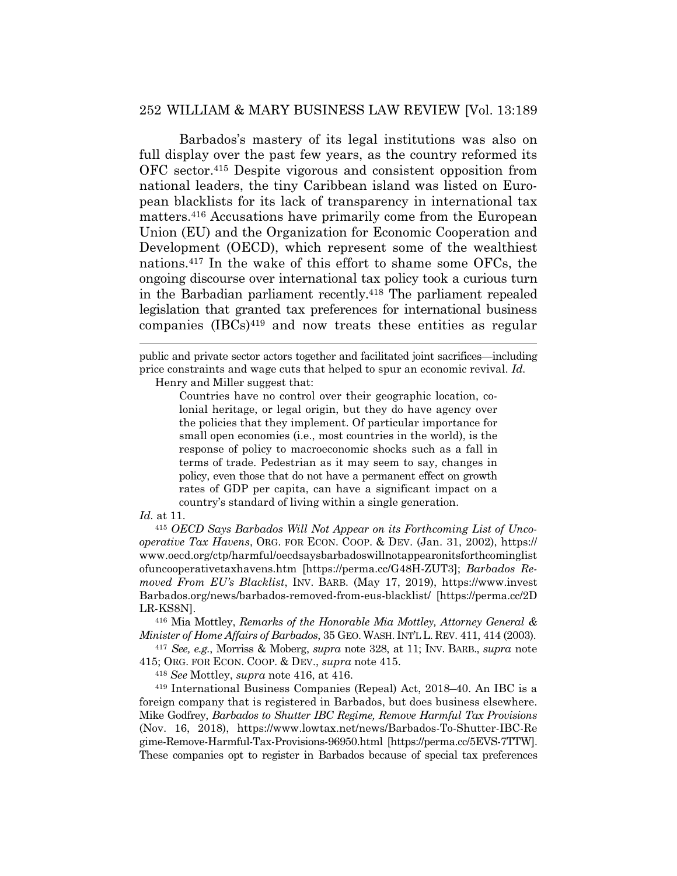Barbados's mastery of its legal institutions was also on full display over the past few years, as the country reformed its OFC sector.415 Despite vigorous and consistent opposition from national leaders, the tiny Caribbean island was listed on European blacklists for its lack of transparency in international tax matters.416 Accusations have primarily come from the European Union (EU) and the Organization for Economic Cooperation and Development (OECD), which represent some of the wealthiest nations.417 In the wake of this effort to shame some OFCs, the ongoing discourse over international tax policy took a curious turn in the Barbadian parliament recently.418 The parliament repealed legislation that granted tax preferences for international business companies (IBCs)419 and now treats these entities as regular

Henry and Miller suggest that:

Countries have no control over their geographic location, colonial heritage, or legal origin, but they do have agency over the policies that they implement. Of particular importance for small open economies (i.e., most countries in the world), is the response of policy to macroeconomic shocks such as a fall in terms of trade. Pedestrian as it may seem to say, changes in policy, even those that do not have a permanent effect on growth rates of GDP per capita, can have a significant impact on a country's standard of living within a single generation.

#### *Id.* at 11.

<sup>415</sup> *OECD Says Barbados Will Not Appear on its Forthcoming List of Uncooperative Tax Havens*, ORG. FOR ECON. COOP.&DEV. (Jan. 31, 2002), https:// www.oecd.org/ctp/harmful/oecdsaysbarbadoswillnotappearonitsforthcominglist ofuncooperativetaxhavens.htm [https://perma.cc/G48H-ZUT3]; *Barbados Removed From EU's Blacklist*, INV. BARB. (May 17, 2019), https://www.invest Barbados.org/news/barbados-removed-from-eus-blacklist/ [https://perma.cc/2D LR-KS8N].

416 Mia Mottley, *Remarks of the Honorable Mia Mottley, Attorney General & Minister of Home Affairs of Barbados*, 35 GEO. WASH. INT'L L. REV. 411, 414 (2003).

<sup>417</sup> *See, e.g.*, Morriss & Moberg, *supra* note 328, at 11; INV. BARB., *supra* note 415; ORG. FOR ECON. COOP.&DEV., *supra* note 415.

<sup>418</sup> *See* Mottley, *supra* note 416, at 416.

419 International Business Companies (Repeal) Act, 2018–40. An IBC is a foreign company that is registered in Barbados, but does business elsewhere. Mike Godfrey, *Barbados to Shutter IBC Regime, Remove Harmful Tax Provisions*  (Nov. 16, 2018), https://www.lowtax.net/news/Barbados-To-Shutter-IBC-Re gime-Remove-Harmful-Tax-Provisions-96950.html [https://perma.cc/5EVS-7TTW]. These companies opt to register in Barbados because of special tax preferences

public and private sector actors together and facilitated joint sacrifices—including price constraints and wage cuts that helped to spur an economic revival. *Id.*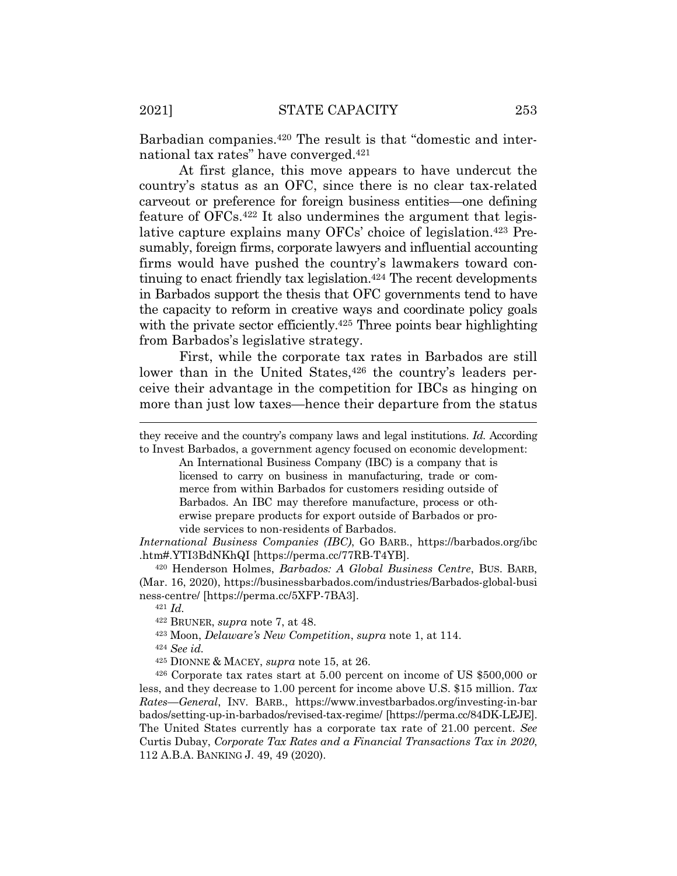Barbadian companies.420 The result is that "domestic and international tax rates" have converged.421

 At first glance, this move appears to have undercut the country's status as an OFC, since there is no clear tax-related carveout or preference for foreign business entities—one defining feature of OFCs.422 It also undermines the argument that legislative capture explains many OFCs' choice of legislation.423 Presumably, foreign firms, corporate lawyers and influential accounting firms would have pushed the country's lawmakers toward continuing to enact friendly tax legislation.424 The recent developments in Barbados support the thesis that OFC governments tend to have the capacity to reform in creative ways and coordinate policy goals with the private sector efficiently.<sup>425</sup> Three points bear highlighting from Barbados's legislative strategy.

 First, while the corporate tax rates in Barbados are still lower than in the United States,<sup>426</sup> the country's leaders perceive their advantage in the competition for IBCs as hinging on more than just low taxes—hence their departure from the status

they receive and the country's company laws and legal institutions. *Id.* According to Invest Barbados, a government agency focused on economic development:

An International Business Company (IBC) is a company that is licensed to carry on business in manufacturing, trade or commerce from within Barbados for customers residing outside of Barbados. An IBC may therefore manufacture, process or otherwise prepare products for export outside of Barbados or provide services to non-residents of Barbados.

*International Business Companies (IBC)*, GO BARB., https://barbados.org/ibc .htm#.YTI3BdNKhQI [https://perma.cc/77RB-T4YB].

420 Henderson Holmes, *Barbados: A Global Business Centre*, BUS. BARB, (Mar. 16, 2020), https://businessbarbados.com/industries/Barbados-global-busi ness-centre/ [https://perma.cc/5XFP-7BA3]. 421 *Id.*

423 Moon, *Delaware's New Competition*, *supra* note 1, at 114.

<sup>424</sup> *See id.*

425 DIONNE & MACEY, *supra* note 15, at 26.

426 Corporate tax rates start at 5.00 percent on income of US \$500,000 or less, and they decrease to 1.00 percent for income above U.S. \$15 million. *Tax Rates—General*, INV. BARB., https://www.investbarbados.org/investing-in-bar bados/setting-up-in-barbados/revised-tax-regime/ [https://perma.cc/84DK-LEJE]. The United States currently has a corporate tax rate of 21.00 percent. *See* Curtis Dubay, *Corporate Tax Rates and a Financial Transactions Tax in 2020*, 112 A.B.A. BANKING J. 49, 49 (2020).

<sup>422</sup> BRUNER, *supra* note 7, at 48.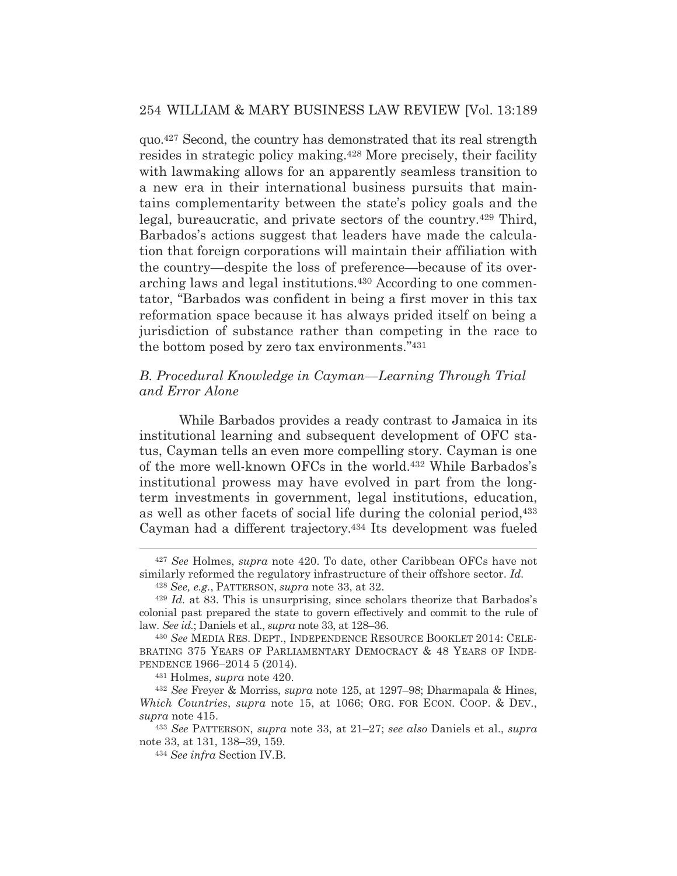quo.427 Second, the country has demonstrated that its real strength resides in strategic policy making.428 More precisely, their facility with lawmaking allows for an apparently seamless transition to a new era in their international business pursuits that maintains complementarity between the state's policy goals and the legal, bureaucratic, and private sectors of the country.429 Third, Barbados's actions suggest that leaders have made the calculation that foreign corporations will maintain their affiliation with the country—despite the loss of preference—because of its overarching laws and legal institutions.430 According to one commentator, "Barbados was confident in being a first mover in this tax reformation space because it has always prided itself on being a jurisdiction of substance rather than competing in the race to the bottom posed by zero tax environments."431

# *B. Procedural Knowledge in Cayman—Learning Through Trial and Error Alone*

While Barbados provides a ready contrast to Jamaica in its institutional learning and subsequent development of OFC status, Cayman tells an even more compelling story. Cayman is one of the more well-known OFCs in the world.432 While Barbados's institutional prowess may have evolved in part from the longterm investments in government, legal institutions, education, as well as other facets of social life during the colonial period,433 Cayman had a different trajectory.434 Its development was fueled

<sup>427</sup> *See* Holmes, *supra* note 420. To date, other Caribbean OFCs have not similarly reformed the regulatory infrastructure of their offshore sector. *Id.*

<sup>428</sup> *See, e.g.*, PATTERSON, *supra* note 33, at 32.

<sup>429</sup> *Id.* at 83. This is unsurprising, since scholars theorize that Barbados's colonial past prepared the state to govern effectively and commit to the rule of law. *See id.*; Daniels et al., *supra* note 33, at 128–36.

<sup>430</sup> *See* MEDIA RES. DEPT., INDEPENDENCE RESOURCE BOOKLET 2014: CELE-BRATING 375 YEARS OF PARLIAMENTARY DEMOCRACY & 48 YEARS OF INDE-PENDENCE 1966–2014 5 (2014).

<sup>431</sup> Holmes, *supra* note 420.

<sup>432</sup> *See* Freyer & Morriss, *supra* note 125, at 1297–98; Dharmapala & Hines, *Which Countries, supra* note 15, at 1066; ORG. FOR ECON. COOP. & DEV., *supra* note 415.

<sup>433</sup> *See* PATTERSON, *supra* note 33, at 21–27; *see also* Daniels et al., *supra* note 33, at 131, 138–39, 159.

<sup>434</sup> *See infra* Section IV.B.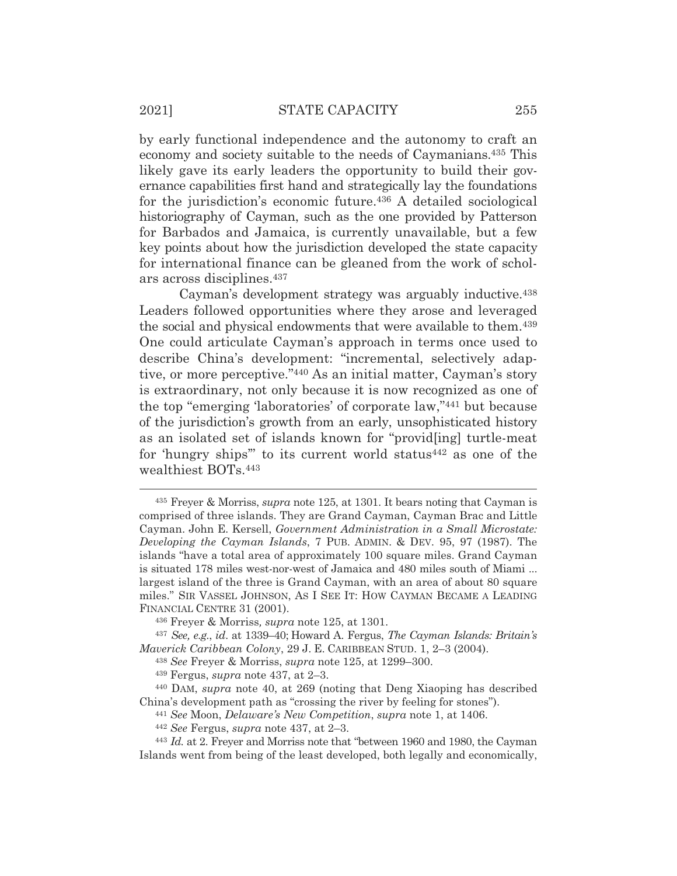by early functional independence and the autonomy to craft an economy and society suitable to the needs of Caymanians.435 This likely gave its early leaders the opportunity to build their governance capabilities first hand and strategically lay the foundations for the jurisdiction's economic future.436 A detailed sociological historiography of Cayman, such as the one provided by Patterson for Barbados and Jamaica, is currently unavailable, but a few key points about how the jurisdiction developed the state capacity for international finance can be gleaned from the work of scholars across disciplines.437

 Cayman's development strategy was arguably inductive.438 Leaders followed opportunities where they arose and leveraged the social and physical endowments that were available to them.439 One could articulate Cayman's approach in terms once used to describe China's development: "incremental, selectively adaptive, or more perceptive."440 As an initial matter, Cayman's story is extraordinary, not only because it is now recognized as one of the top "emerging 'laboratories' of corporate law,"441 but because of the jurisdiction's growth from an early, unsophisticated history as an isolated set of islands known for "provid[ing] turtle-meat for 'hungry ships'" to its current world status442 as one of the wealthiest BOTs.443

<sup>435</sup> Freyer & Morriss, *supra* note 125, at 1301. It bears noting that Cayman is comprised of three islands. They are Grand Cayman, Cayman Brac and Little Cayman. John E. Kersell, *Government Administration in a Small Microstate: Developing the Cayman Islands*, 7 PUB. ADMIN.&DEV. 95, 97 (1987). The islands "have a total area of approximately 100 square miles. Grand Cayman is situated 178 miles west-nor-west of Jamaica and 480 miles south of Miami ... largest island of the three is Grand Cayman, with an area of about 80 square miles." SIR VASSEL JOHNSON, AS I SEE IT: HOW CAYMAN BECAME A LEADING FINANCIAL CENTRE 31 (2001).

<sup>436</sup> Freyer & Morriss*, supra* note 125, at 1301.

<sup>437</sup> *See, e.g.*, *id*. at 1339–40; Howard A. Fergus, *The Cayman Islands: Britain's Maverick Caribbean Colony*, 29 J. E. CARIBBEAN STUD. 1, 2–3 (2004).

<sup>438</sup> *See* Freyer & Morriss, *supra* note 125, at 1299–300.

<sup>439</sup> Fergus, *supra* note 437, at 2–3.

<sup>440</sup> DAM, *supra* note 40, at 269 (noting that Deng Xiaoping has described China's development path as "crossing the river by feeling for stones"). 441 *See* Moon, *Delaware's New Competition*, *supra* note 1, at 1406. 442 *See* Fergus, *supra* note 437, at 2–3.

<sup>443</sup> *Id.* at 2. Freyer and Morriss note that "between 1960 and 1980, the Cayman Islands went from being of the least developed, both legally and economically,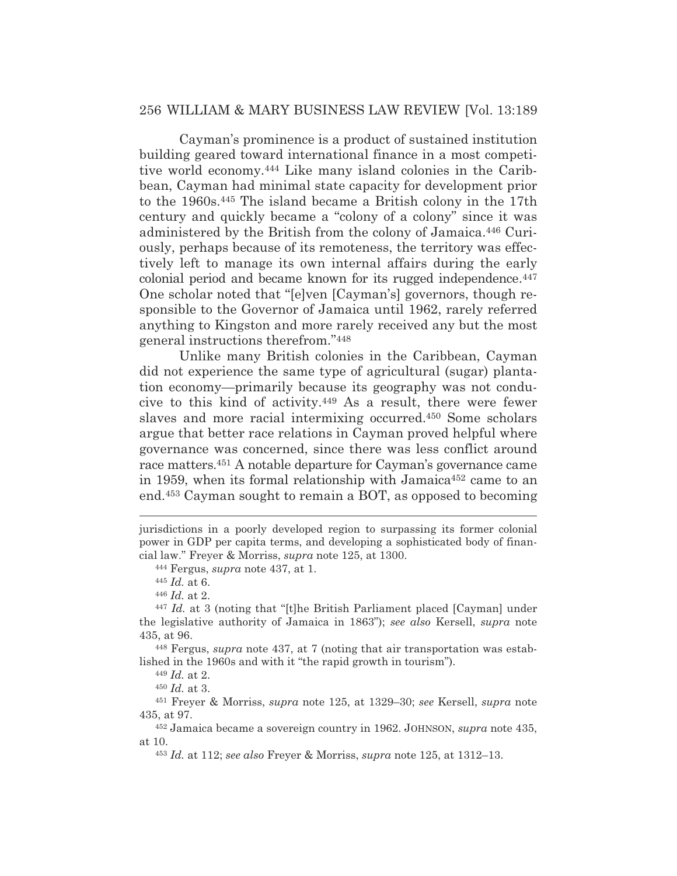Cayman's prominence is a product of sustained institution building geared toward international finance in a most competitive world economy.444 Like many island colonies in the Caribbean, Cayman had minimal state capacity for development prior to the 1960s.445 The island became a British colony in the 17th century and quickly became a "colony of a colony" since it was administered by the British from the colony of Jamaica.446 Curiously, perhaps because of its remoteness, the territory was effectively left to manage its own internal affairs during the early colonial period and became known for its rugged independence.447 One scholar noted that "[e]ven [Cayman's] governors, though responsible to the Governor of Jamaica until 1962, rarely referred anything to Kingston and more rarely received any but the most general instructions therefrom."448

 Unlike many British colonies in the Caribbean, Cayman did not experience the same type of agricultural (sugar) plantation economy—primarily because its geography was not conducive to this kind of activity.449 As a result, there were fewer slaves and more racial intermixing occurred.450 Some scholars argue that better race relations in Cayman proved helpful where governance was concerned, since there was less conflict around race matters.451 A notable departure for Cayman's governance came in 1959, when its formal relationship with Jamaica<sup>452</sup> came to an end.453 Cayman sought to remain a BOT, as opposed to becoming

jurisdictions in a poorly developed region to surpassing its former colonial power in GDP per capita terms, and developing a sophisticated body of financial law." Freyer & Morriss, *supra* note 125, at 1300. 444 Fergus, *supra* note 437, at 1.

<sup>445</sup> *Id.* at 6.

<sup>446</sup> *Id.* at 2.

<sup>447</sup> *Id.* at 3 (noting that "[t]he British Parliament placed [Cayman] under the legislative authority of Jamaica in 1863"); *see also* Kersell, *supra* note 435, at 96.

<sup>448</sup> Fergus, *supra* note 437, at 7 (noting that air transportation was established in the 1960s and with it "the rapid growth in tourism").

<sup>449</sup> *Id.* at 2.

<sup>450</sup> *Id.* at 3.

<sup>451</sup> Freyer & Morriss, *supra* note 125, at 1329–30; *see* Kersell, *supra* note 435, at 97.

<sup>452</sup> Jamaica became a sovereign country in 1962. JOHNSON, *supra* note 435, at 10.

<sup>453</sup> *Id.* at 112; *see also* Freyer & Morriss, *supra* note 125, at 1312–13.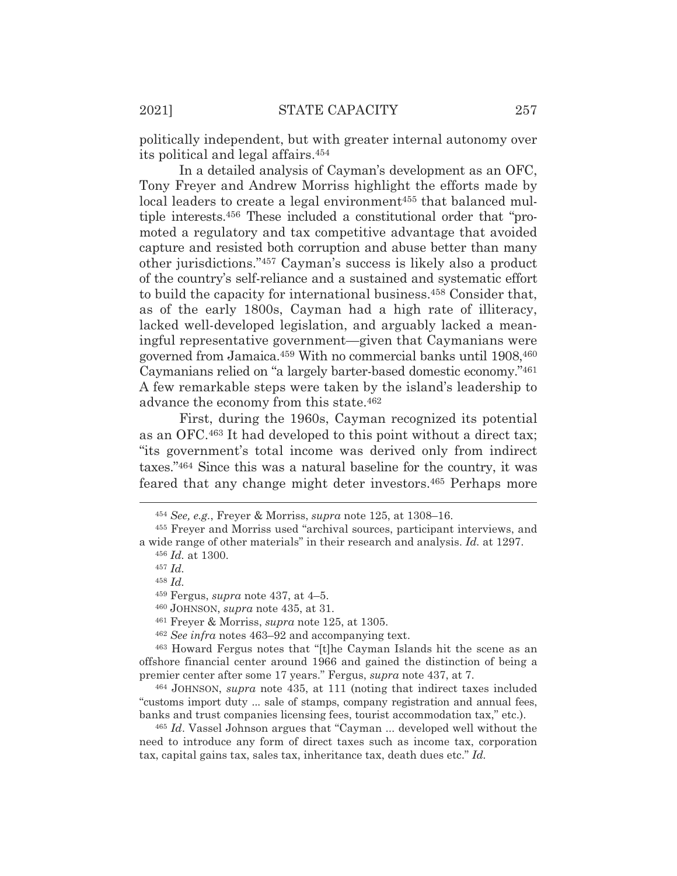politically independent, but with greater internal autonomy over its political and legal affairs.454

In a detailed analysis of Cayman's development as an OFC, Tony Freyer and Andrew Morriss highlight the efforts made by local leaders to create a legal environment<sup>455</sup> that balanced multiple interests.456 These included a constitutional order that "promoted a regulatory and tax competitive advantage that avoided capture and resisted both corruption and abuse better than many other jurisdictions."457 Cayman's success is likely also a product of the country's self-reliance and a sustained and systematic effort to build the capacity for international business.458 Consider that, as of the early 1800s, Cayman had a high rate of illiteracy, lacked well-developed legislation, and arguably lacked a meaningful representative government—given that Caymanians were governed from Jamaica.459 With no commercial banks until 1908,460 Caymanians relied on "a largely barter-based domestic economy."461 A few remarkable steps were taken by the island's leadership to advance the economy from this state.462

 First, during the 1960s, Cayman recognized its potential as an OFC.463 It had developed to this point without a direct tax; "its government's total income was derived only from indirect taxes."464 Since this was a natural baseline for the country, it was feared that any change might deter investors.465 Perhaps more

463 Howard Fergus notes that "[t]he Cayman Islands hit the scene as an offshore financial center around 1966 and gained the distinction of being a premier center after some 17 years." Fergus, *supra* note 437, at 7.

464 JOHNSON, *supra* note 435, at 111 (noting that indirect taxes included "customs import duty ... sale of stamps, company registration and annual fees, banks and trust companies licensing fees, tourist accommodation tax," etc.).

<sup>465</sup> *Id*. Vassel Johnson argues that "Cayman ... developed well without the need to introduce any form of direct taxes such as income tax, corporation tax, capital gains tax, sales tax, inheritance tax, death dues etc." *Id.*

<sup>454</sup> *See, e.g.*, Freyer & Morriss, *supra* note 125, at 1308–16.

<sup>455</sup> Freyer and Morriss used "archival sources, participant interviews, and a wide range of other materials" in their research and analysis. *Id.* at 1297. <sup>456</sup> *Id.* at 1300.

<sup>457</sup> *Id.*

<sup>458</sup> *Id.*

<sup>459</sup> Fergus, *supra* note 437, at 4–5.

<sup>460</sup> JOHNSON, *supra* note 435, at 31.

<sup>461</sup> Freyer & Morriss, *supra* note 125, at 1305.

<sup>462</sup> *See infra* notes 463–92 and accompanying text.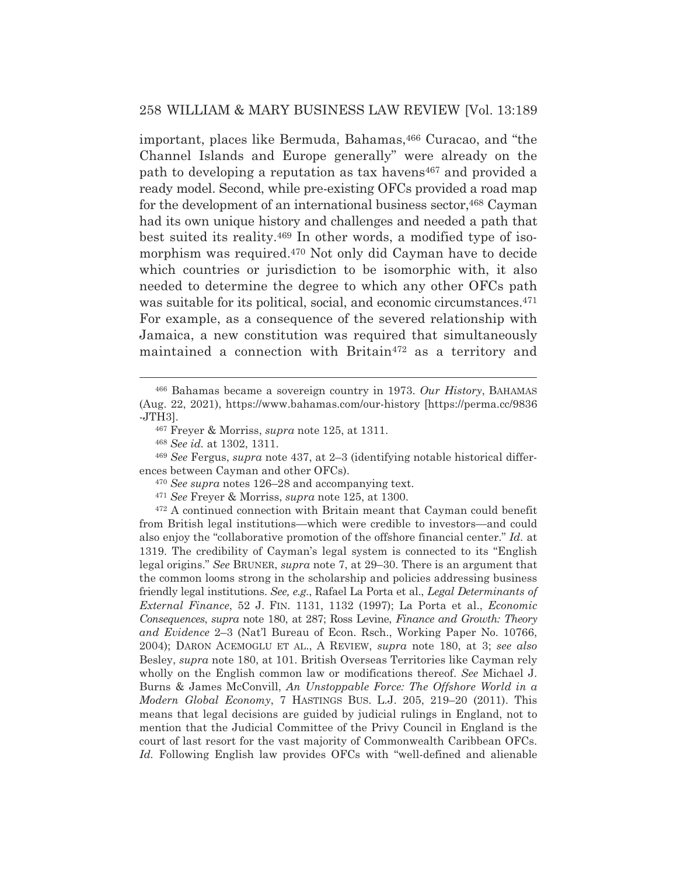important, places like Bermuda, Bahamas, 466 Curacao, and "the Channel Islands and Europe generally" were already on the path to developing a reputation as tax havens<sup>467</sup> and provided a ready model. Second, while pre-existing OFCs provided a road map for the development of an international business sector, 468 Cayman had its own unique history and challenges and needed a path that best suited its reality.469 In other words, a modified type of isomorphism was required.470 Not only did Cayman have to decide which countries or jurisdiction to be isomorphic with, it also needed to determine the degree to which any other OFCs path was suitable for its political, social, and economic circumstances.471 For example, as a consequence of the severed relationship with Jamaica, a new constitution was required that simultaneously maintained a connection with Britain<sup>472</sup> as a territory and

472 A continued connection with Britain meant that Cayman could benefit from British legal institutions—which were credible to investors—and could also enjoy the "collaborative promotion of the offshore financial center." *Id.* at 1319. The credibility of Cayman's legal system is connected to its "English legal origins." *See* BRUNER, *supra* note 7, at 29–30. There is an argument that the common looms strong in the scholarship and policies addressing business friendly legal institutions. *See, e.g.*, Rafael La Porta et al., *Legal Determinants of External Finance*, 52 J. FIN. 1131, 1132 (1997); La Porta et al., *Economic Consequences*, *supra* note 180, at 287; Ross Levine, *Finance and Growth: Theory and Evidence* 2–3 (Nat'l Bureau of Econ. Rsch., Working Paper No. 10766, 2004); DARON ACEMOGLU ET AL., A REVIEW, *supra* note 180, at 3; *see also* Besley, *supra* note 180, at 101. British Overseas Territories like Cayman rely wholly on the English common law or modifications thereof. *See* Michael J. Burns & James McConvill, *An Unstoppable Force: The Offshore World in a Modern Global Economy*, 7 HASTINGS BUS. L.J. 205, 219–20 (2011). This means that legal decisions are guided by judicial rulings in England, not to mention that the Judicial Committee of the Privy Council in England is the court of last resort for the vast majority of Commonwealth Caribbean OFCs. *Id.* Following English law provides OFCs with "well-defined and alienable

<sup>466</sup> Bahamas became a sovereign country in 1973. *Our History*, BAHAMAS (Aug. 22, 2021), https://www.bahamas.com/our-history [https://perma.cc/9836 -JTH3].

<sup>467</sup> Freyer & Morriss, *supra* note 125, at 1311.

<sup>468</sup> *See id.* at 1302, 1311.

<sup>469</sup> *See* Fergus, *supra* note 437, at 2–3 (identifying notable historical differences between Cayman and other OFCs).

<sup>470</sup> *See supra* notes 126–28 and accompanying text.

<sup>471</sup> *See* Freyer & Morriss, *supra* note 125, at 1300.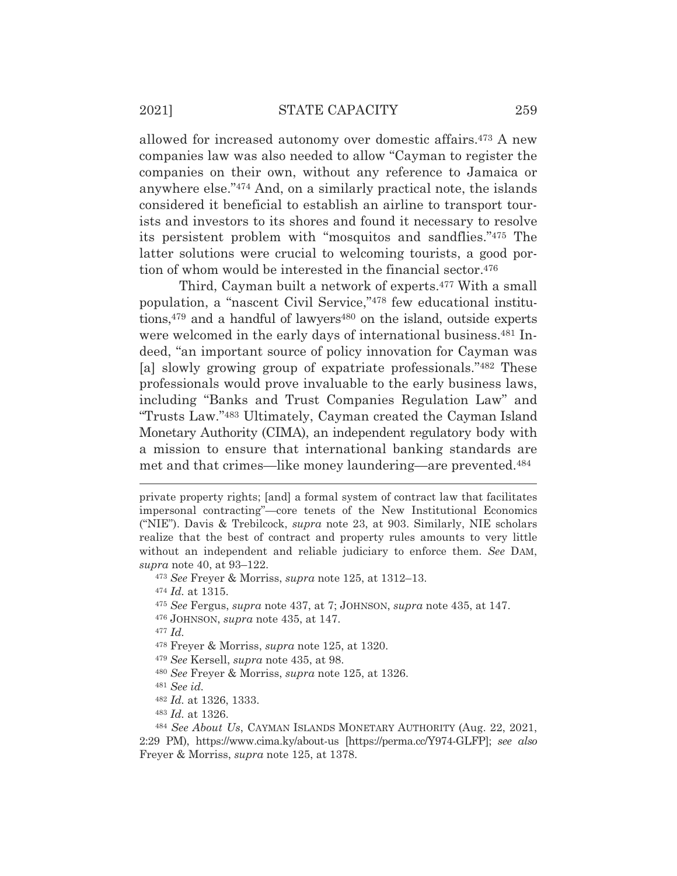allowed for increased autonomy over domestic affairs.473 A new companies law was also needed to allow "Cayman to register the companies on their own, without any reference to Jamaica or anywhere else."474 And, on a similarly practical note, the islands considered it beneficial to establish an airline to transport tourists and investors to its shores and found it necessary to resolve its persistent problem with "mosquitos and sandflies."475 The latter solutions were crucial to welcoming tourists, a good portion of whom would be interested in the financial sector.476

 Third, Cayman built a network of experts.477 With a small population, a "nascent Civil Service,"478 few educational institutions,  $479$  and a handful of lawyers  $480$  on the island, outside experts were welcomed in the early days of international business.<sup>481</sup> Indeed, "an important source of policy innovation for Cayman was [a] slowly growing group of expatriate professionals."482 These professionals would prove invaluable to the early business laws, including "Banks and Trust Companies Regulation Law" and "Trusts Law."483 Ultimately, Cayman created the Cayman Island Monetary Authority (CIMA), an independent regulatory body with a mission to ensure that international banking standards are met and that crimes—like money laundering—are prevented.484

<sup>473</sup> *See* Freyer & Morriss, *supra* note 125, at 1312–13.

<sup>474</sup> *Id.* at 1315.

- <sup>475</sup> *See* Fergus, *supra* note 437, at 7; JOHNSON, *supra* note 435, at 147.
- 476 JOHNSON, *supra* note 435, at 147.

<sup>477</sup> *Id.*

- 478 Freyer & Morriss, *supra* note 125, at 1320.
- <sup>479</sup> *See* Kersell, *supra* note 435, at 98.
- <sup>480</sup> *See* Freyer & Morriss, *supra* note 125, at 1326.

<sup>481</sup> *See id.*

<sup>482</sup> *Id.* at 1326, 1333.

<sup>483</sup> *Id.* at 1326.

private property rights; [and] a formal system of contract law that facilitates impersonal contracting"—core tenets of the New Institutional Economics ("NIE"). Davis & Trebilcock, *supra* note 23, at 903. Similarly, NIE scholars realize that the best of contract and property rules amounts to very little without an independent and reliable judiciary to enforce them. *See* DAM, *supra* note 40, at 93–122.

<sup>484</sup> *See About Us*, CAYMAN ISLANDS MONETARY AUTHORITY (Aug. 22, 2021, 2:29 PM), https://www.cima.ky/about-us [https://perma.cc/Y974-GLFP]; *see also* Freyer & Morriss, *supra* note 125, at 1378.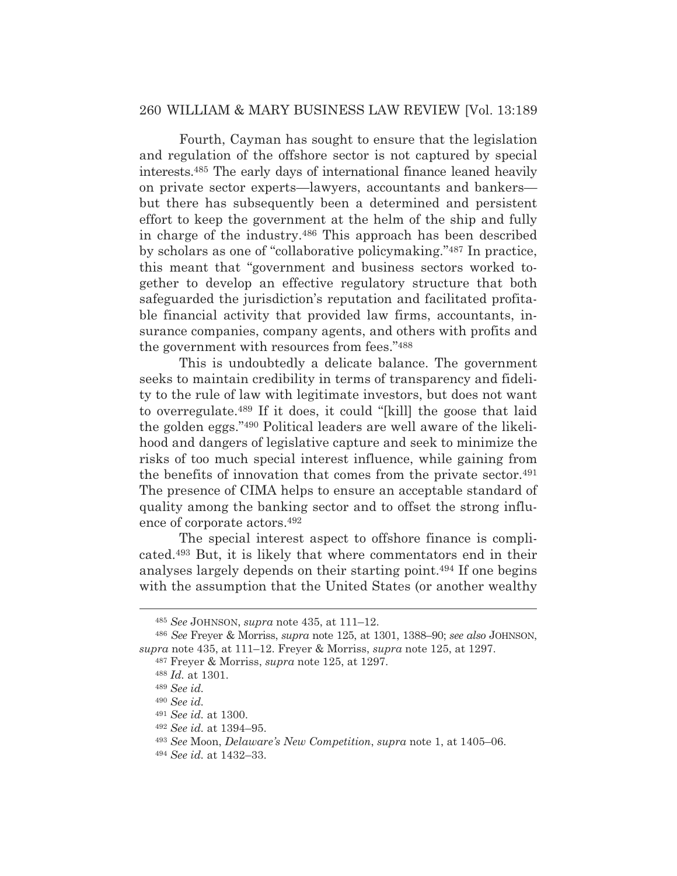## 260 WILLIAM & MARY BUSINESS LAW REVIEW [Vol. 13:189

 Fourth, Cayman has sought to ensure that the legislation and regulation of the offshore sector is not captured by special interests.485 The early days of international finance leaned heavily on private sector experts—lawyers, accountants and bankers but there has subsequently been a determined and persistent effort to keep the government at the helm of the ship and fully in charge of the industry.486 This approach has been described by scholars as one of "collaborative policymaking."487 In practice, this meant that "government and business sectors worked together to develop an effective regulatory structure that both safeguarded the jurisdiction's reputation and facilitated profitable financial activity that provided law firms, accountants, insurance companies, company agents, and others with profits and the government with resources from fees."488

 This is undoubtedly a delicate balance. The government seeks to maintain credibility in terms of transparency and fidelity to the rule of law with legitimate investors, but does not want to overregulate.489 If it does, it could "[kill] the goose that laid the golden eggs."490 Political leaders are well aware of the likelihood and dangers of legislative capture and seek to minimize the risks of too much special interest influence, while gaining from the benefits of innovation that comes from the private sector.491 The presence of CIMA helps to ensure an acceptable standard of quality among the banking sector and to offset the strong influence of corporate actors.492

 The special interest aspect to offshore finance is complicated.493 But, it is likely that where commentators end in their analyses largely depends on their starting point.494 If one begins with the assumption that the United States (or another wealthy

<sup>485</sup> *See* JOHNSON, *supra* note 435, at 111–12.

<sup>486</sup> *See* Freyer & Morriss, *supra* note 125, at 1301, 1388–90; *see also* JOHNSON, *supra* note 435, at 111–12. Freyer & Morriss, *supra* note 125, at 1297.

<sup>487</sup> Freyer & Morriss, *supra* note 125, at 1297.

<sup>488</sup> *Id.* at 1301.

<sup>489</sup> *See id.*

<sup>490</sup> *See id.*

<sup>491</sup> *See id.* at 1300.

<sup>492</sup> *See id.* at 1394–95.

<sup>493</sup> *See* Moon, *Delaware's New Competition*, *supra* note 1, at 1405–06.

<sup>494</sup> *See id.* at 1432–33.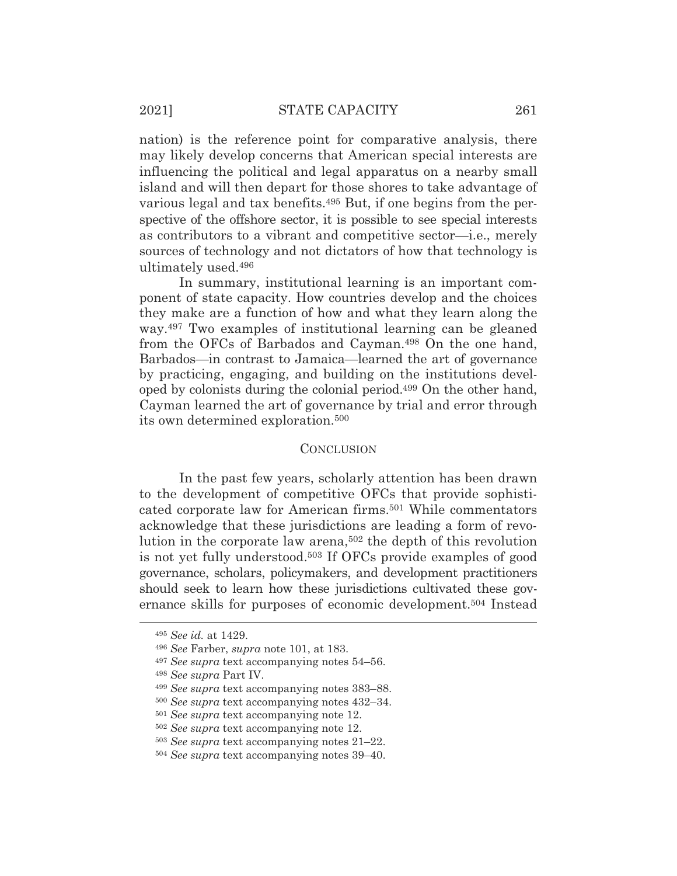nation) is the reference point for comparative analysis, there may likely develop concerns that American special interests are influencing the political and legal apparatus on a nearby small island and will then depart for those shores to take advantage of various legal and tax benefits.495 But, if one begins from the perspective of the offshore sector, it is possible to see special interests as contributors to a vibrant and competitive sector—i.e., merely sources of technology and not dictators of how that technology is ultimately used.496

 In summary, institutional learning is an important component of state capacity. How countries develop and the choices they make are a function of how and what they learn along the way.497 Two examples of institutional learning can be gleaned from the OFCs of Barbados and Cayman.498 On the one hand, Barbados—in contrast to Jamaica—learned the art of governance by practicing, engaging, and building on the institutions developed by colonists during the colonial period.499 On the other hand, Cayman learned the art of governance by trial and error through its own determined exploration.500

## **CONCLUSION**

In the past few years, scholarly attention has been drawn to the development of competitive OFCs that provide sophisticated corporate law for American firms.501 While commentators acknowledge that these jurisdictions are leading a form of revolution in the corporate law arena,502 the depth of this revolution is not yet fully understood.503 If OFCs provide examples of good governance, scholars, policymakers, and development practitioners should seek to learn how these jurisdictions cultivated these governance skills for purposes of economic development.504 Instead

<sup>495</sup> *See id.* at 1429.

<sup>496</sup> *See* Farber, *supra* note 101, at 183.

<sup>497</sup> *See supra* text accompanying notes 54–56.

<sup>498</sup> *See supra* Part IV.

<sup>499</sup> *See supra* text accompanying notes 383–88.

<sup>500</sup> *See supra* text accompanying notes 432–34.

<sup>501</sup> *See supra* text accompanying note 12.

<sup>502</sup> *See supra* text accompanying note 12.

<sup>503</sup> *See supra* text accompanying notes 21–22.

<sup>504</sup> *See supra* text accompanying notes 39–40.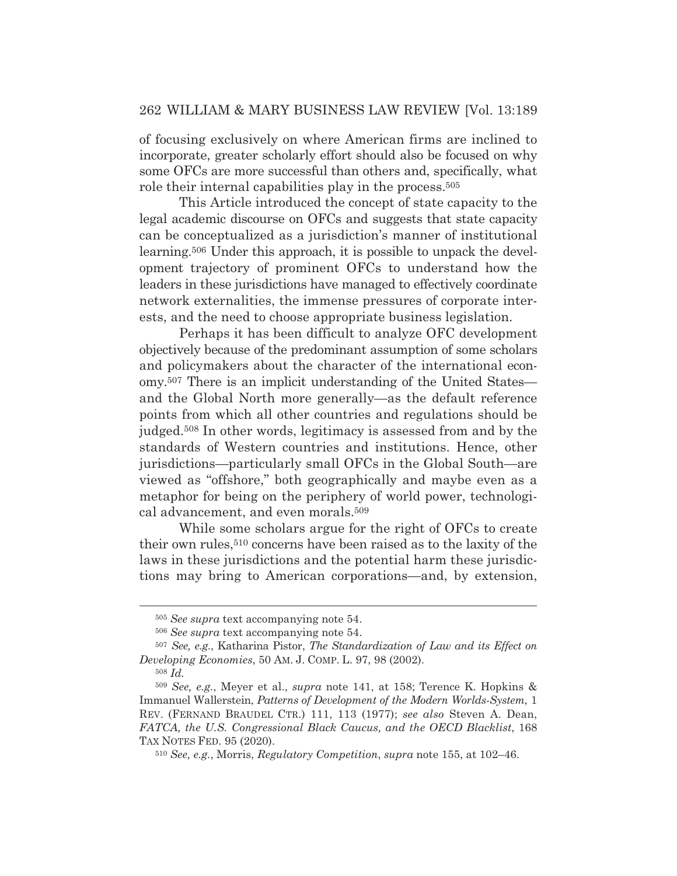## 262 WILLIAM & MARY BUSINESS LAW REVIEW [Vol. 13:189

of focusing exclusively on where American firms are inclined to incorporate, greater scholarly effort should also be focused on why some OFCs are more successful than others and, specifically, what role their internal capabilities play in the process.505

This Article introduced the concept of state capacity to the legal academic discourse on OFCs and suggests that state capacity can be conceptualized as a jurisdiction's manner of institutional learning.506 Under this approach, it is possible to unpack the development trajectory of prominent OFCs to understand how the leaders in these jurisdictions have managed to effectively coordinate network externalities, the immense pressures of corporate interests, and the need to choose appropriate business legislation.

 Perhaps it has been difficult to analyze OFC development objectively because of the predominant assumption of some scholars and policymakers about the character of the international economy.507 There is an implicit understanding of the United States and the Global North more generally—as the default reference points from which all other countries and regulations should be judged.508 In other words, legitimacy is assessed from and by the standards of Western countries and institutions. Hence, other jurisdictions—particularly small OFCs in the Global South—are viewed as "offshore," both geographically and maybe even as a metaphor for being on the periphery of world power, technological advancement, and even morals.509

While some scholars argue for the right of OFCs to create their own rules,510 concerns have been raised as to the laxity of the laws in these jurisdictions and the potential harm these jurisdictions may bring to American corporations—and, by extension,

<sup>505</sup> *See supra* text accompanying note 54.

<sup>506</sup> *See supra* text accompanying note 54.

<sup>507</sup> *See, e.g.*, Katharina Pistor, *The Standardization of Law and its Effect on Developing Economies*, 50 AM. J. COMP. L. 97, 98 (2002).

<sup>508</sup> *Id.*

<sup>509</sup> *See, e.g.*, Meyer et al., *supra* note 141, at 158; Terence K. Hopkins & Immanuel Wallerstein, *Patterns of Development of the Modern Worlds-System*, 1 REV. (FERNAND BRAUDEL CTR.) 111, 113 (1977); *see also* Steven A. Dean, *FATCA, the U.S. Congressional Black Caucus, and the OECD Blacklist*, 168 TAX NOTES FED. 95 (2020).

<sup>510</sup> *See, e.g.*, Morris, *Regulatory Competition*, *supra* note 155, at 102–46.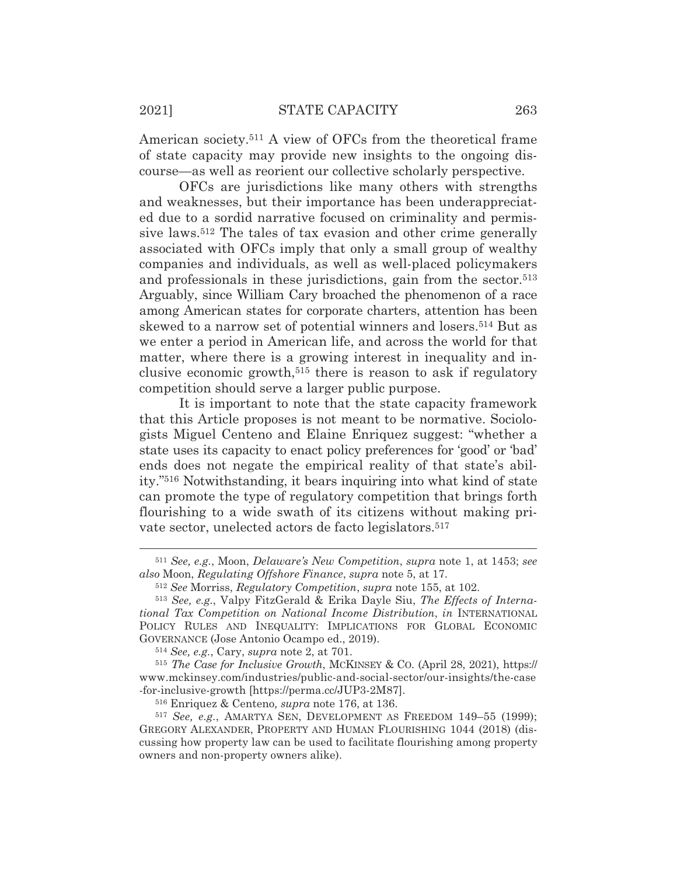American society.511 A view of OFCs from the theoretical frame of state capacity may provide new insights to the ongoing discourse—as well as reorient our collective scholarly perspective.

 OFCs are jurisdictions like many others with strengths and weaknesses, but their importance has been underappreciated due to a sordid narrative focused on criminality and permissive laws.512 The tales of tax evasion and other crime generally associated with OFCs imply that only a small group of wealthy companies and individuals, as well as well-placed policymakers and professionals in these jurisdictions, gain from the sector.<sup>513</sup> Arguably, since William Cary broached the phenomenon of a race among American states for corporate charters, attention has been skewed to a narrow set of potential winners and losers.514 But as we enter a period in American life, and across the world for that matter, where there is a growing interest in inequality and inclusive economic growth,515 there is reason to ask if regulatory competition should serve a larger public purpose.

It is important to note that the state capacity framework that this Article proposes is not meant to be normative. Sociologists Miguel Centeno and Elaine Enriquez suggest: "whether a state uses its capacity to enact policy preferences for 'good' or 'bad' ends does not negate the empirical reality of that state's ability."516 Notwithstanding, it bears inquiring into what kind of state can promote the type of regulatory competition that brings forth flourishing to a wide swath of its citizens without making private sector, unelected actors de facto legislators.<sup>517</sup>

<sup>511</sup> *See, e.g.*, Moon, *Delaware's New Competition*, *supra* note 1, at 1453; *see also* Moon, *Regulating Offshore Finance*, *supra* note 5, at 17.

<sup>512</sup> *See* Morriss, *Regulatory Competition*, *supra* note 155, at 102.

<sup>513</sup> *See, e.g.*, Valpy FitzGerald & Erika Dayle Siu, *The Effects of International Tax Competition on National Income Distribution*, *in* INTERNATIONAL POLICY RULES AND INEQUALITY: IMPLICATIONS FOR GLOBAL ECONOMIC GOVERNANCE (Jose Antonio Ocampo ed., 2019).

<sup>514</sup> *See, e.g.*, Cary, *supra* note 2, at 701.

<sup>515</sup> *The Case for Inclusive Growth*, MCKINSEY & CO. (April 28, 2021), https:// www.mckinsey.com/industries/public-and-social-sector/our-insights/the-case -for-inclusive-growth [https://perma.cc/JUP3-2M87].

<sup>516</sup> Enriquez & Centeno*, supra* note 176, at 136.

<sup>517</sup> *See, e.g.*, AMARTYA SEN, DEVELOPMENT AS FREEDOM 149–55 (1999); GREGORY ALEXANDER, PROPERTY AND HUMAN FLOURISHING 1044 (2018) (discussing how property law can be used to facilitate flourishing among property owners and non-property owners alike).